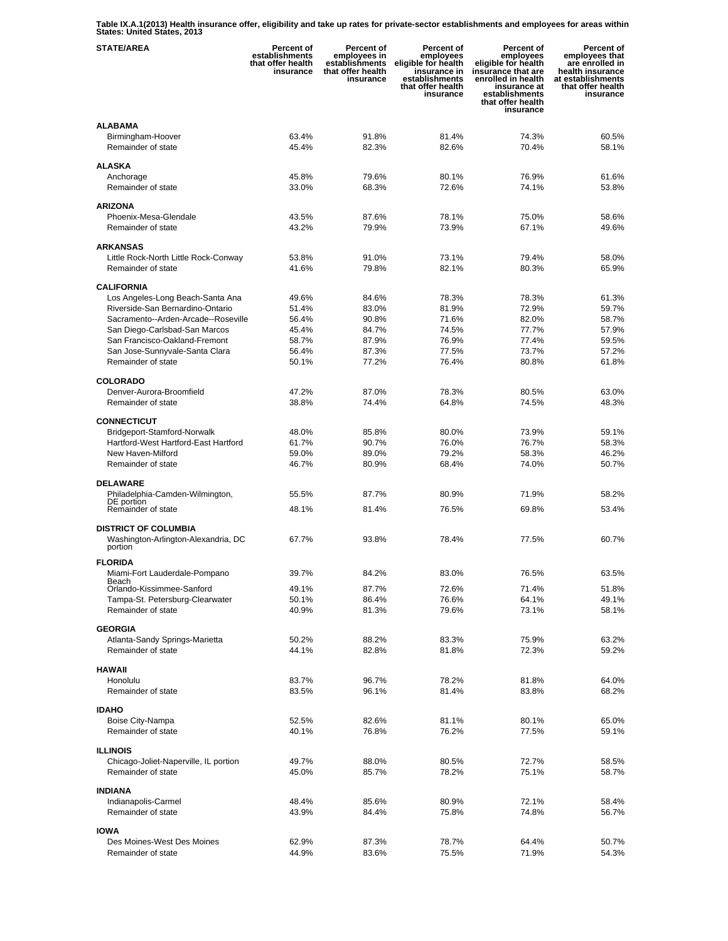**Table IX.A.1(2013) Health insurance offer, eligibility and take up rates for private-sector establishments and employees for areas within States: United States, 2013** 

| <b>STATE/AREA</b>                                                       | Percent of<br>establishments<br>that offer health<br>insurance | Percent of<br>employees in<br>establishments<br>that offer health<br>insurance | Percent of<br>employees<br>eligible for health<br>insurance in<br>establishments<br>that offer health<br>insurance | Percent of<br>employees<br>eligible for health<br>insurance that are<br>enrolled in health<br>insurance at<br>establishments<br>that offer health<br>insurance | Percent of<br>employees that<br>are enrolled in<br>health insurance<br>at establishments<br>that offer health<br>insurance |
|-------------------------------------------------------------------------|----------------------------------------------------------------|--------------------------------------------------------------------------------|--------------------------------------------------------------------------------------------------------------------|----------------------------------------------------------------------------------------------------------------------------------------------------------------|----------------------------------------------------------------------------------------------------------------------------|
| <b>ALABAMA</b><br>Birmingham-Hoover<br>Remainder of state               | 63.4%<br>45.4%                                                 | 91.8%<br>82.3%                                                                 | 81.4%<br>82.6%                                                                                                     | 74.3%<br>70.4%                                                                                                                                                 | 60.5%<br>58.1%                                                                                                             |
| ALASKA                                                                  |                                                                |                                                                                |                                                                                                                    |                                                                                                                                                                |                                                                                                                            |
| Anchorage<br>Remainder of state                                         | 45.8%<br>33.0%                                                 | 79.6%<br>68.3%                                                                 | 80.1%<br>72.6%                                                                                                     | 76.9%<br>74.1%                                                                                                                                                 | 61.6%<br>53.8%                                                                                                             |
| <b>ARIZONA</b>                                                          |                                                                |                                                                                |                                                                                                                    |                                                                                                                                                                |                                                                                                                            |
| Phoenix-Mesa-Glendale                                                   | 43.5%                                                          | 87.6%                                                                          | 78.1%                                                                                                              | 75.0%                                                                                                                                                          | 58.6%                                                                                                                      |
| Remainder of state                                                      | 43.2%                                                          | 79.9%                                                                          | 73.9%                                                                                                              | 67.1%                                                                                                                                                          | 49.6%                                                                                                                      |
| <b>ARKANSAS</b>                                                         |                                                                |                                                                                |                                                                                                                    |                                                                                                                                                                |                                                                                                                            |
| Little Rock-North Little Rock-Conway                                    | 53.8%                                                          | 91.0%                                                                          | 73.1%                                                                                                              | 79.4%                                                                                                                                                          | 58.0%                                                                                                                      |
| Remainder of state                                                      | 41.6%                                                          | 79.8%                                                                          | 82.1%                                                                                                              | 80.3%                                                                                                                                                          | 65.9%                                                                                                                      |
| <b>CALIFORNIA</b>                                                       |                                                                |                                                                                |                                                                                                                    |                                                                                                                                                                |                                                                                                                            |
| Los Angeles-Long Beach-Santa Ana                                        | 49.6%                                                          | 84.6%                                                                          | 78.3%                                                                                                              | 78.3%                                                                                                                                                          | 61.3%                                                                                                                      |
| Riverside-San Bernardino-Ontario<br>Sacramento--Arden-Arcade--Roseville | 51.4%<br>56.4%                                                 | 83.0%<br>90.8%                                                                 | 81.9%<br>71.6%                                                                                                     | 72.9%<br>82.0%                                                                                                                                                 | 59.7%<br>58.7%                                                                                                             |
| San Diego-Carlsbad-San Marcos                                           | 45.4%                                                          | 84.7%                                                                          | 74.5%                                                                                                              | 77.7%                                                                                                                                                          | 57.9%                                                                                                                      |
| San Francisco-Oakland-Fremont                                           | 58.7%                                                          | 87.9%                                                                          | 76.9%                                                                                                              | 77.4%                                                                                                                                                          | 59.5%                                                                                                                      |
| San Jose-Sunnyvale-Santa Clara                                          | 56.4%                                                          | 87.3%                                                                          | 77.5%                                                                                                              | 73.7%                                                                                                                                                          | 57.2%                                                                                                                      |
| Remainder of state                                                      | 50.1%                                                          | 77.2%                                                                          | 76.4%                                                                                                              | 80.8%                                                                                                                                                          | 61.8%                                                                                                                      |
| <b>COLORADO</b>                                                         |                                                                |                                                                                |                                                                                                                    |                                                                                                                                                                |                                                                                                                            |
| Denver-Aurora-Broomfield                                                | 47.2%                                                          | 87.0%                                                                          | 78.3%                                                                                                              | 80.5%                                                                                                                                                          | 63.0%                                                                                                                      |
| Remainder of state                                                      | 38.8%                                                          | 74.4%                                                                          | 64.8%                                                                                                              | 74.5%                                                                                                                                                          | 48.3%                                                                                                                      |
| <b>CONNECTICUT</b>                                                      |                                                                |                                                                                |                                                                                                                    |                                                                                                                                                                |                                                                                                                            |
| Bridgeport-Stamford-Norwalk                                             | 48.0%                                                          | 85.8%                                                                          | 80.0%                                                                                                              | 73.9%                                                                                                                                                          | 59.1%                                                                                                                      |
| Hartford-West Hartford-East Hartford                                    | 61.7%                                                          | 90.7%                                                                          | 76.0%                                                                                                              | 76.7%                                                                                                                                                          | 58.3%                                                                                                                      |
| New Haven-Milford<br>Remainder of state                                 | 59.0%<br>46.7%                                                 | 89.0%<br>80.9%                                                                 | 79.2%<br>68.4%                                                                                                     | 58.3%<br>74.0%                                                                                                                                                 | 46.2%<br>50.7%                                                                                                             |
|                                                                         |                                                                |                                                                                |                                                                                                                    |                                                                                                                                                                |                                                                                                                            |
| <b>DELAWARE</b>                                                         |                                                                |                                                                                |                                                                                                                    |                                                                                                                                                                |                                                                                                                            |
| Philadelphia-Camden-Wilmington,<br>DE portion                           | 55.5%                                                          | 87.7%                                                                          | 80.9%                                                                                                              | 71.9%                                                                                                                                                          | 58.2%                                                                                                                      |
| Remainder of state                                                      | 48.1%                                                          | 81.4%                                                                          | 76.5%                                                                                                              | 69.8%                                                                                                                                                          | 53.4%                                                                                                                      |
| <b>DISTRICT OF COLUMBIA</b><br>Washington-Arlington-Alexandria, DC      | 67.7%                                                          | 93.8%                                                                          | 78.4%                                                                                                              | 77.5%                                                                                                                                                          | 60.7%                                                                                                                      |
| portion                                                                 |                                                                |                                                                                |                                                                                                                    |                                                                                                                                                                |                                                                                                                            |
| <b>FLORIDA</b>                                                          |                                                                |                                                                                |                                                                                                                    |                                                                                                                                                                |                                                                                                                            |
| Miami-Fort Lauderdale-Pompano<br>Beach                                  | 39.7%                                                          | 84.2%                                                                          | 83.0%                                                                                                              | 76.5%                                                                                                                                                          | 63.5%                                                                                                                      |
| Orlando-Kissimmee-Sanford<br>Tampa-St. Petersburg-Clearwater            | 49.1%<br>50.1%                                                 | 87.7%<br>86.4%                                                                 | 72.6%<br>76.6%                                                                                                     | 71.4%<br>64.1%                                                                                                                                                 | 51.8%<br>49.1%                                                                                                             |
| Remainder of state                                                      | 40.9%                                                          | 81.3%                                                                          | 79.6%                                                                                                              | 73.1%                                                                                                                                                          | 58.1%                                                                                                                      |
|                                                                         |                                                                |                                                                                |                                                                                                                    |                                                                                                                                                                |                                                                                                                            |
| <b>GEORGIA</b>                                                          |                                                                |                                                                                |                                                                                                                    |                                                                                                                                                                | 63.2%                                                                                                                      |
| Atlanta-Sandy Springs-Marietta<br>Remainder of state                    | 50.2%<br>44.1%                                                 | 88.2%<br>82.8%                                                                 | 83.3%<br>81.8%                                                                                                     | 75.9%<br>72.3%                                                                                                                                                 | 59.2%                                                                                                                      |
|                                                                         |                                                                |                                                                                |                                                                                                                    |                                                                                                                                                                |                                                                                                                            |
| <b>HAWAII</b><br>Honolulu                                               |                                                                |                                                                                |                                                                                                                    |                                                                                                                                                                |                                                                                                                            |
| Remainder of state                                                      | 83.7%<br>83.5%                                                 | 96.7%<br>96.1%                                                                 | 78.2%<br>81.4%                                                                                                     | 81.8%<br>83.8%                                                                                                                                                 | 64.0%<br>68.2%                                                                                                             |
|                                                                         |                                                                |                                                                                |                                                                                                                    |                                                                                                                                                                |                                                                                                                            |
| <b>IDAHO</b>                                                            |                                                                |                                                                                |                                                                                                                    |                                                                                                                                                                |                                                                                                                            |
| Boise City-Nampa<br>Remainder of state                                  | 52.5%<br>40.1%                                                 | 82.6%<br>76.8%                                                                 | 81.1%<br>76.2%                                                                                                     | 80.1%<br>77.5%                                                                                                                                                 | 65.0%<br>59.1%                                                                                                             |
|                                                                         |                                                                |                                                                                |                                                                                                                    |                                                                                                                                                                |                                                                                                                            |
| <b>ILLINOIS</b>                                                         |                                                                |                                                                                |                                                                                                                    |                                                                                                                                                                |                                                                                                                            |
| Chicago-Joliet-Naperville, IL portion<br>Remainder of state             | 49.7%<br>45.0%                                                 | 88.0%<br>85.7%                                                                 | 80.5%<br>78.2%                                                                                                     | 72.7%<br>75.1%                                                                                                                                                 | 58.5%<br>58.7%                                                                                                             |
|                                                                         |                                                                |                                                                                |                                                                                                                    |                                                                                                                                                                |                                                                                                                            |
| <b>INDIANA</b>                                                          |                                                                |                                                                                |                                                                                                                    |                                                                                                                                                                |                                                                                                                            |
| Indianapolis-Carmel                                                     | 48.4%                                                          | 85.6%                                                                          | 80.9%                                                                                                              | 72.1%                                                                                                                                                          | 58.4%                                                                                                                      |
| Remainder of state                                                      | 43.9%                                                          | 84.4%                                                                          | 75.8%                                                                                                              | 74.8%                                                                                                                                                          | 56.7%                                                                                                                      |
| <b>IOWA</b>                                                             |                                                                |                                                                                |                                                                                                                    |                                                                                                                                                                |                                                                                                                            |
| Des Moines-West Des Moines                                              | 62.9%                                                          | 87.3%                                                                          | 78.7%                                                                                                              | 64.4%                                                                                                                                                          | 50.7%                                                                                                                      |
| Remainder of state                                                      | 44.9%                                                          | 83.6%                                                                          | 75.5%                                                                                                              | 71.9%                                                                                                                                                          | 54.3%                                                                                                                      |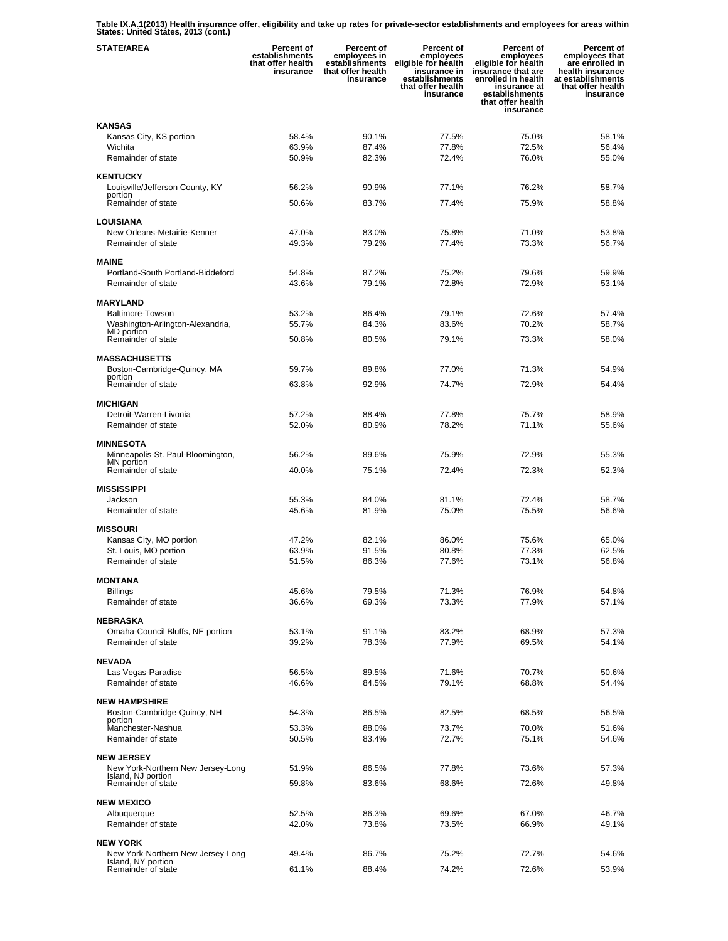**Table IX.A.1(2013) Health insurance offer, eligibility and take up rates for private-sector establishments and employees for areas within States: United States, 2013 (cont.)** 

| <b>STATE/AREA</b>                                       | Percent of<br>establishments<br>that offer health<br>insurance | Percent of<br>employees in<br>establishments<br>that offer health<br>insurance | Percent of<br>employees<br>eligible for health<br>insurance in<br>establishments<br>that offer health<br>insurance | <b>Percent of</b><br>employees<br>eligible for health<br>insurance that are<br>enrolled in health<br>insurance at<br>establishments<br>that offer health<br>insurance | Percent of<br>employees that<br>are enrolled in<br>health insurance<br>at establishments<br>that offer health<br>insurance |
|---------------------------------------------------------|----------------------------------------------------------------|--------------------------------------------------------------------------------|--------------------------------------------------------------------------------------------------------------------|-----------------------------------------------------------------------------------------------------------------------------------------------------------------------|----------------------------------------------------------------------------------------------------------------------------|
| <b>KANSAS</b>                                           |                                                                |                                                                                |                                                                                                                    |                                                                                                                                                                       |                                                                                                                            |
| Kansas City, KS portion                                 | 58.4%                                                          | 90.1%                                                                          | 77.5%                                                                                                              | 75.0%                                                                                                                                                                 | 58.1%                                                                                                                      |
| Wichita                                                 | 63.9%                                                          | 87.4%                                                                          | 77.8%                                                                                                              | 72.5%                                                                                                                                                                 | 56.4%                                                                                                                      |
| Remainder of state                                      | 50.9%                                                          | 82.3%                                                                          | 72.4%                                                                                                              | 76.0%                                                                                                                                                                 | 55.0%                                                                                                                      |
| <b>KENTUCKY</b>                                         |                                                                |                                                                                |                                                                                                                    |                                                                                                                                                                       |                                                                                                                            |
| Louisville/Jefferson County, KY                         | 56.2%                                                          | 90.9%                                                                          | 77.1%                                                                                                              | 76.2%                                                                                                                                                                 | 58.7%                                                                                                                      |
| portion<br>Remainder of state                           | 50.6%                                                          | 83.7%                                                                          | 77.4%                                                                                                              | 75.9%                                                                                                                                                                 | 58.8%                                                                                                                      |
|                                                         |                                                                |                                                                                |                                                                                                                    |                                                                                                                                                                       |                                                                                                                            |
| <b>LOUISIANA</b>                                        |                                                                |                                                                                |                                                                                                                    |                                                                                                                                                                       |                                                                                                                            |
| New Orleans-Metairie-Kenner                             | 47.0%                                                          | 83.0%                                                                          | 75.8%                                                                                                              | 71.0%                                                                                                                                                                 | 53.8%                                                                                                                      |
| Remainder of state                                      | 49.3%                                                          | 79.2%                                                                          | 77.4%                                                                                                              | 73.3%                                                                                                                                                                 | 56.7%                                                                                                                      |
| <b>MAINE</b>                                            |                                                                |                                                                                |                                                                                                                    |                                                                                                                                                                       |                                                                                                                            |
| Portland-South Portland-Biddeford                       | 54.8%                                                          | 87.2%                                                                          | 75.2%                                                                                                              | 79.6%                                                                                                                                                                 | 59.9%                                                                                                                      |
| Remainder of state                                      | 43.6%                                                          | 79.1%                                                                          | 72.8%                                                                                                              | 72.9%                                                                                                                                                                 | 53.1%                                                                                                                      |
|                                                         |                                                                |                                                                                |                                                                                                                    |                                                                                                                                                                       |                                                                                                                            |
| <b>MARYLAND</b><br><b>Baltimore-Towson</b>              | 53.2%                                                          | 86.4%                                                                          | 79.1%                                                                                                              | 72.6%                                                                                                                                                                 | 57.4%                                                                                                                      |
| Washington-Arlington-Alexandria,                        | 55.7%                                                          | 84.3%                                                                          | 83.6%                                                                                                              | 70.2%                                                                                                                                                                 | 58.7%                                                                                                                      |
| MD portion<br>Remainder of state                        |                                                                | 80.5%                                                                          | 79.1%                                                                                                              | 73.3%                                                                                                                                                                 | 58.0%                                                                                                                      |
|                                                         | 50.8%                                                          |                                                                                |                                                                                                                    |                                                                                                                                                                       |                                                                                                                            |
| <b>MASSACHUSETTS</b>                                    |                                                                |                                                                                |                                                                                                                    |                                                                                                                                                                       |                                                                                                                            |
| Boston-Cambridge-Quincy, MA                             | 59.7%                                                          | 89.8%                                                                          | 77.0%                                                                                                              | 71.3%                                                                                                                                                                 | 54.9%                                                                                                                      |
| portion<br>Remainder of state                           | 63.8%                                                          | 92.9%                                                                          | 74.7%                                                                                                              | 72.9%                                                                                                                                                                 | 54.4%                                                                                                                      |
|                                                         |                                                                |                                                                                |                                                                                                                    |                                                                                                                                                                       |                                                                                                                            |
| <b>MICHIGAN</b><br>Detroit-Warren-Livonia               | 57.2%                                                          | 88.4%                                                                          | 77.8%                                                                                                              | 75.7%                                                                                                                                                                 | 58.9%                                                                                                                      |
| Remainder of state                                      | 52.0%                                                          | 80.9%                                                                          | 78.2%                                                                                                              | 71.1%                                                                                                                                                                 | 55.6%                                                                                                                      |
|                                                         |                                                                |                                                                                |                                                                                                                    |                                                                                                                                                                       |                                                                                                                            |
| <b>MINNESOTA</b>                                        |                                                                |                                                                                |                                                                                                                    |                                                                                                                                                                       |                                                                                                                            |
| Minneapolis-St. Paul-Bloomington,<br>MN portion         | 56.2%                                                          | 89.6%                                                                          | 75.9%                                                                                                              | 72.9%                                                                                                                                                                 | 55.3%                                                                                                                      |
| Remainder of state                                      | 40.0%                                                          | 75.1%                                                                          | 72.4%                                                                                                              | 72.3%                                                                                                                                                                 | 52.3%                                                                                                                      |
|                                                         |                                                                |                                                                                |                                                                                                                    |                                                                                                                                                                       |                                                                                                                            |
| <b>MISSISSIPPI</b><br>Jackson                           | 55.3%                                                          | 84.0%                                                                          | 81.1%                                                                                                              | 72.4%                                                                                                                                                                 | 58.7%                                                                                                                      |
| Remainder of state                                      | 45.6%                                                          | 81.9%                                                                          | 75.0%                                                                                                              | 75.5%                                                                                                                                                                 | 56.6%                                                                                                                      |
|                                                         |                                                                |                                                                                |                                                                                                                    |                                                                                                                                                                       |                                                                                                                            |
| <b>MISSOURI</b>                                         |                                                                |                                                                                |                                                                                                                    |                                                                                                                                                                       |                                                                                                                            |
| Kansas City, MO portion                                 | 47.2%<br>63.9%                                                 | 82.1%<br>91.5%                                                                 | 86.0%<br>80.8%                                                                                                     | 75.6%<br>77.3%                                                                                                                                                        | 65.0%<br>62.5%                                                                                                             |
| St. Louis, MO portion<br>Remainder of state             | 51.5%                                                          | 86.3%                                                                          | 77.6%                                                                                                              | 73.1%                                                                                                                                                                 | 56.8%                                                                                                                      |
|                                                         |                                                                |                                                                                |                                                                                                                    |                                                                                                                                                                       |                                                                                                                            |
| <b>MONTANA</b>                                          |                                                                |                                                                                |                                                                                                                    |                                                                                                                                                                       |                                                                                                                            |
| Billings                                                | 45.6%                                                          | 79.5%                                                                          | 71.3%                                                                                                              | 76.9%                                                                                                                                                                 | 54.8%                                                                                                                      |
| Remainder of state                                      | 36.6%                                                          | 69.3%                                                                          | 73.3%                                                                                                              | 77.9%                                                                                                                                                                 | 57.1%                                                                                                                      |
| <b>NEBRASKA</b>                                         |                                                                |                                                                                |                                                                                                                    |                                                                                                                                                                       |                                                                                                                            |
| Omaha-Council Bluffs, NE portion                        | 53.1%                                                          | 91.1%                                                                          | 83.2%                                                                                                              | 68.9%                                                                                                                                                                 | 57.3%                                                                                                                      |
| Remainder of state                                      | 39.2%                                                          | 78.3%                                                                          | 77.9%                                                                                                              | 69.5%                                                                                                                                                                 | 54.1%                                                                                                                      |
| <b>NEVADA</b>                                           |                                                                |                                                                                |                                                                                                                    |                                                                                                                                                                       |                                                                                                                            |
| Las Vegas-Paradise                                      | 56.5%                                                          | 89.5%                                                                          | 71.6%                                                                                                              | 70.7%                                                                                                                                                                 | 50.6%                                                                                                                      |
| Remainder of state                                      | 46.6%                                                          | 84.5%                                                                          | 79.1%                                                                                                              | 68.8%                                                                                                                                                                 | 54.4%                                                                                                                      |
|                                                         |                                                                |                                                                                |                                                                                                                    |                                                                                                                                                                       |                                                                                                                            |
| <b>NEW HAMPSHIRE</b><br>Boston-Cambridge-Quincy, NH     | 54.3%                                                          | 86.5%                                                                          | 82.5%                                                                                                              | 68.5%                                                                                                                                                                 | 56.5%                                                                                                                      |
| portion                                                 |                                                                |                                                                                |                                                                                                                    |                                                                                                                                                                       |                                                                                                                            |
| Manchester-Nashua<br>Remainder of state                 | 53.3%<br>50.5%                                                 | 88.0%<br>83.4%                                                                 | 73.7%<br>72.7%                                                                                                     | 70.0%<br>75.1%                                                                                                                                                        | 51.6%<br>54.6%                                                                                                             |
|                                                         |                                                                |                                                                                |                                                                                                                    |                                                                                                                                                                       |                                                                                                                            |
| <b>NEW JERSEY</b>                                       |                                                                |                                                                                |                                                                                                                    |                                                                                                                                                                       |                                                                                                                            |
| New York-Northern New Jersey-Long<br>Island, NJ portion | 51.9%                                                          | 86.5%                                                                          | 77.8%                                                                                                              | 73.6%                                                                                                                                                                 | 57.3%                                                                                                                      |
| Remainder of state                                      | 59.8%                                                          | 83.6%                                                                          | 68.6%                                                                                                              | 72.6%                                                                                                                                                                 | 49.8%                                                                                                                      |
|                                                         |                                                                |                                                                                |                                                                                                                    |                                                                                                                                                                       |                                                                                                                            |
| <b>NEW MEXICO</b><br>Albuquerque                        | 52.5%                                                          | 86.3%                                                                          | 69.6%                                                                                                              | 67.0%                                                                                                                                                                 | 46.7%                                                                                                                      |
| Remainder of state                                      | 42.0%                                                          | 73.8%                                                                          | 73.5%                                                                                                              | 66.9%                                                                                                                                                                 | 49.1%                                                                                                                      |
|                                                         |                                                                |                                                                                |                                                                                                                    |                                                                                                                                                                       |                                                                                                                            |
| <b>NEW YORK</b>                                         |                                                                |                                                                                |                                                                                                                    |                                                                                                                                                                       |                                                                                                                            |
| New York-Northern New Jersey-Long<br>Island, NY portion | 49.4%                                                          | 86.7%                                                                          | 75.2%                                                                                                              | 72.7%                                                                                                                                                                 | 54.6%                                                                                                                      |
| Remainder of state                                      | 61.1%                                                          | 88.4%                                                                          | 74.2%                                                                                                              | 72.6%                                                                                                                                                                 | 53.9%                                                                                                                      |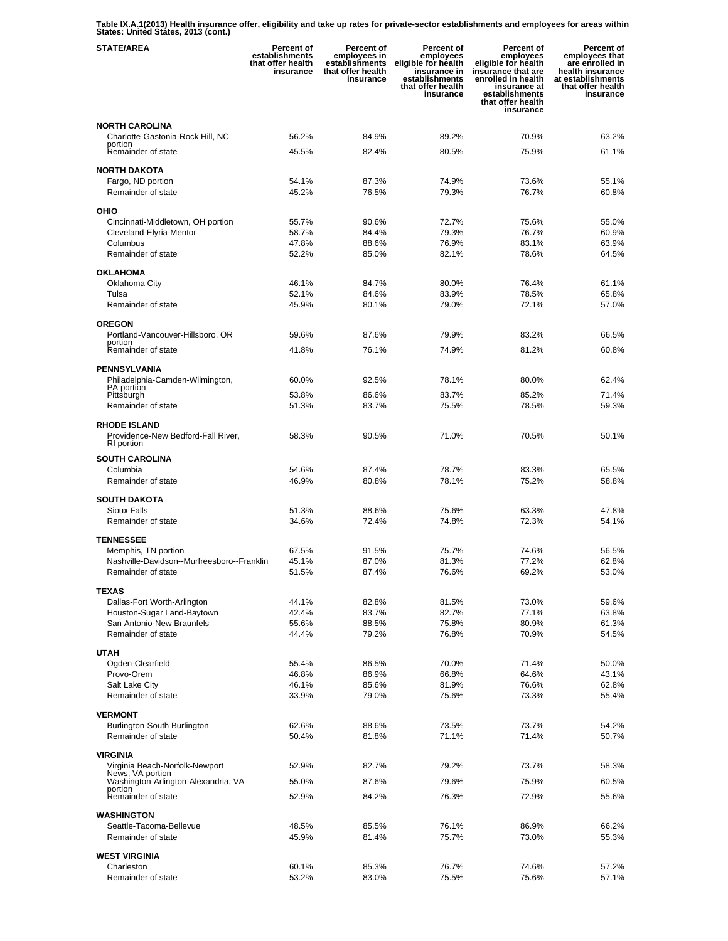**Table IX.A.1(2013) Health insurance offer, eligibility and take up rates for private-sector establishments and employees for areas within States: United States, 2013 (cont.)** 

| <b>STATE/AREA</b>                                                 | Percent of<br>establishments<br>that offer health<br>insurance | Percent of<br>employees in<br>establishments<br>that offer health<br>insurance | Percent of<br>employees<br>eligible for health<br>insurance in<br>establishments<br>that offer health<br>insurance | <b>Percent of</b><br>employees<br>eligible for health<br>insurance that are<br>enrolled in health<br>insurance at<br>establishments<br>that offer health<br>insurance | Percent of<br>employees that<br>are enrolled in<br>health insurance<br>at establishments<br>that offer health<br>insurance |
|-------------------------------------------------------------------|----------------------------------------------------------------|--------------------------------------------------------------------------------|--------------------------------------------------------------------------------------------------------------------|-----------------------------------------------------------------------------------------------------------------------------------------------------------------------|----------------------------------------------------------------------------------------------------------------------------|
| <b>NORTH CAROLINA</b>                                             |                                                                |                                                                                |                                                                                                                    |                                                                                                                                                                       |                                                                                                                            |
| Charlotte-Gastonia-Rock Hill, NC<br>portion                       | 56.2%                                                          | 84.9%                                                                          | 89.2%                                                                                                              | 70.9%                                                                                                                                                                 | 63.2%                                                                                                                      |
| Remainder of state                                                | 45.5%                                                          | 82.4%                                                                          | 80.5%                                                                                                              | 75.9%                                                                                                                                                                 | 61.1%                                                                                                                      |
| <b>NORTH DAKOTA</b>                                               |                                                                |                                                                                |                                                                                                                    |                                                                                                                                                                       |                                                                                                                            |
| Fargo, ND portion                                                 | 54.1%                                                          | 87.3%                                                                          | 74.9%                                                                                                              | 73.6%                                                                                                                                                                 | 55.1%                                                                                                                      |
| Remainder of state                                                | 45.2%                                                          | 76.5%                                                                          | 79.3%                                                                                                              | 76.7%                                                                                                                                                                 | 60.8%                                                                                                                      |
| OHIO                                                              |                                                                |                                                                                |                                                                                                                    |                                                                                                                                                                       |                                                                                                                            |
| Cincinnati-Middletown, OH portion                                 | 55.7%                                                          | 90.6%                                                                          | 72.7%                                                                                                              | 75.6%                                                                                                                                                                 | 55.0%                                                                                                                      |
| Cleveland-Elyria-Mentor                                           | 58.7%                                                          | 84.4%                                                                          | 79.3%                                                                                                              | 76.7%                                                                                                                                                                 | 60.9%                                                                                                                      |
| Columbus<br>Remainder of state                                    | 47.8%<br>52.2%                                                 | 88.6%<br>85.0%                                                                 | 76.9%<br>82.1%                                                                                                     | 83.1%<br>78.6%                                                                                                                                                        | 63.9%<br>64.5%                                                                                                             |
|                                                                   |                                                                |                                                                                |                                                                                                                    |                                                                                                                                                                       |                                                                                                                            |
| <b>OKLAHOMA</b><br>Oklahoma City                                  | 46.1%                                                          | 84.7%                                                                          | 80.0%                                                                                                              | 76.4%                                                                                                                                                                 | 61.1%                                                                                                                      |
| Tulsa                                                             | 52.1%                                                          | 84.6%                                                                          | 83.9%                                                                                                              | 78.5%                                                                                                                                                                 | 65.8%                                                                                                                      |
| Remainder of state                                                | 45.9%                                                          | 80.1%                                                                          | 79.0%                                                                                                              | 72.1%                                                                                                                                                                 | 57.0%                                                                                                                      |
| <b>OREGON</b>                                                     |                                                                |                                                                                |                                                                                                                    |                                                                                                                                                                       |                                                                                                                            |
| Portland-Vancouver-Hillsboro, OR                                  | 59.6%                                                          | 87.6%                                                                          | 79.9%                                                                                                              | 83.2%                                                                                                                                                                 | 66.5%                                                                                                                      |
| portion<br>Remainder of state                                     | 41.8%                                                          | 76.1%                                                                          | 74.9%                                                                                                              | 81.2%                                                                                                                                                                 | 60.8%                                                                                                                      |
|                                                                   |                                                                |                                                                                |                                                                                                                    |                                                                                                                                                                       |                                                                                                                            |
| <b>PENNSYLVANIA</b>                                               |                                                                |                                                                                |                                                                                                                    |                                                                                                                                                                       |                                                                                                                            |
| Philadelphia-Camden-Wilmington,<br>PA portion                     | 60.0%                                                          | 92.5%                                                                          | 78.1%                                                                                                              | 80.0%                                                                                                                                                                 | 62.4%                                                                                                                      |
| Pittsburgh                                                        | 53.8%                                                          | 86.6%<br>83.7%                                                                 | 83.7%<br>75.5%                                                                                                     | 85.2%<br>78.5%                                                                                                                                                        | 71.4%<br>59.3%                                                                                                             |
| Remainder of state                                                | 51.3%                                                          |                                                                                |                                                                                                                    |                                                                                                                                                                       |                                                                                                                            |
| <b>RHODE ISLAND</b><br>Providence-New Bedford-Fall River,         | 58.3%                                                          | 90.5%                                                                          | 71.0%                                                                                                              | 70.5%                                                                                                                                                                 | 50.1%                                                                                                                      |
| RI portion                                                        |                                                                |                                                                                |                                                                                                                    |                                                                                                                                                                       |                                                                                                                            |
| <b>SOUTH CAROLINA</b>                                             |                                                                |                                                                                |                                                                                                                    |                                                                                                                                                                       |                                                                                                                            |
| Columbia                                                          | 54.6%                                                          | 87.4%                                                                          | 78.7%                                                                                                              | 83.3%                                                                                                                                                                 | 65.5%                                                                                                                      |
| Remainder of state                                                | 46.9%                                                          | 80.8%                                                                          | 78.1%                                                                                                              | 75.2%                                                                                                                                                                 | 58.8%                                                                                                                      |
| <b>SOUTH DAKOTA</b>                                               |                                                                |                                                                                |                                                                                                                    |                                                                                                                                                                       |                                                                                                                            |
| <b>Sioux Falls</b><br>Remainder of state                          | 51.3%                                                          | 88.6%                                                                          | 75.6%                                                                                                              | 63.3%                                                                                                                                                                 | 47.8%                                                                                                                      |
|                                                                   | 34.6%                                                          | 72.4%                                                                          | 74.8%                                                                                                              | 72.3%                                                                                                                                                                 | 54.1%                                                                                                                      |
| <b>TENNESSEE</b>                                                  |                                                                |                                                                                |                                                                                                                    |                                                                                                                                                                       |                                                                                                                            |
| Memphis, TN portion<br>Nashville-Davidson--Murfreesboro--Franklin | 67.5%<br>45.1%                                                 | 91.5%<br>87.0%                                                                 | 75.7%<br>81.3%                                                                                                     | 74.6%<br>77.2%                                                                                                                                                        | 56.5%<br>62.8%                                                                                                             |
| Remainder of state                                                | 51.5%                                                          | 87.4%                                                                          | 76.6%                                                                                                              | 69.2%                                                                                                                                                                 | 53.0%                                                                                                                      |
|                                                                   |                                                                |                                                                                |                                                                                                                    |                                                                                                                                                                       |                                                                                                                            |
| <b>TEXAS</b><br>Dallas-Fort Worth-Arlington                       | 44.1%                                                          | 82.8%                                                                          | 81.5%                                                                                                              | 73.0%                                                                                                                                                                 | 59.6%                                                                                                                      |
| Houston-Sugar Land-Baytown                                        | 42.4%                                                          | 83.7%                                                                          | 82.7%                                                                                                              | 77.1%                                                                                                                                                                 | 63.8%                                                                                                                      |
| San Antonio-New Braunfels                                         | 55.6%                                                          | 88.5%                                                                          | 75.8%                                                                                                              | 80.9%                                                                                                                                                                 | 61.3%                                                                                                                      |
| Remainder of state                                                | 44.4%                                                          | 79.2%                                                                          | 76.8%                                                                                                              | 70.9%                                                                                                                                                                 | 54.5%                                                                                                                      |
| <b>UTAH</b>                                                       |                                                                |                                                                                |                                                                                                                    |                                                                                                                                                                       |                                                                                                                            |
| Ogden-Clearfield                                                  | 55.4%                                                          | 86.5%                                                                          | 70.0%                                                                                                              | 71.4%                                                                                                                                                                 | 50.0%                                                                                                                      |
| Provo-Orem<br>Salt Lake City                                      | 46.8%<br>46.1%                                                 | 86.9%<br>85.6%                                                                 | 66.8%<br>81.9%                                                                                                     | 64.6%<br>76.6%                                                                                                                                                        | 43.1%<br>62.8%                                                                                                             |
| Remainder of state                                                | 33.9%                                                          | 79.0%                                                                          | 75.6%                                                                                                              | 73.3%                                                                                                                                                                 | 55.4%                                                                                                                      |
|                                                                   |                                                                |                                                                                |                                                                                                                    |                                                                                                                                                                       |                                                                                                                            |
| <b>VERMONT</b><br>Burlington-South Burlington                     | 62.6%                                                          | 88.6%                                                                          | 73.5%                                                                                                              | 73.7%                                                                                                                                                                 | 54.2%                                                                                                                      |
| Remainder of state                                                | 50.4%                                                          | 81.8%                                                                          | 71.1%                                                                                                              | 71.4%                                                                                                                                                                 | 50.7%                                                                                                                      |
|                                                                   |                                                                |                                                                                |                                                                                                                    |                                                                                                                                                                       |                                                                                                                            |
| <b>VIRGINIA</b><br>Virginia Beach-Norfolk-Newport                 | 52.9%                                                          | 82.7%                                                                          | 79.2%                                                                                                              | 73.7%                                                                                                                                                                 | 58.3%                                                                                                                      |
| News, VA portion<br>Washington-Arlington-Alexandria, VA           | 55.0%                                                          | 87.6%                                                                          | 79.6%                                                                                                              | 75.9%                                                                                                                                                                 | 60.5%                                                                                                                      |
| portion                                                           |                                                                |                                                                                |                                                                                                                    |                                                                                                                                                                       |                                                                                                                            |
| Remainder of state                                                | 52.9%                                                          | 84.2%                                                                          | 76.3%                                                                                                              | 72.9%                                                                                                                                                                 | 55.6%                                                                                                                      |
| <b>WASHINGTON</b>                                                 |                                                                |                                                                                |                                                                                                                    |                                                                                                                                                                       |                                                                                                                            |
| Seattle-Tacoma-Bellevue                                           | 48.5%                                                          | 85.5%                                                                          | 76.1%                                                                                                              | 86.9%                                                                                                                                                                 | 66.2%                                                                                                                      |
| Remainder of state                                                | 45.9%                                                          | 81.4%                                                                          | 75.7%                                                                                                              | 73.0%                                                                                                                                                                 | 55.3%                                                                                                                      |
| <b>WEST VIRGINIA</b>                                              |                                                                |                                                                                |                                                                                                                    |                                                                                                                                                                       |                                                                                                                            |
| Charleston<br>Remainder of state                                  | 60.1%<br>53.2%                                                 | 85.3%<br>83.0%                                                                 | 76.7%<br>75.5%                                                                                                     | 74.6%<br>75.6%                                                                                                                                                        | 57.2%<br>57.1%                                                                                                             |
|                                                                   |                                                                |                                                                                |                                                                                                                    |                                                                                                                                                                       |                                                                                                                            |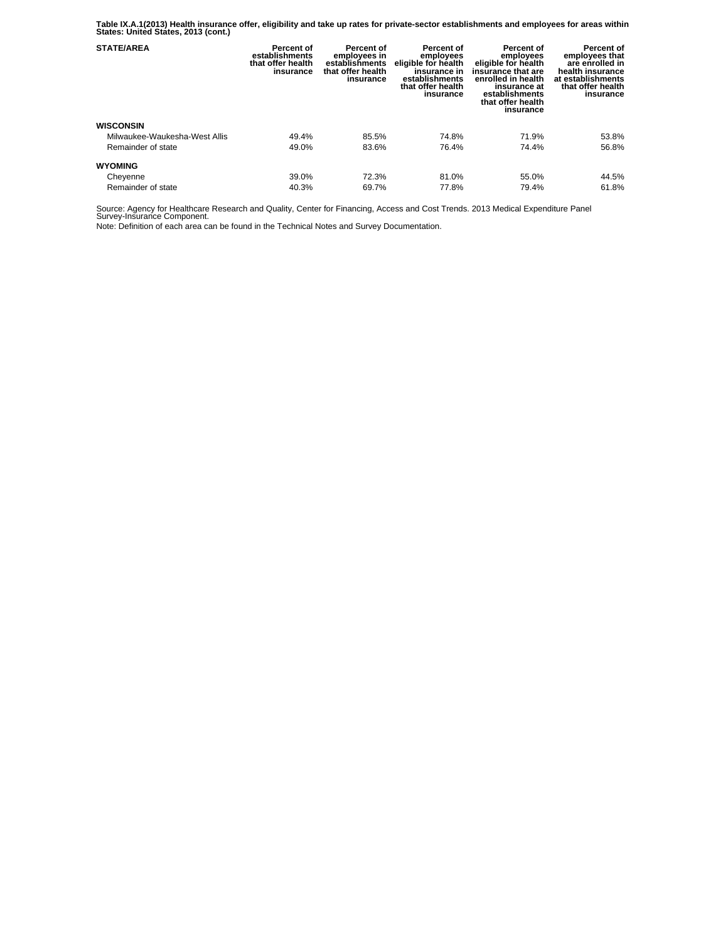**Table IX.A.1(2013) Health insurance offer, eligibility and take up rates for private-sector establishments and employees for areas within States: United States, 2013 (cont.)** 

| <b>STATE/AREA</b>             | Percent of<br>establishments<br>that offer health<br>insurance | Percent of<br>employees in<br>establishments<br>that offer health<br>insurance | Percent of<br>employees<br>eligible for health<br>insurance in<br>establishments<br>that offer health<br>insurance | Percent of<br>employees<br>eligible for health<br>insurance that are<br>enrolled in health<br>insurance at<br>establishments<br>that offer health<br>insurance | Percent of<br>employees that<br>are enrolled in<br>health insurance<br>at establishments<br>that offer health<br>insurance |
|-------------------------------|----------------------------------------------------------------|--------------------------------------------------------------------------------|--------------------------------------------------------------------------------------------------------------------|----------------------------------------------------------------------------------------------------------------------------------------------------------------|----------------------------------------------------------------------------------------------------------------------------|
| <b>WISCONSIN</b>              |                                                                |                                                                                |                                                                                                                    |                                                                                                                                                                |                                                                                                                            |
| Milwaukee-Waukesha-West Allis | 49.4%                                                          | 85.5%                                                                          | 74.8%                                                                                                              | 71.9%                                                                                                                                                          | 53.8%                                                                                                                      |
| Remainder of state            | 49.0%                                                          | 83.6%                                                                          | 76.4%                                                                                                              | 74.4%                                                                                                                                                          | 56.8%                                                                                                                      |
| <b>WYOMING</b>                |                                                                |                                                                                |                                                                                                                    |                                                                                                                                                                |                                                                                                                            |
| Cheyenne                      | 39.0%                                                          | 72.3%                                                                          | 81.0%                                                                                                              | 55.0%                                                                                                                                                          | 44.5%                                                                                                                      |
| Remainder of state            | 40.3%                                                          | 69.7%                                                                          | 77.8%                                                                                                              | 79.4%                                                                                                                                                          | 61.8%                                                                                                                      |

Source: Agency for Healthcare Research and Quality, Center for Financing, Access and Cost Trends. 2013 Medical Expenditure Panel Survey-Insurance Component.

Note: Definition of each area can be found in the Technical Notes and Survey Documentation.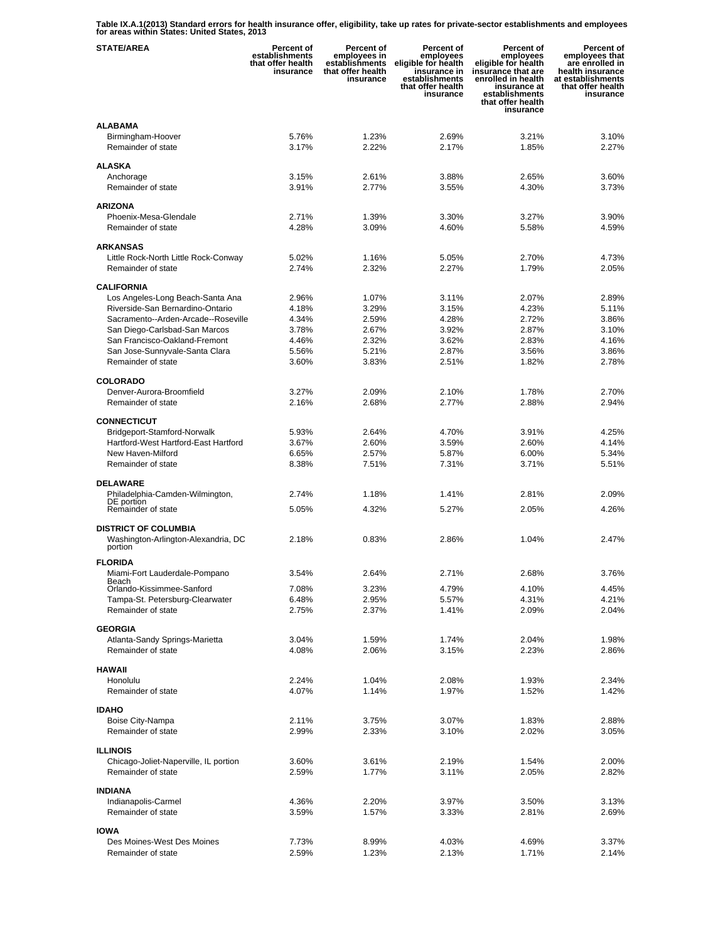**Table IX.A.1(2013) Standard errors for health insurance offer, eligibility, take up rates for private-sector establishments and employees for areas within States: United States, 2013** 

| <b>STATE/AREA</b>                                              | <b>Percent of</b><br>establishments<br>that offer health<br>insurance | Percent of<br>employees in<br>establishments<br>that offer health<br>insurance | Percent of<br>employees<br>eligible for health<br>insurance in<br>establishments<br>that offer health<br>insurance | <b>Percent of</b><br>employees<br>eligible for health<br>insurance that are<br>enrolled in health<br>insurance at<br>establishments<br>that offer health<br>insurance | Percent of<br>employees that<br>are enrolled in<br>health insurance<br>at establishments<br>that offer health<br>insurance |
|----------------------------------------------------------------|-----------------------------------------------------------------------|--------------------------------------------------------------------------------|--------------------------------------------------------------------------------------------------------------------|-----------------------------------------------------------------------------------------------------------------------------------------------------------------------|----------------------------------------------------------------------------------------------------------------------------|
| <b>ALABAMA</b>                                                 |                                                                       |                                                                                |                                                                                                                    |                                                                                                                                                                       |                                                                                                                            |
| Birmingham-Hoover                                              | 5.76%                                                                 | 1.23%                                                                          | 2.69%                                                                                                              | 3.21%                                                                                                                                                                 | 3.10%                                                                                                                      |
| Remainder of state                                             | 3.17%                                                                 | 2.22%                                                                          | 2.17%                                                                                                              | 1.85%                                                                                                                                                                 | 2.27%                                                                                                                      |
|                                                                |                                                                       |                                                                                |                                                                                                                    |                                                                                                                                                                       |                                                                                                                            |
| <b>ALASKA</b>                                                  |                                                                       |                                                                                |                                                                                                                    |                                                                                                                                                                       |                                                                                                                            |
| Anchorage<br>Remainder of state                                | 3.15%<br>3.91%                                                        | 2.61%<br>2.77%                                                                 | 3.88%<br>3.55%                                                                                                     | 2.65%<br>4.30%                                                                                                                                                        | 3.60%<br>3.73%                                                                                                             |
|                                                                |                                                                       |                                                                                |                                                                                                                    |                                                                                                                                                                       |                                                                                                                            |
| <b>ARIZONA</b>                                                 |                                                                       |                                                                                |                                                                                                                    |                                                                                                                                                                       |                                                                                                                            |
| Phoenix-Mesa-Glendale                                          | 2.71%                                                                 | 1.39%                                                                          | 3.30%                                                                                                              | 3.27%                                                                                                                                                                 | 3.90%                                                                                                                      |
| Remainder of state                                             | 4.28%                                                                 | 3.09%                                                                          | 4.60%                                                                                                              | 5.58%                                                                                                                                                                 | 4.59%                                                                                                                      |
| <b>ARKANSAS</b>                                                |                                                                       |                                                                                |                                                                                                                    |                                                                                                                                                                       |                                                                                                                            |
| Little Rock-North Little Rock-Conway                           | 5.02%                                                                 | 1.16%                                                                          | 5.05%                                                                                                              | 2.70%                                                                                                                                                                 | 4.73%                                                                                                                      |
| Remainder of state                                             | 2.74%                                                                 | 2.32%                                                                          | 2.27%                                                                                                              | 1.79%                                                                                                                                                                 | 2.05%                                                                                                                      |
|                                                                |                                                                       |                                                                                |                                                                                                                    |                                                                                                                                                                       |                                                                                                                            |
| <b>CALIFORNIA</b>                                              |                                                                       |                                                                                |                                                                                                                    |                                                                                                                                                                       |                                                                                                                            |
| Los Angeles-Long Beach-Santa Ana                               | 2.96%                                                                 | 1.07%                                                                          | 3.11%                                                                                                              | 2.07%                                                                                                                                                                 | 2.89%                                                                                                                      |
| Riverside-San Bernardino-Ontario                               | 4.18%                                                                 | 3.29%                                                                          | 3.15%                                                                                                              | 4.23%                                                                                                                                                                 | 5.11%                                                                                                                      |
| Sacramento--Arden-Arcade--Roseville                            | 4.34%                                                                 | 2.59%                                                                          | 4.28%                                                                                                              | 2.72%                                                                                                                                                                 | 3.86%                                                                                                                      |
| San Diego-Carlsbad-San Marcos<br>San Francisco-Oakland-Fremont | 3.78%<br>4.46%                                                        | 2.67%<br>2.32%                                                                 | 3.92%<br>3.62%                                                                                                     | 2.87%<br>2.83%                                                                                                                                                        | 3.10%<br>4.16%                                                                                                             |
| San Jose-Sunnyvale-Santa Clara                                 | 5.56%                                                                 | 5.21%                                                                          | 2.87%                                                                                                              | 3.56%                                                                                                                                                                 | 3.86%                                                                                                                      |
| Remainder of state                                             | 3.60%                                                                 | 3.83%                                                                          | 2.51%                                                                                                              | 1.82%                                                                                                                                                                 | 2.78%                                                                                                                      |
|                                                                |                                                                       |                                                                                |                                                                                                                    |                                                                                                                                                                       |                                                                                                                            |
| <b>COLORADO</b>                                                |                                                                       |                                                                                |                                                                                                                    |                                                                                                                                                                       |                                                                                                                            |
| Denver-Aurora-Broomfield                                       | 3.27%                                                                 | 2.09%                                                                          | 2.10%                                                                                                              | 1.78%                                                                                                                                                                 | 2.70%                                                                                                                      |
| Remainder of state                                             | 2.16%                                                                 | 2.68%                                                                          | 2.77%                                                                                                              | 2.88%                                                                                                                                                                 | 2.94%                                                                                                                      |
| <b>CONNECTICUT</b>                                             |                                                                       |                                                                                |                                                                                                                    |                                                                                                                                                                       |                                                                                                                            |
| Bridgeport-Stamford-Norwalk                                    | 5.93%                                                                 | 2.64%                                                                          | 4.70%                                                                                                              | 3.91%                                                                                                                                                                 | 4.25%                                                                                                                      |
| Hartford-West Hartford-East Hartford                           | 3.67%                                                                 | 2.60%                                                                          | 3.59%                                                                                                              | 2.60%                                                                                                                                                                 | 4.14%                                                                                                                      |
| New Haven-Milford                                              | 6.65%                                                                 | 2.57%                                                                          | 5.87%                                                                                                              | 6.00%                                                                                                                                                                 | 5.34%                                                                                                                      |
| Remainder of state                                             | 8.38%                                                                 | 7.51%                                                                          | 7.31%                                                                                                              | 3.71%                                                                                                                                                                 | 5.51%                                                                                                                      |
| <b>DELAWARE</b>                                                |                                                                       |                                                                                |                                                                                                                    |                                                                                                                                                                       |                                                                                                                            |
| Philadelphia-Camden-Wilmington,                                | 2.74%                                                                 | 1.18%                                                                          | 1.41%                                                                                                              | 2.81%                                                                                                                                                                 | 2.09%                                                                                                                      |
| DE portion                                                     |                                                                       |                                                                                |                                                                                                                    |                                                                                                                                                                       |                                                                                                                            |
| Remainder of state                                             | 5.05%                                                                 | 4.32%                                                                          | 5.27%                                                                                                              | 2.05%                                                                                                                                                                 | 4.26%                                                                                                                      |
| <b>DISTRICT OF COLUMBIA</b>                                    |                                                                       |                                                                                |                                                                                                                    |                                                                                                                                                                       |                                                                                                                            |
| Washington-Arlington-Alexandria, DC                            | 2.18%                                                                 | 0.83%                                                                          | 2.86%                                                                                                              | 1.04%                                                                                                                                                                 | 2.47%                                                                                                                      |
| portion                                                        |                                                                       |                                                                                |                                                                                                                    |                                                                                                                                                                       |                                                                                                                            |
| <b>FLORIDA</b>                                                 |                                                                       |                                                                                |                                                                                                                    |                                                                                                                                                                       |                                                                                                                            |
| Miami-Fort Lauderdale-Pompano                                  | 3.54%                                                                 | 2.64%                                                                          | 2.71%                                                                                                              | 2.68%                                                                                                                                                                 | 3.76%                                                                                                                      |
| Beach<br>Orlando-Kissimmee-Sanford                             | 7.08%                                                                 | 3.23%                                                                          | 4.79%                                                                                                              | 4.10%                                                                                                                                                                 | 4.45%                                                                                                                      |
| Tampa-St. Petersburg-Clearwater                                | 6.48%                                                                 | 2.95%                                                                          | 5.57%                                                                                                              | 4.31%                                                                                                                                                                 | 4.21%                                                                                                                      |
| Remainder of state                                             | 2.75%                                                                 | 2.37%                                                                          | 1.41%                                                                                                              | 2.09%                                                                                                                                                                 | 2.04%                                                                                                                      |
| <b>GEORGIA</b>                                                 |                                                                       |                                                                                |                                                                                                                    |                                                                                                                                                                       |                                                                                                                            |
|                                                                | 3.04%                                                                 | 1.59%                                                                          | 1.74%                                                                                                              | 2.04%                                                                                                                                                                 | 1.98%                                                                                                                      |
| Atlanta-Sandy Springs-Marietta<br>Remainder of state           | 4.08%                                                                 | 2.06%                                                                          | 3.15%                                                                                                              | 2.23%                                                                                                                                                                 | 2.86%                                                                                                                      |
|                                                                |                                                                       |                                                                                |                                                                                                                    |                                                                                                                                                                       |                                                                                                                            |
| <b>HAWAII</b>                                                  |                                                                       |                                                                                |                                                                                                                    |                                                                                                                                                                       |                                                                                                                            |
| Honolulu                                                       | 2.24%                                                                 | 1.04%                                                                          | 2.08%                                                                                                              | 1.93%                                                                                                                                                                 | 2.34%                                                                                                                      |
| Remainder of state                                             | 4.07%                                                                 | 1.14%                                                                          | 1.97%                                                                                                              | 1.52%                                                                                                                                                                 | 1.42%                                                                                                                      |
| <b>IDAHO</b>                                                   |                                                                       |                                                                                |                                                                                                                    |                                                                                                                                                                       |                                                                                                                            |
| Boise City-Nampa                                               | 2.11%                                                                 | 3.75%                                                                          | 3.07%                                                                                                              | 1.83%                                                                                                                                                                 | 2.88%                                                                                                                      |
| Remainder of state                                             | 2.99%                                                                 | 2.33%                                                                          | 3.10%                                                                                                              | 2.02%                                                                                                                                                                 | 3.05%                                                                                                                      |
|                                                                |                                                                       |                                                                                |                                                                                                                    |                                                                                                                                                                       |                                                                                                                            |
| <b>ILLINOIS</b>                                                |                                                                       |                                                                                |                                                                                                                    |                                                                                                                                                                       |                                                                                                                            |
| Chicago-Joliet-Naperville, IL portion<br>Remainder of state    | 3.60%<br>2.59%                                                        | 3.61%<br>1.77%                                                                 | 2.19%<br>3.11%                                                                                                     | 1.54%<br>2.05%                                                                                                                                                        | 2.00%<br>2.82%                                                                                                             |
|                                                                |                                                                       |                                                                                |                                                                                                                    |                                                                                                                                                                       |                                                                                                                            |
| <b>INDIANA</b>                                                 |                                                                       |                                                                                |                                                                                                                    |                                                                                                                                                                       |                                                                                                                            |
| Indianapolis-Carmel                                            | 4.36%                                                                 | 2.20%                                                                          | 3.97%                                                                                                              | 3.50%                                                                                                                                                                 | 3.13%                                                                                                                      |
| Remainder of state                                             | 3.59%                                                                 | 1.57%                                                                          | 3.33%                                                                                                              | 2.81%                                                                                                                                                                 | 2.69%                                                                                                                      |
| <b>IOWA</b>                                                    |                                                                       |                                                                                |                                                                                                                    |                                                                                                                                                                       |                                                                                                                            |
| Des Moines-West Des Moines                                     | 7.73%                                                                 | 8.99%                                                                          | 4.03%                                                                                                              | 4.69%                                                                                                                                                                 | 3.37%                                                                                                                      |
| Remainder of state                                             | 2.59%                                                                 | 1.23%                                                                          | 2.13%                                                                                                              | 1.71%                                                                                                                                                                 | 2.14%                                                                                                                      |
|                                                                |                                                                       |                                                                                |                                                                                                                    |                                                                                                                                                                       |                                                                                                                            |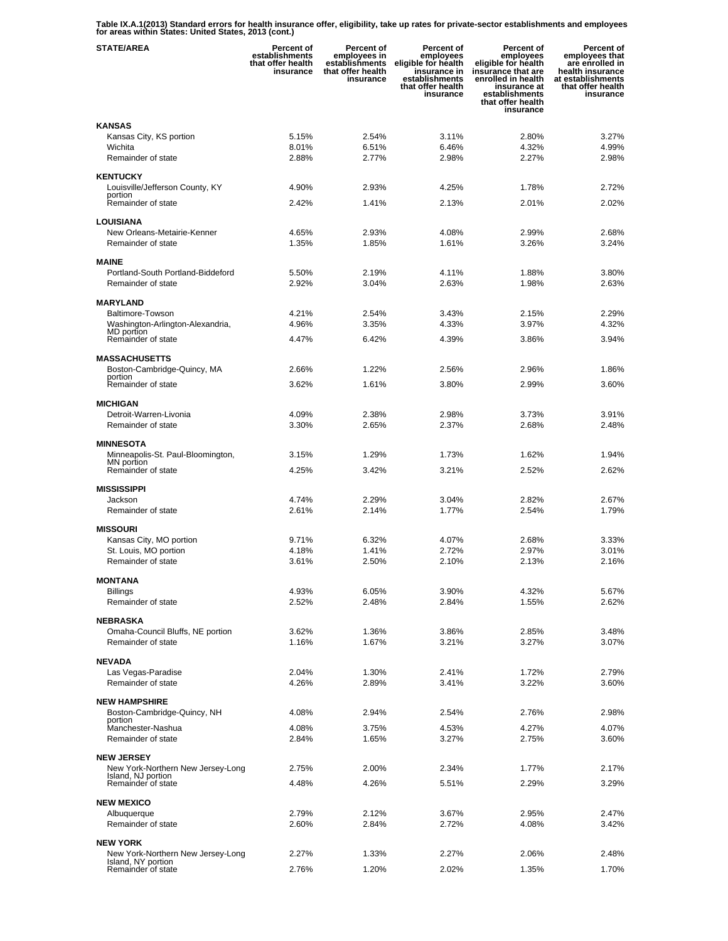**Table IX.A.1(2013) Standard errors for health insurance offer, eligibility, take up rates for private-sector establishments and employees for areas within States: United States, 2013 (cont.)** 

| <b>STATE/AREA</b>                                       | Percent of<br>establishments<br>that offer health<br>insurance | Percent of<br>employees in<br>establishments<br>that offer health<br>insurance | Percent of<br>employees<br>eligible for health<br>insurance in<br>establishments<br>that offer health<br>insurance | <b>Percent of</b><br>employees<br>eligible for health<br>insurance that are<br>enrolled in health<br>insurance at<br>establishments<br>that offer health<br>insurance | Percent of<br>employees that<br>are enrolled in<br>health insurance<br>at establishments<br>that offer health<br>insurance |
|---------------------------------------------------------|----------------------------------------------------------------|--------------------------------------------------------------------------------|--------------------------------------------------------------------------------------------------------------------|-----------------------------------------------------------------------------------------------------------------------------------------------------------------------|----------------------------------------------------------------------------------------------------------------------------|
| <b>KANSAS</b>                                           |                                                                |                                                                                |                                                                                                                    |                                                                                                                                                                       |                                                                                                                            |
| Kansas City, KS portion                                 | 5.15%                                                          | 2.54%                                                                          | 3.11%                                                                                                              | 2.80%                                                                                                                                                                 | 3.27%                                                                                                                      |
| Wichita<br>Remainder of state                           | 8.01%<br>2.88%                                                 | 6.51%<br>2.77%                                                                 | 6.46%<br>2.98%                                                                                                     | 4.32%<br>2.27%                                                                                                                                                        | 4.99%<br>2.98%                                                                                                             |
|                                                         |                                                                |                                                                                |                                                                                                                    |                                                                                                                                                                       |                                                                                                                            |
| <b>KENTUCKY</b>                                         |                                                                |                                                                                |                                                                                                                    |                                                                                                                                                                       |                                                                                                                            |
| Louisville/Jefferson County, KY<br>portion              | 4.90%                                                          | 2.93%                                                                          | 4.25%                                                                                                              | 1.78%                                                                                                                                                                 | 2.72%                                                                                                                      |
| Remainder of state                                      | 2.42%                                                          | 1.41%                                                                          | 2.13%                                                                                                              | 2.01%                                                                                                                                                                 | 2.02%                                                                                                                      |
| <b>LOUISIANA</b>                                        |                                                                |                                                                                |                                                                                                                    |                                                                                                                                                                       |                                                                                                                            |
| New Orleans-Metairie-Kenner                             | 4.65%                                                          | 2.93%                                                                          | 4.08%                                                                                                              | 2.99%                                                                                                                                                                 | 2.68%                                                                                                                      |
| Remainder of state                                      | 1.35%                                                          | 1.85%                                                                          | 1.61%                                                                                                              | 3.26%                                                                                                                                                                 | 3.24%                                                                                                                      |
| <b>MAINE</b>                                            |                                                                |                                                                                |                                                                                                                    |                                                                                                                                                                       |                                                                                                                            |
| Portland-South Portland-Biddeford                       | 5.50%                                                          | 2.19%                                                                          | 4.11%                                                                                                              | 1.88%                                                                                                                                                                 | 3.80%                                                                                                                      |
| Remainder of state                                      | 2.92%                                                          | 3.04%                                                                          | 2.63%                                                                                                              | 1.98%                                                                                                                                                                 | 2.63%                                                                                                                      |
| <b>MARYLAND</b>                                         |                                                                |                                                                                |                                                                                                                    |                                                                                                                                                                       |                                                                                                                            |
| Baltimore-Towson                                        | 4.21%                                                          | 2.54%                                                                          | 3.43%                                                                                                              | 2.15%                                                                                                                                                                 | 2.29%                                                                                                                      |
| Washington-Arlington-Alexandria,                        | 4.96%                                                          | 3.35%                                                                          | 4.33%                                                                                                              | 3.97%                                                                                                                                                                 | 4.32%                                                                                                                      |
| MD portion<br>Remainder of state                        | 4.47%                                                          | 6.42%                                                                          | 4.39%                                                                                                              | 3.86%                                                                                                                                                                 | 3.94%                                                                                                                      |
|                                                         |                                                                |                                                                                |                                                                                                                    |                                                                                                                                                                       |                                                                                                                            |
| <b>MASSACHUSETTS</b><br>Boston-Cambridge-Quincy, MA     | 2.66%                                                          | 1.22%                                                                          | 2.56%                                                                                                              | 2.96%                                                                                                                                                                 | 1.86%                                                                                                                      |
| portion                                                 |                                                                |                                                                                |                                                                                                                    |                                                                                                                                                                       |                                                                                                                            |
| Remainder of state                                      | 3.62%                                                          | 1.61%                                                                          | 3.80%                                                                                                              | 2.99%                                                                                                                                                                 | 3.60%                                                                                                                      |
| <b>MICHIGAN</b>                                         |                                                                |                                                                                |                                                                                                                    |                                                                                                                                                                       |                                                                                                                            |
| Detroit-Warren-Livonia                                  | 4.09%                                                          | 2.38%                                                                          | 2.98%                                                                                                              | 3.73%                                                                                                                                                                 | 3.91%                                                                                                                      |
| Remainder of state                                      | 3.30%                                                          | 2.65%                                                                          | 2.37%                                                                                                              | 2.68%                                                                                                                                                                 | 2.48%                                                                                                                      |
| <b>MINNESOTA</b>                                        |                                                                |                                                                                |                                                                                                                    |                                                                                                                                                                       |                                                                                                                            |
| Minneapolis-St. Paul-Bloomington,<br>MN portion         | 3.15%                                                          | 1.29%                                                                          | 1.73%                                                                                                              | 1.62%                                                                                                                                                                 | 1.94%                                                                                                                      |
| Remainder of state                                      | 4.25%                                                          | 3.42%                                                                          | 3.21%                                                                                                              | 2.52%                                                                                                                                                                 | 2.62%                                                                                                                      |
| <b>MISSISSIPPI</b>                                      |                                                                |                                                                                |                                                                                                                    |                                                                                                                                                                       |                                                                                                                            |
| Jackson                                                 | 4.74%                                                          | 2.29%                                                                          | 3.04%                                                                                                              | 2.82%                                                                                                                                                                 | 2.67%                                                                                                                      |
| Remainder of state                                      | 2.61%                                                          | 2.14%                                                                          | 1.77%                                                                                                              | 2.54%                                                                                                                                                                 | 1.79%                                                                                                                      |
| <b>MISSOURI</b>                                         |                                                                |                                                                                |                                                                                                                    |                                                                                                                                                                       |                                                                                                                            |
| Kansas City, MO portion                                 | 9.71%                                                          | 6.32%                                                                          | 4.07%                                                                                                              | 2.68%                                                                                                                                                                 | 3.33%                                                                                                                      |
| St. Louis, MO portion                                   | 4.18%                                                          | 1.41%                                                                          | 2.72%                                                                                                              | 2.97%                                                                                                                                                                 | 3.01%                                                                                                                      |
| Remainder of state                                      | 3.61%                                                          | 2.50%                                                                          | 2.10%                                                                                                              | 2.13%                                                                                                                                                                 | 2.16%                                                                                                                      |
| <b>MONTANA</b>                                          |                                                                |                                                                                |                                                                                                                    |                                                                                                                                                                       |                                                                                                                            |
| <b>Billings</b>                                         | 4.93%                                                          | 6.05%                                                                          | 3.90%                                                                                                              | 4.32%                                                                                                                                                                 | 5.67%                                                                                                                      |
| Remainder of state                                      | 2.52%                                                          | 2.48%                                                                          | 2.84%                                                                                                              | 1.55%                                                                                                                                                                 | 2.62%                                                                                                                      |
| <b>NEBRASKA</b>                                         |                                                                |                                                                                |                                                                                                                    |                                                                                                                                                                       |                                                                                                                            |
| Omaha-Council Bluffs, NE portion                        | 3.62%                                                          | 1.36%                                                                          | 3.86%                                                                                                              | 2.85%                                                                                                                                                                 | 3.48%                                                                                                                      |
| Remainder of state                                      | 1.16%                                                          | 1.67%                                                                          | 3.21%                                                                                                              | 3.27%                                                                                                                                                                 | 3.07%                                                                                                                      |
| <b>NEVADA</b>                                           |                                                                |                                                                                |                                                                                                                    |                                                                                                                                                                       |                                                                                                                            |
| Las Vegas-Paradise                                      | 2.04%                                                          | 1.30%                                                                          | 2.41%                                                                                                              | 1.72%                                                                                                                                                                 | 2.79%                                                                                                                      |
| Remainder of state                                      | 4.26%                                                          | 2.89%                                                                          | 3.41%                                                                                                              | 3.22%                                                                                                                                                                 | 3.60%                                                                                                                      |
| <b>NEW HAMPSHIRE</b>                                    |                                                                |                                                                                |                                                                                                                    |                                                                                                                                                                       |                                                                                                                            |
| Boston-Cambridge-Quincy, NH                             | 4.08%                                                          | 2.94%                                                                          | 2.54%                                                                                                              | 2.76%                                                                                                                                                                 | 2.98%                                                                                                                      |
| portion<br>Manchester-Nashua                            | 4.08%                                                          | 3.75%                                                                          | 4.53%                                                                                                              | 4.27%                                                                                                                                                                 | 4.07%                                                                                                                      |
| Remainder of state                                      | 2.84%                                                          | 1.65%                                                                          | 3.27%                                                                                                              | 2.75%                                                                                                                                                                 | 3.60%                                                                                                                      |
| <b>NEW JERSEY</b>                                       |                                                                |                                                                                |                                                                                                                    |                                                                                                                                                                       |                                                                                                                            |
| New York-Northern New Jersey-Long                       | 2.75%                                                          | 2.00%                                                                          | 2.34%                                                                                                              | 1.77%                                                                                                                                                                 | 2.17%                                                                                                                      |
| Island, NJ portion<br>Remainder of state                | 4.48%                                                          | 4.26%                                                                          | 5.51%                                                                                                              | 2.29%                                                                                                                                                                 | 3.29%                                                                                                                      |
|                                                         |                                                                |                                                                                |                                                                                                                    |                                                                                                                                                                       |                                                                                                                            |
| <b>NEW MEXICO</b>                                       |                                                                | 2.12%                                                                          | 3.67%                                                                                                              | 2.95%                                                                                                                                                                 | 2.47%                                                                                                                      |
| Albuquerque<br>Remainder of state                       | 2.79%<br>2.60%                                                 | 2.84%                                                                          | 2.72%                                                                                                              | 4.08%                                                                                                                                                                 | 3.42%                                                                                                                      |
|                                                         |                                                                |                                                                                |                                                                                                                    |                                                                                                                                                                       |                                                                                                                            |
| <b>NEW YORK</b>                                         |                                                                |                                                                                |                                                                                                                    |                                                                                                                                                                       |                                                                                                                            |
| New York-Northern New Jersey-Long<br>Island, NY portion | 2.27%                                                          | 1.33%                                                                          | 2.27%                                                                                                              | 2.06%                                                                                                                                                                 | 2.48%                                                                                                                      |
| Remainder of state                                      | 2.76%                                                          | 1.20%                                                                          | 2.02%                                                                                                              | 1.35%                                                                                                                                                                 | 1.70%                                                                                                                      |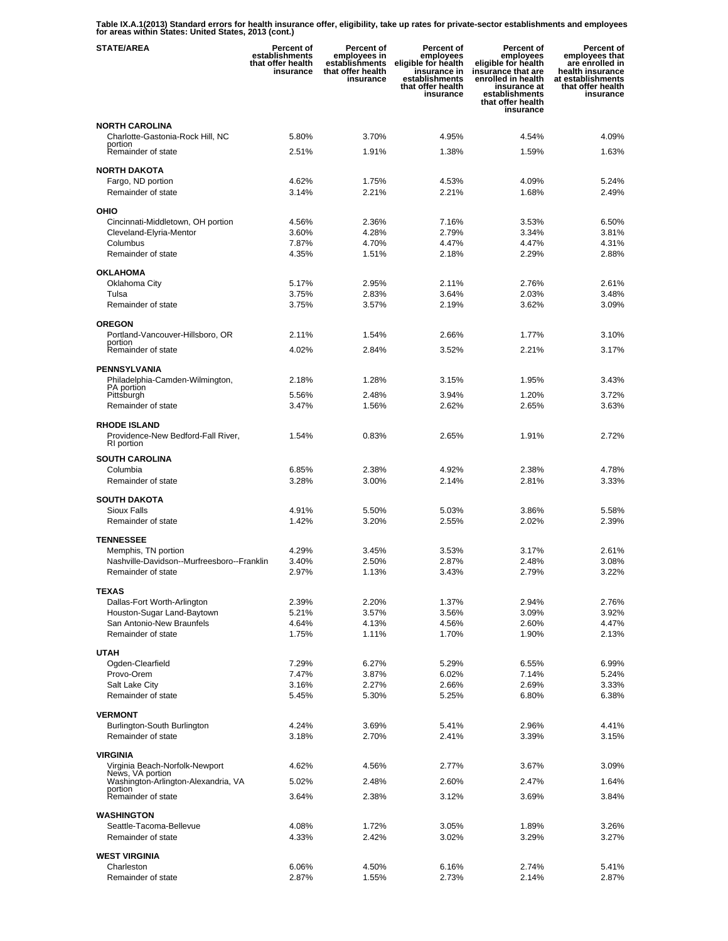**Table IX.A.1(2013) Standard errors for health insurance offer, eligibility, take up rates for private-sector establishments and employees for areas within States: United States, 2013 (cont.)** 

| <b>STATE/AREA</b>                                                 | <b>Percent of</b><br>establishments<br>that offer health<br>insurance | <b>Percent of</b><br>employees in<br>establishments<br>that offer health<br>insurance | Percent of<br>employees<br>eligible for health<br>insurance in<br>establishments<br>that offer health<br>insurance | <b>Percent of</b><br>employees<br>eligible for health<br>insurance that are<br>enrolled in health<br>insurance at<br>establishments<br>that offer health<br>insurance | Percent of<br>employees that<br>are enrolled in<br>health insurance<br>at establishments<br>that offer health<br>insurance |
|-------------------------------------------------------------------|-----------------------------------------------------------------------|---------------------------------------------------------------------------------------|--------------------------------------------------------------------------------------------------------------------|-----------------------------------------------------------------------------------------------------------------------------------------------------------------------|----------------------------------------------------------------------------------------------------------------------------|
| <b>NORTH CAROLINA</b>                                             |                                                                       |                                                                                       |                                                                                                                    |                                                                                                                                                                       |                                                                                                                            |
| Charlotte-Gastonia-Rock Hill, NC<br>portion                       | 5.80%                                                                 | 3.70%                                                                                 | 4.95%                                                                                                              | 4.54%                                                                                                                                                                 | 4.09%                                                                                                                      |
| Remainder of state                                                | 2.51%                                                                 | 1.91%                                                                                 | 1.38%                                                                                                              | 1.59%                                                                                                                                                                 | 1.63%                                                                                                                      |
| <b>NORTH DAKOTA</b>                                               |                                                                       |                                                                                       |                                                                                                                    |                                                                                                                                                                       |                                                                                                                            |
| Fargo, ND portion                                                 | 4.62%                                                                 | 1.75%                                                                                 | 4.53%                                                                                                              | 4.09%                                                                                                                                                                 | 5.24%                                                                                                                      |
| Remainder of state                                                | 3.14%                                                                 | 2.21%                                                                                 | 2.21%                                                                                                              | 1.68%                                                                                                                                                                 | 2.49%                                                                                                                      |
| OHIO                                                              |                                                                       |                                                                                       |                                                                                                                    |                                                                                                                                                                       |                                                                                                                            |
| Cincinnati-Middletown, OH portion                                 | 4.56%                                                                 | 2.36%                                                                                 | 7.16%                                                                                                              | 3.53%                                                                                                                                                                 | 6.50%                                                                                                                      |
| Cleveland-Elyria-Mentor<br>Columbus                               | 3.60%<br>7.87%                                                        | 4.28%<br>4.70%                                                                        | 2.79%<br>4.47%                                                                                                     | 3.34%<br>4.47%                                                                                                                                                        | 3.81%<br>4.31%                                                                                                             |
| Remainder of state                                                | 4.35%                                                                 | 1.51%                                                                                 | 2.18%                                                                                                              | 2.29%                                                                                                                                                                 | 2.88%                                                                                                                      |
| <b>OKLAHOMA</b>                                                   |                                                                       |                                                                                       |                                                                                                                    |                                                                                                                                                                       |                                                                                                                            |
| Oklahoma City                                                     | 5.17%                                                                 | 2.95%                                                                                 | 2.11%                                                                                                              | 2.76%                                                                                                                                                                 | 2.61%                                                                                                                      |
| Tulsa                                                             | 3.75%                                                                 | 2.83%                                                                                 | 3.64%                                                                                                              | 2.03%                                                                                                                                                                 | 3.48%                                                                                                                      |
| Remainder of state                                                | 3.75%                                                                 | 3.57%                                                                                 | 2.19%                                                                                                              | 3.62%                                                                                                                                                                 | 3.09%                                                                                                                      |
| <b>OREGON</b>                                                     |                                                                       |                                                                                       |                                                                                                                    |                                                                                                                                                                       |                                                                                                                            |
| Portland-Vancouver-Hillsboro, OR<br>portion                       | 2.11%                                                                 | 1.54%                                                                                 | 2.66%                                                                                                              | 1.77%                                                                                                                                                                 | 3.10%                                                                                                                      |
| Remainder of state                                                | 4.02%                                                                 | 2.84%                                                                                 | 3.52%                                                                                                              | 2.21%                                                                                                                                                                 | 3.17%                                                                                                                      |
| <b>PENNSYLVANIA</b>                                               |                                                                       |                                                                                       |                                                                                                                    |                                                                                                                                                                       |                                                                                                                            |
| Philadelphia-Camden-Wilmington,<br><b>PA</b> portion              | 2.18%                                                                 | 1.28%                                                                                 | 3.15%                                                                                                              | 1.95%                                                                                                                                                                 | 3.43%                                                                                                                      |
| Pittsburgh                                                        | 5.56%                                                                 | 2.48%                                                                                 | 3.94%                                                                                                              | 1.20%                                                                                                                                                                 | 3.72%                                                                                                                      |
| Remainder of state                                                | 3.47%                                                                 | 1.56%                                                                                 | 2.62%                                                                                                              | 2.65%                                                                                                                                                                 | 3.63%                                                                                                                      |
| <b>RHODE ISLAND</b>                                               |                                                                       |                                                                                       |                                                                                                                    |                                                                                                                                                                       |                                                                                                                            |
| Providence-New Bedford-Fall River,<br>RI portion                  | 1.54%                                                                 | 0.83%                                                                                 | 2.65%                                                                                                              | 1.91%                                                                                                                                                                 | 2.72%                                                                                                                      |
| <b>SOUTH CAROLINA</b>                                             |                                                                       |                                                                                       |                                                                                                                    |                                                                                                                                                                       |                                                                                                                            |
| Columbia                                                          | 6.85%                                                                 | 2.38%                                                                                 | 4.92%                                                                                                              | 2.38%                                                                                                                                                                 | 4.78%                                                                                                                      |
| Remainder of state                                                | 3.28%                                                                 | 3.00%                                                                                 | 2.14%                                                                                                              | 2.81%                                                                                                                                                                 | 3.33%                                                                                                                      |
| <b>SOUTH DAKOTA</b>                                               |                                                                       |                                                                                       |                                                                                                                    |                                                                                                                                                                       |                                                                                                                            |
| <b>Sioux Falls</b>                                                | 4.91%                                                                 | 5.50%                                                                                 | 5.03%                                                                                                              | 3.86%                                                                                                                                                                 | 5.58%                                                                                                                      |
| Remainder of state                                                | 1.42%                                                                 | 3.20%                                                                                 | 2.55%                                                                                                              | 2.02%                                                                                                                                                                 | 2.39%                                                                                                                      |
| <b>TENNESSEE</b>                                                  |                                                                       |                                                                                       |                                                                                                                    |                                                                                                                                                                       |                                                                                                                            |
| Memphis, TN portion<br>Nashville-Davidson--Murfreesboro--Franklin | 4.29%<br>3.40%                                                        | 3.45%<br>2.50%                                                                        | 3.53%<br>2.87%                                                                                                     | 3.17%<br>2.48%                                                                                                                                                        | 2.61%<br>3.08%                                                                                                             |
| Remainder of state                                                | 2.97%                                                                 | 1.13%                                                                                 | 3.43%                                                                                                              | 2.79%                                                                                                                                                                 | 3.22%                                                                                                                      |
| <b>TEXAS</b>                                                      |                                                                       |                                                                                       |                                                                                                                    |                                                                                                                                                                       |                                                                                                                            |
| Dallas-Fort Worth-Arlington                                       | 2.39%                                                                 | 2.20%                                                                                 | 1.37%                                                                                                              | 2.94%                                                                                                                                                                 | 2.76%                                                                                                                      |
| Houston-Sugar Land-Baytown                                        | 5.21%                                                                 | 3.57%                                                                                 | 3.56%                                                                                                              | 3.09%                                                                                                                                                                 | 3.92%                                                                                                                      |
| San Antonio-New Braunfels                                         | 4.64%                                                                 | 4.13%                                                                                 | 4.56%                                                                                                              | 2.60%                                                                                                                                                                 | 4.47%                                                                                                                      |
| Remainder of state                                                | 1.75%                                                                 | 1.11%                                                                                 | 1.70%                                                                                                              | 1.90%                                                                                                                                                                 | 2.13%                                                                                                                      |
| <b>UTAH</b>                                                       |                                                                       |                                                                                       |                                                                                                                    |                                                                                                                                                                       |                                                                                                                            |
| Ogden-Clearfield<br>Provo-Orem                                    | 7.29%<br>7.47%                                                        | 6.27%<br>3.87%                                                                        | 5.29%<br>6.02%                                                                                                     | 6.55%<br>7.14%                                                                                                                                                        | 6.99%<br>5.24%                                                                                                             |
| Salt Lake City                                                    | 3.16%                                                                 | 2.27%                                                                                 | 2.66%                                                                                                              | 2.69%                                                                                                                                                                 | 3.33%                                                                                                                      |
| Remainder of state                                                | 5.45%                                                                 | 5.30%                                                                                 | 5.25%                                                                                                              | 6.80%                                                                                                                                                                 | 6.38%                                                                                                                      |
| <b>VERMONT</b>                                                    |                                                                       |                                                                                       |                                                                                                                    |                                                                                                                                                                       |                                                                                                                            |
| Burlington-South Burlington                                       | 4.24%                                                                 | 3.69%                                                                                 | 5.41%                                                                                                              | 2.96%                                                                                                                                                                 | 4.41%                                                                                                                      |
| Remainder of state                                                | 3.18%                                                                 | 2.70%                                                                                 | 2.41%                                                                                                              | 3.39%                                                                                                                                                                 | 3.15%                                                                                                                      |
| VIRGINIA                                                          |                                                                       |                                                                                       |                                                                                                                    |                                                                                                                                                                       |                                                                                                                            |
| Virginia Beach-Norfolk-Newport<br>News, VA portion                | 4.62%                                                                 | 4.56%                                                                                 | 2.77%                                                                                                              | 3.67%                                                                                                                                                                 | 3.09%                                                                                                                      |
| Washington-Arlington-Alexandria, VA<br>portion                    | 5.02%                                                                 | 2.48%                                                                                 | 2.60%                                                                                                              | 2.47%                                                                                                                                                                 | 1.64%                                                                                                                      |
| Remainder of state                                                | 3.64%                                                                 | 2.38%                                                                                 | 3.12%                                                                                                              | 3.69%                                                                                                                                                                 | 3.84%                                                                                                                      |
| <b>WASHINGTON</b>                                                 |                                                                       |                                                                                       |                                                                                                                    |                                                                                                                                                                       |                                                                                                                            |
| Seattle-Tacoma-Bellevue                                           | 4.08%                                                                 | 1.72%                                                                                 | 3.05%                                                                                                              | 1.89%                                                                                                                                                                 | 3.26%                                                                                                                      |
| Remainder of state                                                | 4.33%                                                                 | 2.42%                                                                                 | 3.02%                                                                                                              | 3.29%                                                                                                                                                                 | 3.27%                                                                                                                      |
| <b>WEST VIRGINIA</b>                                              |                                                                       |                                                                                       |                                                                                                                    |                                                                                                                                                                       |                                                                                                                            |
| Charleston                                                        | 6.06%                                                                 | 4.50%                                                                                 | 6.16%                                                                                                              | 2.74%                                                                                                                                                                 | 5.41%                                                                                                                      |
| Remainder of state                                                | 2.87%                                                                 | 1.55%                                                                                 | 2.73%                                                                                                              | 2.14%                                                                                                                                                                 | 2.87%                                                                                                                      |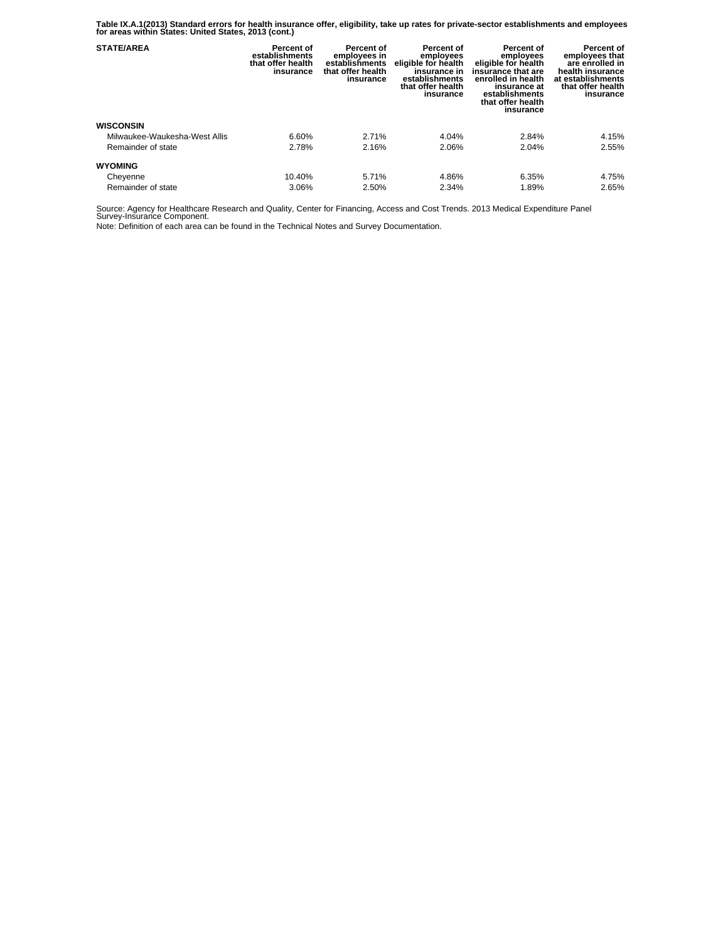**Table IX.A.1(2013) Standard errors for health insurance offer, eligibility, take up rates for private-sector establishments and employees for areas within States: United States, 2013 (cont.)** 

| <b>STATE/AREA</b>             | Percent of<br>establishments<br>that offer health<br>insurance | Percent of<br>employees in<br>establishments<br>that offer health<br>insurance | Percent of<br>employees<br>eligible for health<br>insurance in<br>establishments<br>that offer health<br>insurance | Percent of<br>employees<br>eligible for health<br>insurance that are<br>enrolled in health<br>insurance at<br>establishments<br>that offer health<br>insurance | Percent of<br>employees that<br>are enrolled in<br>health insurance<br>at establishments<br>that offer health<br>insurance |
|-------------------------------|----------------------------------------------------------------|--------------------------------------------------------------------------------|--------------------------------------------------------------------------------------------------------------------|----------------------------------------------------------------------------------------------------------------------------------------------------------------|----------------------------------------------------------------------------------------------------------------------------|
| <b>WISCONSIN</b>              |                                                                |                                                                                |                                                                                                                    |                                                                                                                                                                |                                                                                                                            |
| Milwaukee-Waukesha-West Allis | 6.60%                                                          | 2.71%                                                                          | 4.04%                                                                                                              | 2.84%                                                                                                                                                          | 4.15%                                                                                                                      |
| Remainder of state            | 2.78%                                                          | 2.16%                                                                          | 2.06%                                                                                                              | 2.04%                                                                                                                                                          | 2.55%                                                                                                                      |
| <b>WYOMING</b>                |                                                                |                                                                                |                                                                                                                    |                                                                                                                                                                |                                                                                                                            |
| Cheyenne                      | 10.40%                                                         | 5.71%                                                                          | 4.86%                                                                                                              | 6.35%                                                                                                                                                          | 4.75%                                                                                                                      |
| Remainder of state            | 3.06%                                                          | 2.50%                                                                          | 2.34%                                                                                                              | 1.89%                                                                                                                                                          | 2.65%                                                                                                                      |

Source: Agency for Healthcare Research and Quality, Center for Financing, Access and Cost Trends. 2013 Medical Expenditure Panel Survey-Insurance Component.

Note: Definition of each area can be found in the Technical Notes and Survey Documentation.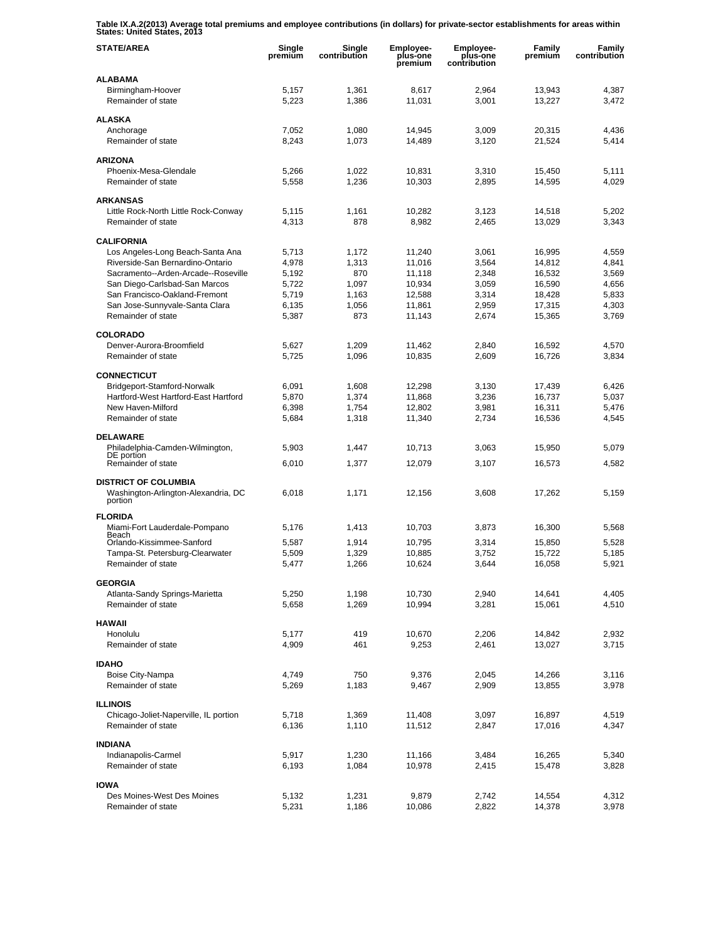**Table IX.A.2(2013) Average total premiums and employee contributions (in dollars) for private-sector establishments for areas within States: United States, 2013** 

| <b>STATE/AREA</b>                                               | Single<br>premium | Single<br>contribution | Employee-<br>plus-one<br>premium | <b>Employee-</b><br>plus-one<br>contribution | <b>Family</b><br>premium | Family<br>contribution |
|-----------------------------------------------------------------|-------------------|------------------------|----------------------------------|----------------------------------------------|--------------------------|------------------------|
| <b>ALABAMA</b>                                                  |                   |                        |                                  |                                              |                          |                        |
| Birmingham-Hoover<br>Remainder of state                         | 5,157<br>5,223    | 1,361<br>1,386         | 8,617<br>11,031                  | 2,964<br>3,001                               | 13,943<br>13,227         | 4,387<br>3,472         |
| <b>ALASKA</b>                                                   |                   |                        |                                  |                                              |                          |                        |
| Anchorage                                                       | 7,052             | 1,080                  | 14,945                           | 3,009                                        | 20,315                   | 4,436                  |
| Remainder of state                                              | 8,243             | 1,073                  | 14,489                           | 3,120                                        | 21,524                   | 5,414                  |
| <b>ARIZONA</b>                                                  |                   |                        |                                  |                                              |                          |                        |
| Phoenix-Mesa-Glendale                                           | 5,266             | 1,022                  | 10,831                           | 3,310                                        | 15,450                   | 5,111                  |
| Remainder of state                                              | 5,558             | 1,236                  | 10,303                           | 2,895                                        | 14,595                   | 4,029                  |
| <b>ARKANSAS</b>                                                 |                   |                        |                                  |                                              |                          |                        |
| Little Rock-North Little Rock-Conway                            | 5,115             | 1,161                  | 10,282                           | 3,123                                        | 14,518                   | 5,202                  |
| Remainder of state                                              | 4,313             | 878                    | 8,982                            | 2,465                                        | 13,029                   | 3,343                  |
| <b>CALIFORNIA</b>                                               |                   |                        |                                  |                                              |                          |                        |
| Los Angeles-Long Beach-Santa Ana                                | 5,713             | 1,172                  | 11,240                           | 3,061                                        | 16,995                   | 4,559                  |
| Riverside-San Bernardino-Ontario                                | 4,978             | 1,313                  | 11,016                           | 3,564                                        | 14,812                   | 4,841                  |
| Sacramento--Arden-Arcade--Roseville                             | 5,192             | 870                    | 11,118                           | 2,348                                        | 16,532                   | 3,569                  |
| San Diego-Carlsbad-San Marcos                                   | 5,722             | 1,097                  | 10,934                           | 3,059                                        | 16,590                   | 4,656                  |
| San Francisco-Oakland-Fremont<br>San Jose-Sunnyvale-Santa Clara | 5.719<br>6,135    | 1,163<br>1,056         | 12,588<br>11,861                 | 3,314<br>2,959                               | 18,428<br>17,315         | 5,833<br>4,303         |
| Remainder of state                                              | 5,387             | 873                    | 11,143                           | 2,674                                        | 15,365                   | 3,769                  |
|                                                                 |                   |                        |                                  |                                              |                          |                        |
| <b>COLORADO</b>                                                 |                   |                        |                                  |                                              |                          |                        |
| Denver-Aurora-Broomfield                                        | 5,627             | 1,209                  | 11,462                           | 2,840                                        | 16,592                   | 4,570                  |
| Remainder of state                                              | 5,725             | 1,096                  | 10,835                           | 2,609                                        | 16,726                   | 3,834                  |
| <b>CONNECTICUT</b>                                              |                   |                        |                                  |                                              |                          |                        |
| Bridgeport-Stamford-Norwalk                                     | 6,091             | 1,608                  | 12,298                           | 3,130                                        | 17,439                   | 6,426                  |
| Hartford-West Hartford-East Hartford                            | 5,870             | 1,374                  | 11,868                           | 3,236                                        | 16,737                   | 5,037                  |
| New Haven-Milford                                               | 6,398             | 1,754                  | 12,802                           | 3,981                                        | 16,311                   | 5,476                  |
| Remainder of state                                              | 5,684             | 1,318                  | 11,340                           | 2,734                                        | 16,536                   | 4,545                  |
| <b>DELAWARE</b>                                                 |                   |                        |                                  |                                              |                          |                        |
| Philadelphia-Camden-Wilmington,<br>DE portion                   | 5,903             | 1,447                  | 10,713                           | 3,063                                        | 15,950                   | 5,079                  |
| Remainder of state                                              | 6,010             | 1,377                  | 12,079                           | 3,107                                        | 16,573                   | 4,582                  |
| <b>DISTRICT OF COLUMBIA</b>                                     |                   |                        |                                  |                                              |                          |                        |
| Washington-Arlington-Alexandria, DC                             | 6,018             | 1,171                  | 12,156                           | 3,608                                        | 17,262                   | 5,159                  |
| portion                                                         |                   |                        |                                  |                                              |                          |                        |
| <b>FLORIDA</b>                                                  |                   |                        |                                  |                                              |                          |                        |
| Miami-Fort Lauderdale-Pompano<br>Beach                          | 5,176             | 1,413                  | 10,703                           | 3,873                                        | 16,300                   | 5,568                  |
| Orlando-Kissimmee-Sanford                                       | 5,587             | 1,914                  | 10,795                           | 3,314                                        | 15,850                   | 5,528                  |
| Tampa-St. Petersburg-Clearwater                                 | 5,509             | 1,329                  | 10,885                           | 3,752                                        | 15,722                   | 5,185                  |
| Remainder of state                                              | 5,477             | 1,266                  | 10,624                           | 3,644                                        | 16,058                   | 5,921                  |
| <b>GEORGIA</b>                                                  |                   |                        |                                  |                                              |                          |                        |
| Atlanta-Sandy Springs-Marietta                                  | 5,250             | 1,198                  | 10,730                           | 2,940                                        | 14,641                   | 4,405                  |
| Remainder of state                                              | 5,658             | 1,269                  | 10,994                           | 3,281                                        | 15,061                   | 4,510                  |
| <b>HAWAII</b>                                                   |                   |                        |                                  |                                              |                          |                        |
| Honolulu                                                        | 5,177             | 419                    | 10,670                           | 2,206                                        | 14,842                   | 2,932                  |
| Remainder of state                                              | 4,909             | 461                    | 9,253                            | 2,461                                        | 13,027                   | 3,715                  |
| <b>IDAHO</b>                                                    |                   |                        |                                  |                                              |                          |                        |
| Boise City-Nampa                                                | 4,749             | 750                    | 9,376                            | 2,045                                        | 14,266                   | 3,116                  |
| Remainder of state                                              | 5,269             | 1,183                  | 9,467                            | 2,909                                        | 13,855                   | 3,978                  |
|                                                                 |                   |                        |                                  |                                              |                          |                        |
| <b>ILLINOIS</b><br>Chicago-Joliet-Naperville, IL portion        | 5,718             | 1,369                  | 11,408                           | 3,097                                        | 16,897                   | 4,519                  |
| Remainder of state                                              | 6,136             | 1,110                  | 11,512                           | 2,847                                        | 17,016                   | 4,347                  |
|                                                                 |                   |                        |                                  |                                              |                          |                        |
| <b>INDIANA</b>                                                  |                   |                        |                                  |                                              |                          |                        |
| Indianapolis-Carmel<br>Remainder of state                       | 5,917<br>6,193    | 1,230<br>1,084         | 11,166<br>10,978                 | 3,484<br>2,415                               | 16,265<br>15,478         | 5,340<br>3,828         |
|                                                                 |                   |                        |                                  |                                              |                          |                        |
| <b>IOWA</b>                                                     |                   |                        |                                  |                                              |                          |                        |
| Des Moines-West Des Moines                                      | 5,132             | 1,231                  | 9,879                            | 2,742                                        | 14,554                   | 4,312                  |
| Remainder of state                                              | 5,231             | 1,186                  | 10,086                           | 2,822                                        | 14,378                   | 3,978                  |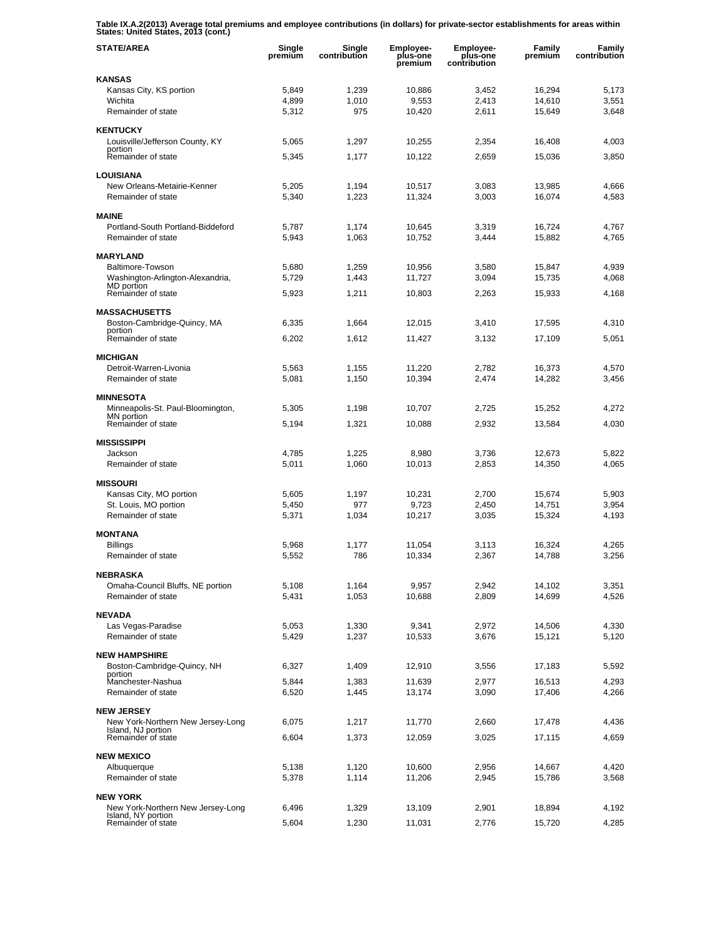**Table IX.A.2(2013) Average total premiums and employee contributions (in dollars) for private-sector establishments for areas within States: United States, 2013 (cont.)** 

| <b>STATE/AREA</b>                                       | Single<br>premium | Single<br>contribution | <b>Employee-</b><br>plus-one<br>premium | <b>Employee-</b><br>plus-one<br>contribution | <b>Family</b><br>premium | Family<br>contribution |
|---------------------------------------------------------|-------------------|------------------------|-----------------------------------------|----------------------------------------------|--------------------------|------------------------|
| KANSAS                                                  |                   |                        |                                         |                                              |                          |                        |
| Kansas City, KS portion                                 | 5,849             | 1,239                  | 10,886                                  | 3,452                                        | 16,294                   | 5,173                  |
| Wichita                                                 | 4,899             | 1,010                  | 9,553                                   | 2,413                                        | 14,610                   | 3,551                  |
| Remainder of state                                      | 5,312             | 975                    | 10,420                                  | 2,611                                        | 15,649                   | 3,648                  |
| <b>KENTUCKY</b>                                         |                   |                        |                                         |                                              |                          |                        |
| Louisville/Jefferson County, KY<br>portion              | 5,065             | 1,297                  | 10,255                                  | 2,354                                        | 16,408                   | 4,003                  |
| Remainder of state                                      | 5,345             | 1,177                  | 10,122                                  | 2,659                                        | 15,036                   | 3,850                  |
| <b>LOUISIANA</b>                                        |                   |                        |                                         |                                              |                          |                        |
| New Orleans-Metairie-Kenner                             | 5,205             | 1,194                  | 10,517                                  | 3,083                                        | 13,985                   | 4,666                  |
| Remainder of state                                      | 5,340             | 1,223                  | 11,324                                  | 3,003                                        | 16,074                   | 4,583                  |
|                                                         |                   |                        |                                         |                                              |                          |                        |
| <b>MAINE</b><br>Portland-South Portland-Biddeford       | 5,787             | 1,174                  | 10,645                                  | 3,319                                        | 16,724                   | 4,767                  |
| Remainder of state                                      | 5,943             | 1,063                  | 10,752                                  | 3,444                                        | 15,882                   | 4,765                  |
|                                                         |                   |                        |                                         |                                              |                          |                        |
| <b>MARYLAND</b><br>Baltimore-Towson                     | 5,680             | 1,259                  | 10,956                                  | 3,580                                        | 15,847                   | 4,939                  |
| Washington-Arlington-Alexandria,                        | 5,729             | 1,443                  | 11,727                                  | 3,094                                        | 15,735                   | 4,068                  |
| MD portion<br>Remainder of state                        |                   |                        |                                         |                                              | 15,933                   | 4,168                  |
|                                                         | 5,923             | 1,211                  | 10,803                                  | 2,263                                        |                          |                        |
| <b>MASSACHUSETTS</b>                                    |                   |                        |                                         |                                              |                          |                        |
| Boston-Cambridge-Quincy, MA<br>portion                  | 6,335             | 1,664                  | 12,015                                  | 3,410                                        | 17,595                   | 4,310                  |
| Remainder of state                                      | 6,202             | 1,612                  | 11,427                                  | 3.132                                        | 17,109                   | 5,051                  |
| <b>MICHIGAN</b>                                         |                   |                        |                                         |                                              |                          |                        |
| Detroit-Warren-Livonia                                  | 5,563             | 1,155                  | 11,220                                  | 2,782                                        | 16,373                   | 4,570                  |
| Remainder of state                                      | 5,081             | 1,150                  | 10,394                                  | 2,474                                        | 14,282                   | 3,456                  |
|                                                         |                   |                        |                                         |                                              |                          |                        |
| <b>MINNESOTA</b><br>Minneapolis-St. Paul-Bloomington,   |                   |                        |                                         |                                              |                          |                        |
| MN portion                                              | 5,305             | 1,198                  | 10,707                                  | 2,725                                        | 15,252                   | 4,272                  |
| Remainder of state                                      | 5,194             | 1,321                  | 10,088                                  | 2,932                                        | 13,584                   | 4,030                  |
| MISSISSIPPI                                             |                   |                        |                                         |                                              |                          |                        |
| Jackson                                                 | 4,785             | 1,225                  | 8,980                                   | 3,736                                        | 12,673                   | 5,822                  |
| Remainder of state                                      | 5,011             | 1,060                  | 10,013                                  | 2,853                                        | 14,350                   | 4,065                  |
| <b>MISSOURI</b>                                         |                   |                        |                                         |                                              |                          |                        |
| Kansas City, MO portion                                 | 5,605             | 1,197                  | 10,231                                  | 2,700                                        | 15,674                   | 5,903                  |
| St. Louis, MO portion                                   | 5,450             | 977                    | 9,723                                   | 2,450                                        | 14,751                   | 3,954                  |
| Remainder of state                                      | 5,371             | 1,034                  | 10,217                                  | 3,035                                        | 15,324                   | 4,193                  |
| <b>MONTANA</b>                                          |                   |                        |                                         |                                              |                          |                        |
| Billings                                                | 5,968             | 1,177                  | 11,054                                  | 3,113                                        | 16,324                   | 4,265                  |
| Remainder of state                                      | 5,552             | 786                    | 10,334                                  | 2,367                                        | 14,788                   | 3,256                  |
| NEBRASKA                                                |                   |                        |                                         |                                              |                          |                        |
| Omaha-Council Bluffs, NE portion                        | 5,108             | 1,164                  | 9,957                                   | 2,942                                        | 14,102                   | 3,351                  |
| Remainder of state                                      | 5,431             | 1,053                  | 10,688                                  | 2,809                                        | 14,699                   | 4,526                  |
| <b>NEVADA</b>                                           |                   |                        |                                         |                                              |                          |                        |
| Las Vegas-Paradise                                      | 5,053             | 1,330                  | 9,341                                   | 2,972                                        | 14,506                   | 4,330                  |
| Remainder of state                                      | 5,429             | 1,237                  | 10,533                                  | 3,676                                        | 15,121                   | 5,120                  |
| <b>NEW HAMPSHIRE</b>                                    |                   |                        |                                         |                                              |                          |                        |
| Boston-Cambridge-Quincy, NH                             | 6,327             | 1,409                  | 12,910                                  | 3,556                                        | 17,183                   | 5,592                  |
| portion<br>Manchester-Nashua                            | 5,844             | 1,383                  | 11,639                                  | 2,977                                        | 16,513                   | 4,293                  |
| Remainder of state                                      | 6,520             | 1,445                  | 13,174                                  | 3,090                                        | 17,406                   | 4,266                  |
|                                                         |                   |                        |                                         |                                              |                          |                        |
| <b>NEW JERSEY</b>                                       |                   |                        |                                         |                                              |                          |                        |
| New York-Northern New Jersey-Long<br>Island, NJ portion | 6,075             | 1,217                  | 11,770                                  | 2,660                                        | 17,478                   | 4,436                  |
| Remainder of state                                      | 6,604             | 1,373                  | 12,059                                  | 3,025                                        | 17,115                   | 4,659                  |
| <b>NEW MEXICO</b>                                       |                   |                        |                                         |                                              |                          |                        |
| Albuquerque                                             | 5,138             | 1,120                  | 10,600                                  | 2,956                                        | 14,667                   | 4,420                  |
| Remainder of state                                      | 5,378             | 1,114                  | 11,206                                  | 2,945                                        | 15,786                   | 3,568                  |
| <b>NEW YORK</b>                                         |                   |                        |                                         |                                              |                          |                        |
| New York-Northern New Jersey-Long                       | 6,496             | 1,329                  | 13,109                                  | 2,901                                        | 18,894                   | 4,192                  |
| Island, NY portion<br>Remainder of state                | 5,604             | 1,230                  | 11,031                                  | 2,776                                        | 15,720                   | 4,285                  |
|                                                         |                   |                        |                                         |                                              |                          |                        |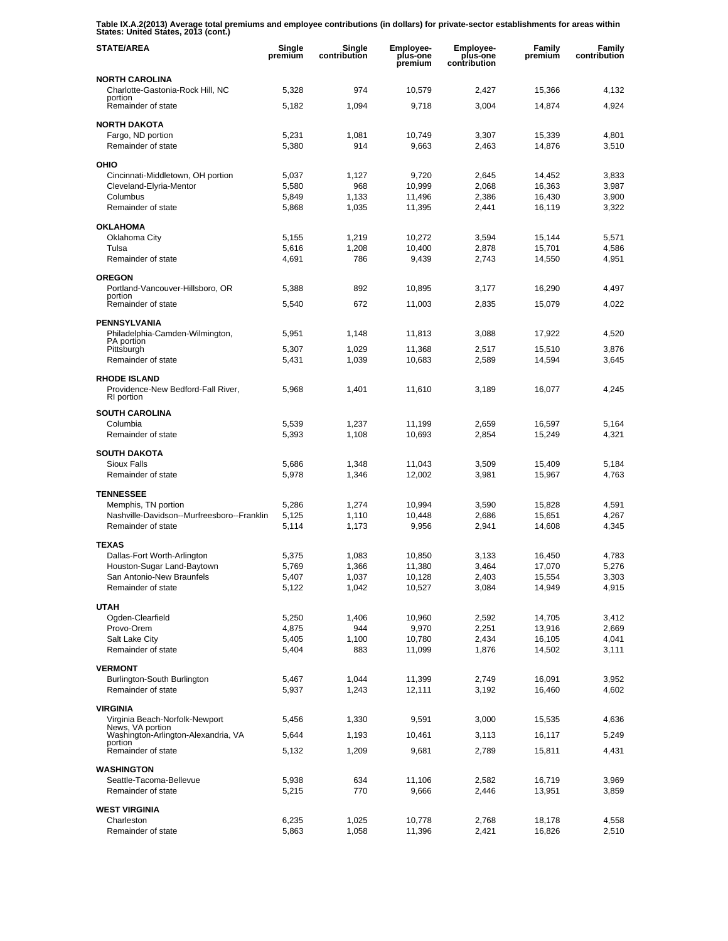**Table IX.A.2(2013) Average total premiums and employee contributions (in dollars) for private-sector establishments for areas within States: United States, 2013 (cont.)** 

| <b>STATE/AREA</b>                                                       | Single<br>premium | Single<br>contribution | Employee-<br>plus-one<br>premium | <b>Employee-</b><br>plus-one<br>contribution | Family<br>premium | Family<br>contribution |
|-------------------------------------------------------------------------|-------------------|------------------------|----------------------------------|----------------------------------------------|-------------------|------------------------|
| <b>NORTH CAROLINA</b>                                                   |                   |                        |                                  |                                              |                   |                        |
| Charlotte-Gastonia-Rock Hill, NC<br>portion                             | 5,328             | 974                    | 10,579                           | 2,427                                        | 15,366            | 4,132                  |
| Remainder of state                                                      | 5,182             | 1,094                  | 9,718                            | 3,004                                        | 14,874            | 4,924                  |
| <b>NORTH DAKOTA</b>                                                     |                   |                        |                                  |                                              |                   |                        |
| Fargo, ND portion<br>Remainder of state                                 | 5,231<br>5,380    | 1,081<br>914           | 10,749<br>9,663                  | 3,307<br>2,463                               | 15,339<br>14,876  | 4,801<br>3,510         |
|                                                                         |                   |                        |                                  |                                              |                   |                        |
| OHIO<br>Cincinnati-Middletown, OH portion                               | 5,037             | 1,127                  | 9.720                            | 2,645                                        | 14,452            | 3,833                  |
| Cleveland-Elyria-Mentor                                                 | 5,580             | 968                    | 10,999                           | 2,068                                        | 16,363            | 3,987                  |
| Columbus                                                                | 5,849             | 1,133                  | 11,496                           | 2,386                                        | 16,430            | 3,900                  |
| Remainder of state                                                      | 5,868             | 1,035                  | 11,395                           | 2,441                                        | 16,119            | 3,322                  |
| <b>OKLAHOMA</b>                                                         |                   |                        |                                  |                                              |                   |                        |
| Oklahoma City<br>Tulsa                                                  | 5,155<br>5,616    | 1,219                  | 10,272                           | 3,594<br>2,878                               | 15,144<br>15,701  | 5,571<br>4,586         |
| Remainder of state                                                      | 4,691             | 1,208<br>786           | 10,400<br>9,439                  | 2,743                                        | 14,550            | 4,951                  |
|                                                                         |                   |                        |                                  |                                              |                   |                        |
| <b>OREGON</b><br>Portland-Vancouver-Hillsboro, OR                       | 5,388             | 892                    | 10,895                           | 3,177                                        | 16,290            | 4,497                  |
| portion<br>Remainder of state                                           | 5,540             | 672                    | 11,003                           | 2,835                                        | 15,079            | 4,022                  |
|                                                                         |                   |                        |                                  |                                              |                   |                        |
| <b>PENNSYLVANIA</b><br>Philadelphia-Camden-Wilmington,                  | 5,951             | 1.148                  | 11,813                           | 3,088                                        | 17,922            | 4,520                  |
| PA portion<br>Pittsburgh                                                | 5,307             | 1,029                  | 11,368                           | 2.517                                        | 15,510            | 3,876                  |
| Remainder of state                                                      | 5,431             | 1,039                  | 10,683                           | 2,589                                        | 14,594            | 3,645                  |
| <b>RHODE ISLAND</b><br>Providence-New Bedford-Fall River,<br>RI portion | 5,968             | 1,401                  | 11,610                           | 3,189                                        | 16,077            | 4,245                  |
| <b>SOUTH CAROLINA</b>                                                   |                   |                        |                                  |                                              |                   |                        |
| Columbia                                                                | 5,539             | 1,237                  | 11,199                           | 2,659                                        | 16,597            | 5,164                  |
| Remainder of state                                                      | 5,393             | 1,108                  | 10,693                           | 2,854                                        | 15,249            | 4,321                  |
| <b>SOUTH DAKOTA</b>                                                     |                   |                        |                                  |                                              |                   |                        |
| <b>Sioux Falls</b>                                                      | 5,686             | 1,348                  | 11,043                           | 3,509                                        | 15,409            | 5,184                  |
| Remainder of state                                                      | 5,978             | 1,346                  | 12,002                           | 3,981                                        | 15,967            | 4,763                  |
| <b>TENNESSEE</b>                                                        |                   |                        |                                  |                                              |                   |                        |
| Memphis, TN portion<br>Nashville-Davidson--Murfreesboro--Franklin       | 5,286<br>5,125    | 1,274<br>1,110         | 10,994<br>10,448                 | 3,590<br>2,686                               | 15,828<br>15,651  | 4,591<br>4,267         |
| Remainder of state                                                      | 5,114             | 1,173                  | 9,956                            | 2,941                                        | 14,608            | 4,345                  |
| <b>TEXAS</b>                                                            |                   |                        |                                  |                                              |                   |                        |
| Dallas-Fort Worth-Arlington                                             | 5,375             | 1,083                  | 10,850                           | 3,133                                        | 16,450            | 4,783                  |
| Houston-Sugar Land-Baytown                                              | 5.769             | 1,366                  | 11,380                           | 3,464                                        | 17,070            | 5,276                  |
| San Antonio-New Braunfels                                               | 5,407             | 1,037                  | 10,128                           | 2,403                                        | 15,554            | 3,303                  |
| Remainder of state                                                      | 5,122             | 1,042                  | 10,527                           | 3,084                                        | 14,949            | 4,915                  |
| <b>UTAH</b>                                                             |                   |                        |                                  |                                              |                   |                        |
| Ogden-Clearfield<br>Provo-Orem                                          | 5,250<br>4,875    | 1,406<br>944           | 10,960<br>9,970                  | 2,592<br>2,251                               | 14,705<br>13,916  | 3,412<br>2,669         |
| Salt Lake City                                                          | 5,405             | 1,100                  | 10,780                           | 2,434                                        | 16,105            | 4,041                  |
| Remainder of state                                                      | 5,404             | 883                    | 11,099                           | 1,876                                        | 14,502            | 3,111                  |
| <b>VERMONT</b>                                                          |                   |                        |                                  |                                              |                   |                        |
| Burlington-South Burlington                                             | 5,467             | 1,044                  | 11,399                           | 2,749                                        | 16,091            | 3,952                  |
| Remainder of state                                                      | 5,937             | 1,243                  | 12,111                           | 3,192                                        | 16,460            | 4,602                  |
| <b>VIRGINIA</b>                                                         |                   |                        |                                  |                                              |                   |                        |
| Virginia Beach-Norfolk-Newport<br>News, VA portion                      | 5,456             | 1,330                  | 9,591                            | 3,000                                        | 15,535            | 4,636                  |
| Washington-Arlington-Alexandria, VA<br>portion                          | 5,644             | 1,193                  | 10,461                           | 3,113                                        | 16,117            | 5,249                  |
| Remainder of state                                                      | 5,132             | 1,209                  | 9,681                            | 2,789                                        | 15,811            | 4,431                  |
| <b>WASHINGTON</b>                                                       |                   |                        |                                  |                                              |                   |                        |
| Seattle-Tacoma-Bellevue<br>Remainder of state                           | 5,938<br>5,215    | 634<br>770             | 11,106<br>9,666                  | 2,582<br>2,446                               | 16,719<br>13,951  | 3,969<br>3,859         |
|                                                                         |                   |                        |                                  |                                              |                   |                        |
| <b>WEST VIRGINIA</b><br>Charleston                                      | 6,235             | 1,025                  | 10,778                           | 2,768                                        | 18,178            | 4,558                  |
| Remainder of state                                                      | 5,863             | 1,058                  | 11,396                           | 2,421                                        | 16,826            | 2,510                  |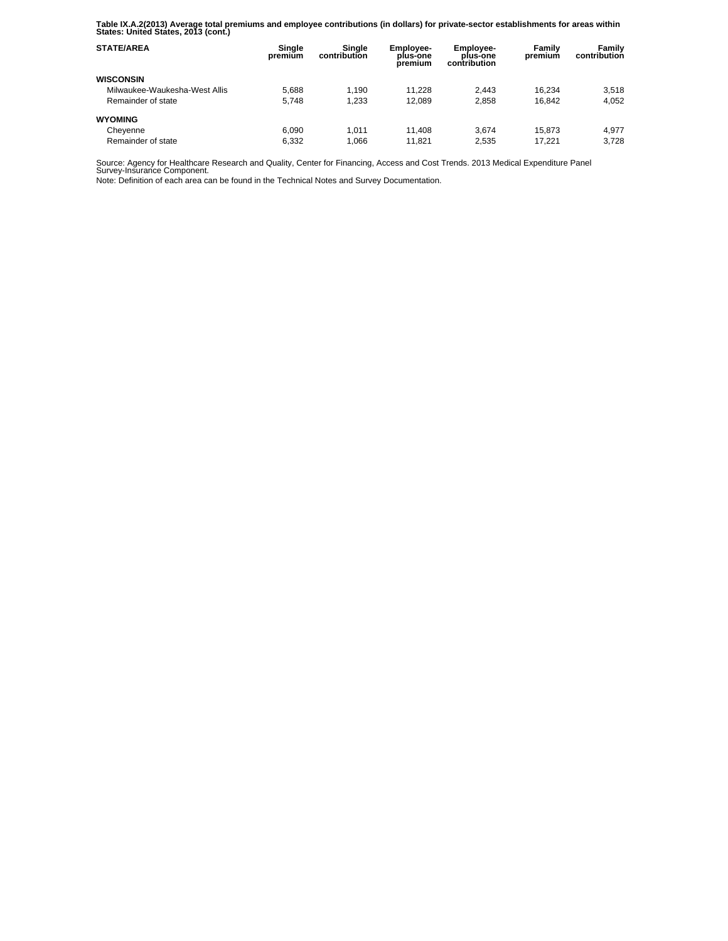**Table IX.A.2(2013) Average total premiums and employee contributions (in dollars) for private-sector establishments for areas within States: United States, 2013 (cont.)** 

| <b>STATE/AREA</b>             | Single<br>premium | Single<br>contribution | <b>Employee-</b><br>plus-one<br>premium | <b>Employee-</b><br>plus-one<br>contribution | Family<br>premium | Family<br>contribution |
|-------------------------------|-------------------|------------------------|-----------------------------------------|----------------------------------------------|-------------------|------------------------|
| <b>WISCONSIN</b>              |                   |                        |                                         |                                              |                   |                        |
| Milwaukee-Waukesha-West Allis | 5.688             | 1.190                  | 11.228                                  | 2.443                                        | 16.234            | 3.518                  |
| Remainder of state            | 5.748             | 1.233                  | 12.089                                  | 2.858                                        | 16.842            | 4,052                  |
| <b>WYOMING</b>                |                   |                        |                                         |                                              |                   |                        |
| Cheyenne                      | 6.090             | 1.011                  | 11.408                                  | 3.674                                        | 15.873            | 4.977                  |
| Remainder of state            | 6.332             | 1,066                  | 11.821                                  | 2.535                                        | 17.221            | 3.728                  |

Source: Agency for Healthcare Research and Quality, Center for Financing, Access and Cost Trends. 2013 Medical Expenditure Panel Survey-Insurance Component.

Note: Definition of each area can be found in the Technical Notes and Survey Documentation.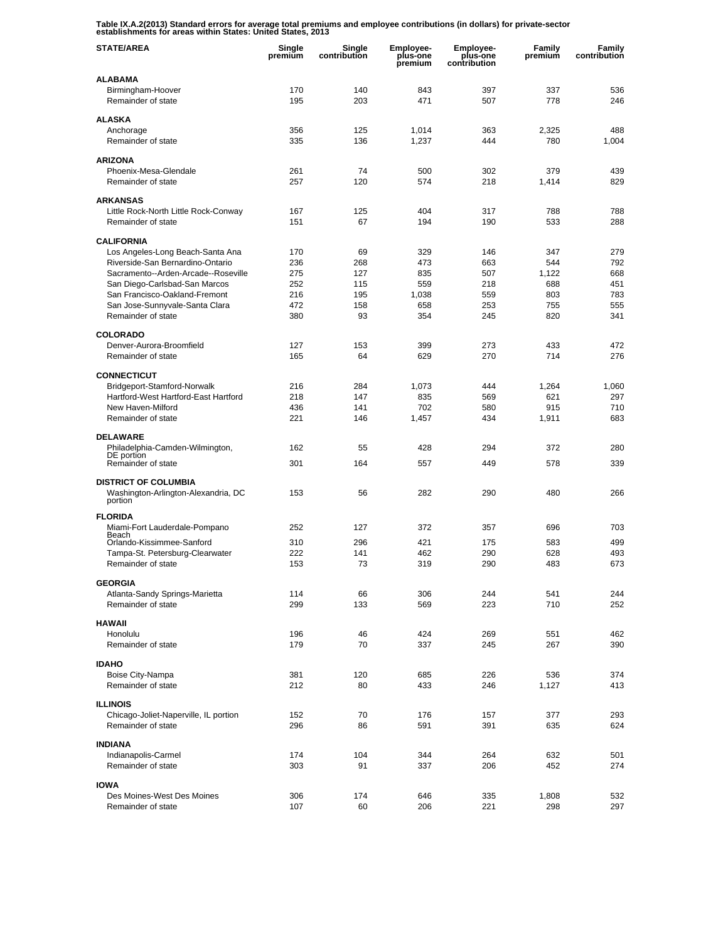**Table IX.A.2(2013) Standard errors for average total premiums and employee contributions (in dollars) for private-sector establishments for areas within States: United States, 2013** 

| <b>STATE/AREA</b>                                     | Single<br>premiūm | Single<br>contribution | <b>Employee-</b><br>plus-one<br>premium | Employee-<br>plus-one<br>contribution | Family<br>premium | Family<br>contribution |
|-------------------------------------------------------|-------------------|------------------------|-----------------------------------------|---------------------------------------|-------------------|------------------------|
| <b>ALABAMA</b>                                        |                   |                        |                                         |                                       |                   |                        |
| Birmingham-Hoover                                     | 170               | 140                    | 843                                     | 397                                   | 337               | 536                    |
| Remainder of state                                    | 195               | 203                    | 471                                     | 507                                   | 778               | 246                    |
| <b>ALASKA</b>                                         |                   |                        |                                         |                                       |                   |                        |
| Anchorage                                             | 356               | 125                    | 1,014                                   | 363                                   | 2,325             | 488                    |
| Remainder of state                                    | 335               | 136                    | 1,237                                   | 444                                   | 780               | 1,004                  |
| <b>ARIZONA</b>                                        |                   |                        |                                         |                                       |                   |                        |
| Phoenix-Mesa-Glendale                                 | 261               | 74                     | 500                                     | 302                                   | 379               | 439                    |
| Remainder of state                                    | 257               | 120                    | 574                                     | 218                                   | 1,414             | 829                    |
| <b>ARKANSAS</b>                                       |                   |                        |                                         |                                       |                   |                        |
| Little Rock-North Little Rock-Conway                  | 167               | 125                    | 404                                     | 317                                   | 788               | 788                    |
| Remainder of state                                    | 151               | 67                     | 194                                     | 190                                   | 533               | 288                    |
|                                                       |                   |                        |                                         |                                       |                   |                        |
| <b>CALIFORNIA</b><br>Los Angeles-Long Beach-Santa Ana | 170               | 69                     | 329                                     | 146                                   | 347               | 279                    |
| Riverside-San Bernardino-Ontario                      | 236               | 268                    | 473                                     | 663                                   | 544               | 792                    |
| Sacramento--Arden-Arcade--Roseville                   | 275               | 127                    | 835                                     | 507                                   | 1,122             | 668                    |
| San Diego-Carlsbad-San Marcos                         | 252               | 115                    | 559                                     | 218                                   | 688               | 451                    |
| San Francisco-Oakland-Fremont                         | 216               | 195                    | 1,038                                   | 559                                   | 803               | 783                    |
| San Jose-Sunnyvale-Santa Clara                        | 472               | 158                    | 658                                     | 253                                   | 755               | 555                    |
| Remainder of state                                    | 380               | 93                     | 354                                     | 245                                   | 820               | 341                    |
| <b>COLORADO</b>                                       |                   |                        |                                         |                                       |                   |                        |
| Denver-Aurora-Broomfield                              | 127               | 153                    | 399                                     | 273                                   | 433               | 472                    |
| Remainder of state                                    | 165               | 64                     | 629                                     | 270                                   | 714               | 276                    |
| <b>CONNECTICUT</b>                                    |                   |                        |                                         |                                       |                   |                        |
| Bridgeport-Stamford-Norwalk                           | 216               | 284                    | 1,073                                   | 444                                   | 1,264             | 1,060                  |
| Hartford-West Hartford-East Hartford                  | 218               | 147                    | 835                                     | 569                                   | 621               | 297                    |
| New Haven-Milford                                     | 436               | 141                    | 702                                     | 580                                   | 915               | 710                    |
| Remainder of state                                    | 221               | 146                    | 1,457                                   | 434                                   | 1,911             | 683                    |
|                                                       |                   |                        |                                         |                                       |                   |                        |
| <b>DELAWARE</b><br>Philadelphia-Camden-Wilmington,    | 162               | 55                     | 428                                     | 294                                   | 372               | 280                    |
| DE portion                                            |                   |                        |                                         |                                       |                   |                        |
| Remainder of state                                    | 301               | 164                    | 557                                     | 449                                   | 578               | 339                    |
| <b>DISTRICT OF COLUMBIA</b>                           |                   |                        |                                         |                                       |                   |                        |
| Washington-Arlington-Alexandria, DC                   | 153               | 56                     | 282                                     | 290                                   | 480               | 266                    |
| portion                                               |                   |                        |                                         |                                       |                   |                        |
| <b>FLORIDA</b>                                        |                   |                        |                                         |                                       |                   |                        |
| Miami-Fort Lauderdale-Pompano<br>Beach                | 252               | 127                    | 372                                     | 357                                   | 696               | 703                    |
| Orlando-Kissimmee-Sanford                             | 310               | 296                    | 421                                     | 175                                   | 583               | 499                    |
| Tampa-St. Petersburg-Clearwater                       | 222               | 141                    | 462                                     | 290                                   | 628               | 493                    |
| Remainder of state                                    | 153               | 73                     | 319                                     | 290                                   | 483               | 673                    |
| <b>GEORGIA</b>                                        |                   |                        |                                         |                                       |                   |                        |
| Atlanta-Sandy Springs-Marietta                        | 114               | 66                     | 306                                     | 244                                   | 541               | 244                    |
| Remainder of state                                    | 299               | 133                    | 569                                     | 223                                   | 710               | 252                    |
| <b>HAWAII</b>                                         |                   |                        |                                         |                                       |                   |                        |
| Honolulu                                              | 196               | 46                     | 424                                     | 269                                   | 551               | 462                    |
| Remainder of state                                    | 179               | 70                     | 337                                     | 245                                   | 267               | 390                    |
|                                                       |                   |                        |                                         |                                       |                   |                        |
| <b>IDAHO</b>                                          |                   |                        |                                         |                                       |                   |                        |
| Boise City-Nampa<br>Remainder of state                | 381<br>212        | 120<br>80              | 685<br>433                              | 226<br>246                            | 536<br>1,127      | 374<br>413             |
|                                                       |                   |                        |                                         |                                       |                   |                        |
| <b>ILLINOIS</b>                                       |                   |                        |                                         |                                       |                   |                        |
| Chicago-Joliet-Naperville, IL portion                 | 152               | 70                     | 176                                     | 157                                   | 377               | 293                    |
| Remainder of state                                    | 296               | 86                     | 591                                     | 391                                   | 635               | 624                    |
| <b>INDIANA</b>                                        |                   |                        |                                         |                                       |                   |                        |
| Indianapolis-Carmel                                   | 174               | 104                    | 344                                     | 264                                   | 632               | 501                    |
| Remainder of state                                    | 303               | 91                     | 337                                     | 206                                   | 452               | 274                    |
| <b>IOWA</b>                                           |                   |                        |                                         |                                       |                   |                        |
| Des Moines-West Des Moines                            | 306               | 174                    | 646                                     | 335                                   | 1,808             | 532                    |
| Remainder of state                                    | 107               | 60                     | 206                                     | 221                                   | 298               | 297                    |
|                                                       |                   |                        |                                         |                                       |                   |                        |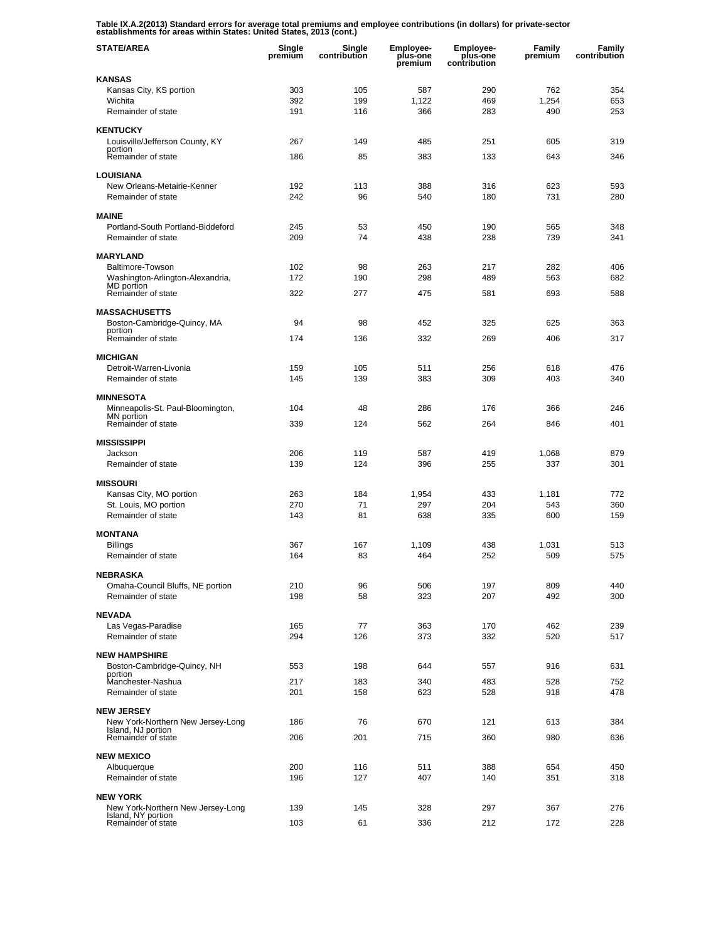**Table IX.A.2(2013) Standard errors for average total premiums and employee contributions (in dollars) for private-sector establishments for areas within States: United States, 2013 (cont.)** 

| <b>STATE/AREA</b>                                       | Single<br>premium | Single<br>contribution | <b>Employee-</b><br>plus-one<br>premium | <b>Employee-</b><br>plus-one<br>contribution | Family<br>premium | Family<br>contribution |
|---------------------------------------------------------|-------------------|------------------------|-----------------------------------------|----------------------------------------------|-------------------|------------------------|
| <b>KANSAS</b>                                           |                   |                        |                                         |                                              |                   |                        |
| Kansas City, KS portion                                 | 303               | 105                    | 587                                     | 290                                          | 762               | 354                    |
| Wichita<br>Remainder of state                           | 392<br>191        | 199<br>116             | 1,122<br>366                            | 469<br>283                                   | 1,254<br>490      | 653<br>253             |
|                                                         |                   |                        |                                         |                                              |                   |                        |
| <b>KENTUCKY</b>                                         |                   |                        |                                         |                                              |                   |                        |
| Louisville/Jefferson County, KY<br>portion              | 267               | 149                    | 485                                     | 251                                          | 605               | 319                    |
| Remainder of state                                      | 186               | 85                     | 383                                     | 133                                          | 643               | 346                    |
| <b>LOUISIANA</b>                                        |                   |                        |                                         |                                              |                   |                        |
| New Orleans-Metairie-Kenner                             | 192               | 113                    | 388                                     | 316                                          | 623               | 593                    |
| Remainder of state                                      | 242               | 96                     | 540                                     | 180                                          | 731               | 280                    |
| <b>MAINE</b>                                            |                   |                        |                                         |                                              |                   |                        |
| Portland-South Portland-Biddeford                       | 245               | 53                     | 450                                     | 190                                          | 565               | 348                    |
| Remainder of state                                      | 209               | 74                     | 438                                     | 238                                          | 739               | 341                    |
| <b>MARYLAND</b>                                         |                   |                        |                                         |                                              |                   |                        |
| Baltimore-Towson                                        | 102               | 98                     | 263                                     | 217                                          | 282               | 406                    |
| Washington-Arlington-Alexandria,                        | 172               | 190                    | 298                                     | 489                                          | 563               | 682                    |
| MD portion<br>Remainder of state                        | 322               | 277                    | 475                                     | 581                                          | 693               | 588                    |
|                                                         |                   |                        |                                         |                                              |                   |                        |
| <b>MASSACHUSETTS</b><br>Boston-Cambridge-Quincy, MA     | 94                | 98                     | 452                                     | 325                                          | 625               | 363                    |
| portion                                                 |                   |                        |                                         |                                              |                   |                        |
| Remainder of state                                      | 174               | 136                    | 332                                     | 269                                          | 406               | 317                    |
| <b>MICHIGAN</b>                                         |                   |                        |                                         |                                              |                   |                        |
| Detroit-Warren-Livonia                                  | 159               | 105                    | 511                                     | 256                                          | 618               | 476                    |
| Remainder of state                                      | 145               | 139                    | 383                                     | 309                                          | 403               | 340                    |
| <b>MINNESOTA</b>                                        |                   |                        |                                         |                                              |                   |                        |
| Minneapolis-St. Paul-Bloomington,                       | 104               | 48                     | 286                                     | 176                                          | 366               | 246                    |
| MN portion<br>Remainder of state                        | 339               | 124                    | 562                                     | 264                                          | 846               | 401                    |
|                                                         |                   |                        |                                         |                                              |                   |                        |
| <b>MISSISSIPPI</b><br>Jackson                           | 206               | 119                    | 587                                     | 419                                          | 1,068             | 879                    |
| Remainder of state                                      | 139               | 124                    | 396                                     | 255                                          | 337               | 301                    |
|                                                         |                   |                        |                                         |                                              |                   |                        |
| <b>MISSOURI</b><br>Kansas City, MO portion              | 263               | 184                    | 1,954                                   | 433                                          | 1,181             | 772                    |
| St. Louis, MO portion                                   | 270               | 71                     | 297                                     | 204                                          | 543               | 360                    |
| Remainder of state                                      | 143               | 81                     | 638                                     | 335                                          | 600               | 159                    |
| <b>MONTANA</b>                                          |                   |                        |                                         |                                              |                   |                        |
| <b>Billings</b>                                         | 367               | 167                    | 1,109                                   | 438                                          | 1,031             | 513                    |
| Remainder of state                                      | 164               | 83                     | 464                                     | 252                                          | 509               | 575                    |
|                                                         |                   |                        |                                         |                                              |                   |                        |
| <b>NEBRASKA</b><br>Omaha-Council Bluffs, NE portion     | 210               | 96                     | 506                                     | 197                                          | 809               | 440                    |
| Remainder of state                                      | 198               | 58                     | 323                                     | 207                                          | 492               | 300                    |
|                                                         |                   |                        |                                         |                                              |                   |                        |
| <b>NEVADA</b><br>Las Vegas-Paradise                     | 165               | 77                     | 363                                     | 170                                          | 462               | 239                    |
| Remainder of state                                      | 294               | 126                    | 373                                     | 332                                          | 520               | 517                    |
|                                                         |                   |                        |                                         |                                              |                   |                        |
| <b>NEW HAMPSHIRE</b><br>Boston-Cambridge-Quincy, NH     | 553               | 198                    | 644                                     | 557                                          | 916               | 631                    |
| portion                                                 |                   |                        |                                         |                                              |                   |                        |
| Manchester-Nashua<br>Remainder of state                 | 217<br>201        | 183<br>158             | 340<br>623                              | 483<br>528                                   | 528<br>918        | 752<br>478             |
|                                                         |                   |                        |                                         |                                              |                   |                        |
| <b>NEW JERSEY</b>                                       |                   |                        |                                         |                                              |                   |                        |
| New York-Northern New Jersey-Long<br>Island, NJ portion | 186               | 76                     | 670                                     | 121                                          | 613               | 384                    |
| Remainder of state                                      | 206               | 201                    | 715                                     | 360                                          | 980               | 636                    |
| <b>NEW MEXICO</b>                                       |                   |                        |                                         |                                              |                   |                        |
| Albuquerque                                             | 200               | 116                    | 511                                     | 388                                          | 654               | 450                    |
| Remainder of state                                      | 196               | 127                    | 407                                     | 140                                          | 351               | 318                    |
| <b>NEW YORK</b>                                         |                   |                        |                                         |                                              |                   |                        |
| New York-Northern New Jersey-Long                       | 139               | 145                    | 328                                     | 297                                          | 367               | 276                    |
| Island, NY portion<br>Remainder of state                | 103               | 61                     | 336                                     | 212                                          | 172               | 228                    |
|                                                         |                   |                        |                                         |                                              |                   |                        |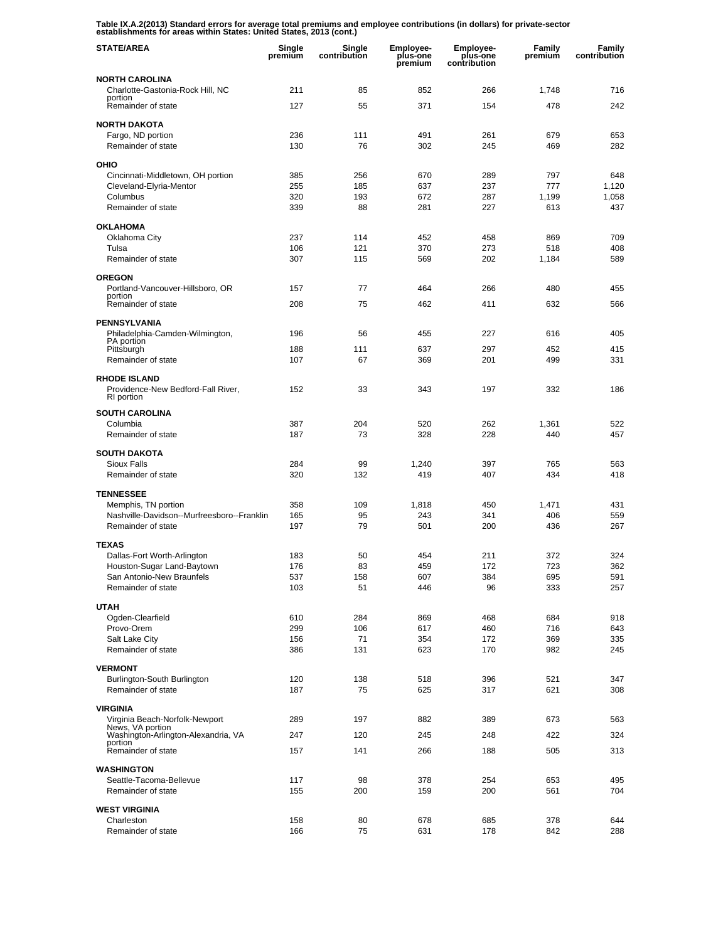**Table IX.A.2(2013) Standard errors for average total premiums and employee contributions (in dollars) for private-sector establishments for areas within States: United States, 2013 (cont.)** 

| <b>STATE/AREA</b>                                                | Single<br>premium | Single<br>contribution | <b>Employee-</b><br>plus-one<br>premium | <b>Employee-</b><br>plus-one<br>contribution | Family<br>premium | Family<br>contribution |
|------------------------------------------------------------------|-------------------|------------------------|-----------------------------------------|----------------------------------------------|-------------------|------------------------|
| <b>NORTH CAROLINA</b>                                            |                   |                        |                                         |                                              |                   |                        |
| Charlotte-Gastonia-Rock Hill, NC<br>portion                      | 211               | 85                     | 852                                     | 266                                          | 1,748             | 716                    |
| Remainder of state                                               | 127               | 55                     | 371                                     | 154                                          | 478               | 242                    |
| <b>NORTH DAKOTA</b>                                              |                   |                        |                                         |                                              |                   |                        |
| Fargo, ND portion                                                | 236               | 111                    | 491                                     | 261                                          | 679               | 653                    |
| Remainder of state                                               | 130               | 76                     | 302                                     | 245                                          | 469               | 282                    |
| OHIO                                                             |                   |                        |                                         |                                              |                   |                        |
| Cincinnati-Middletown, OH portion                                | 385               | 256                    | 670                                     | 289                                          | 797               | 648                    |
| Cleveland-Elyria-Mentor                                          | 255               | 185                    | 637                                     | 237                                          | 777               | 1,120                  |
| Columbus<br>Remainder of state                                   | 320<br>339        | 193<br>88              | 672<br>281                              | 287<br>227                                   | 1,199<br>613      | 1,058<br>437           |
|                                                                  |                   |                        |                                         |                                              |                   |                        |
| <b>OKLAHOMA</b>                                                  |                   |                        |                                         |                                              |                   |                        |
| Oklahoma City<br>Tulsa                                           | 237<br>106        | 114<br>121             | 452<br>370                              | 458<br>273                                   | 869<br>518        | 709<br>408             |
| Remainder of state                                               | 307               | 115                    | 569                                     | 202                                          | 1,184             | 589                    |
|                                                                  |                   |                        |                                         |                                              |                   |                        |
| <b>OREGON</b><br>Portland-Vancouver-Hillsboro, OR                | 157               | 77                     | 464                                     | 266                                          | 480               | 455                    |
| portion                                                          |                   |                        |                                         |                                              |                   |                        |
| Remainder of state                                               | 208               | 75                     | 462                                     | 411                                          | 632               | 566                    |
| <b>PENNSYLVANIA</b>                                              |                   |                        |                                         |                                              |                   |                        |
| Philadelphia-Camden-Wilmington,<br>PA portion                    | 196               | 56                     | 455                                     | 227                                          | 616               | 405                    |
| Pittsburgh                                                       | 188               | 111                    | 637                                     | 297                                          | 452               | 415                    |
| Remainder of state                                               | 107               | 67                     | 369                                     | 201                                          | 499               | 331                    |
| <b>RHODE ISLAND</b>                                              |                   |                        |                                         |                                              |                   |                        |
| Providence-New Bedford-Fall River,<br>RI portion                 | 152               | 33                     | 343                                     | 197                                          | 332               | 186                    |
| <b>SOUTH CAROLINA</b>                                            |                   |                        |                                         |                                              |                   |                        |
| Columbia                                                         | 387               | 204                    | 520                                     | 262                                          | 1,361             | 522                    |
| Remainder of state                                               | 187               | 73                     | 328                                     | 228                                          | 440               | 457                    |
| <b>SOUTH DAKOTA</b>                                              |                   |                        |                                         |                                              |                   |                        |
| Sioux Falls                                                      | 284               | 99                     | 1,240                                   | 397                                          | 765               | 563                    |
| Remainder of state                                               | 320               | 132                    | 419                                     | 407                                          | 434               | 418                    |
| <b>TENNESSEE</b>                                                 |                   |                        |                                         |                                              |                   |                        |
| Memphis, TN portion                                              | 358               | 109                    | 1,818                                   | 450                                          | 1,471             | 431                    |
| Nashville-Davidson--Murfreesboro--Franklin<br>Remainder of state | 165<br>197        | 95<br>79               | 243<br>501                              | 341<br>200                                   | 406<br>436        | 559<br>267             |
|                                                                  |                   |                        |                                         |                                              |                   |                        |
| <b>TEXAS</b>                                                     |                   |                        |                                         |                                              |                   |                        |
| Dallas-Fort Worth-Arlington                                      | 183<br>176        | 50<br>83               | 454<br>459                              | 211<br>172                                   | 372<br>723        | 324<br>362             |
| Houston-Sugar Land-Baytown<br>San Antonio-New Braunfels          | 537               | 158                    | 607                                     | 384                                          | 695               | 591                    |
| Remainder of state                                               | 103               | 51                     | 446                                     | 96                                           | 333               | 257                    |
|                                                                  |                   |                        |                                         |                                              |                   |                        |
| <b>UTAH</b><br>Ogden-Clearfield                                  | 610               | 284                    | 869                                     | 468                                          | 684               | 918                    |
| Provo-Orem                                                       | 299               | 106                    | 617                                     | 460                                          | 716               | 643                    |
| Salt Lake City                                                   | 156               | 71                     | 354                                     | 172                                          | 369               | 335                    |
| Remainder of state                                               | 386               | 131                    | 623                                     | 170                                          | 982               | 245                    |
| <b>VERMONT</b>                                                   |                   |                        |                                         |                                              |                   |                        |
| Burlington-South Burlington                                      | 120               | 138                    | 518                                     | 396                                          | 521               | 347                    |
| Remainder of state                                               | 187               | 75                     | 625                                     | 317                                          | 621               | 308                    |
| <b>VIRGINIA</b>                                                  |                   |                        |                                         |                                              |                   |                        |
| Virginia Beach-Norfolk-Newport<br>News, VA portion               | 289               | 197                    | 882                                     | 389                                          | 673               | 563                    |
| Washington-Arlington-Alexandria, VA                              | 247               | 120                    | 245                                     | 248                                          | 422               | 324                    |
| portion<br>Remainder of state                                    | 157               | 141                    | 266                                     | 188                                          | 505               | 313                    |
|                                                                  |                   |                        |                                         |                                              |                   |                        |
| <b>WASHINGTON</b>                                                |                   |                        |                                         |                                              |                   |                        |
| Seattle-Tacoma-Bellevue<br>Remainder of state                    | 117<br>155        | 98<br>200              | 378<br>159                              | 254<br>200                                   | 653<br>561        | 495<br>704             |
|                                                                  |                   |                        |                                         |                                              |                   |                        |
| <b>WEST VIRGINIA</b>                                             |                   |                        |                                         |                                              |                   |                        |
| Charleston<br>Remainder of state                                 | 158<br>166        | 80<br>75               | 678<br>631                              | 685<br>178                                   | 378<br>842        | 644<br>288             |
|                                                                  |                   |                        |                                         |                                              |                   |                        |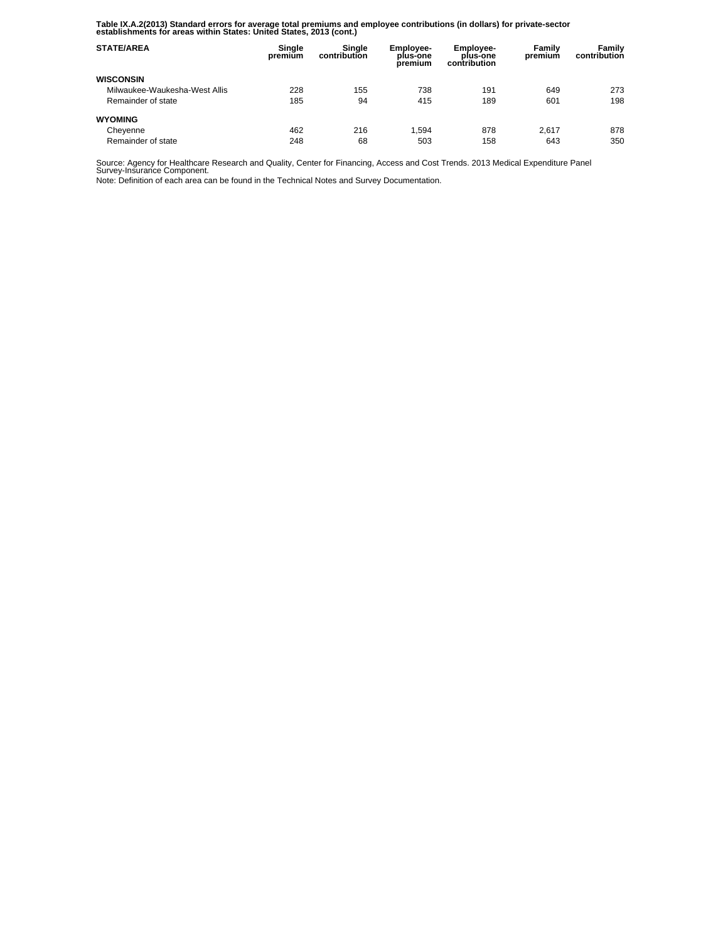**Table IX.A.2(2013) Standard errors for average total premiums and employee contributions (in dollars) for private-sector establishments for areas within States: United States, 2013 (cont.)** 

| <b>STATE/AREA</b>             | Single<br>premium | Sinale<br>contribution | <b>Employee-</b><br>plus-one<br>premium | <b>Employee-</b><br>plus-one<br>contribution | Family<br>premium | Family<br>contribution |
|-------------------------------|-------------------|------------------------|-----------------------------------------|----------------------------------------------|-------------------|------------------------|
| <b>WISCONSIN</b>              |                   |                        |                                         |                                              |                   |                        |
| Milwaukee-Waukesha-West Allis | 228               | 155                    | 738                                     | 191                                          | 649               | 273                    |
| Remainder of state            | 185               | 94                     | 415                                     | 189                                          | 601               | 198                    |
| <b>WYOMING</b>                |                   |                        |                                         |                                              |                   |                        |
| Cheyenne                      | 462               | 216                    | 1.594                                   | 878                                          | 2.617             | 878                    |
| Remainder of state            | 248               | 68                     | 503                                     | 158                                          | 643               | 350                    |

Source: Agency for Healthcare Research and Quality, Center for Financing, Access and Cost Trends. 2013 Medical Expenditure Panel Survey-Insurance Component.

Note: Definition of each area can be found in the Technical Notes and Survey Documentation.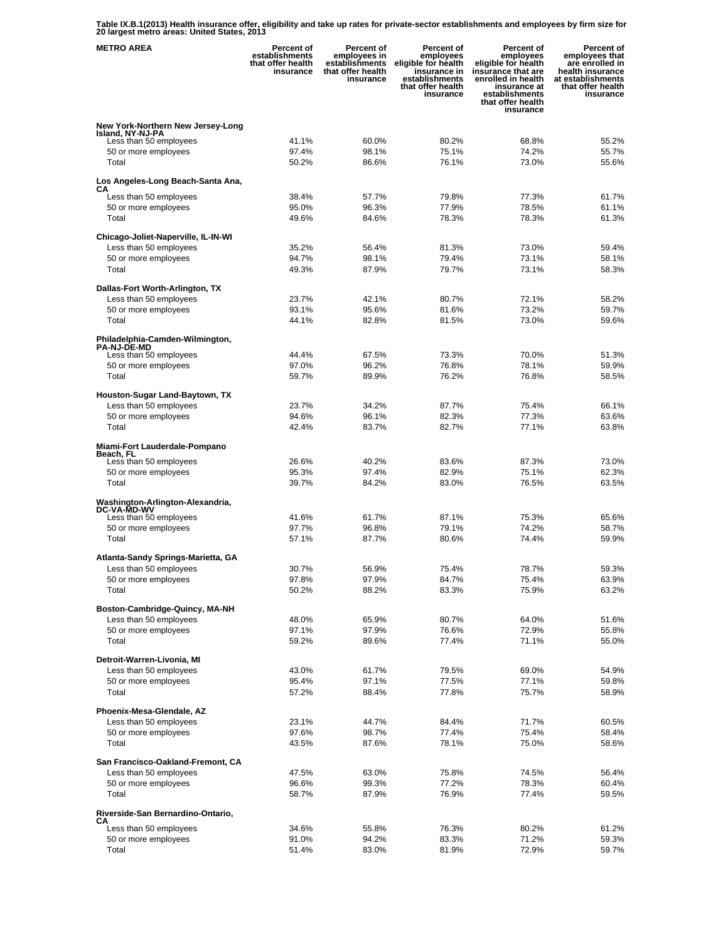**Table IX.B.1(2013) Health insurance offer, eligibility and take up rates for private-sector establishments and employees by firm size for 20 largest metro areas: United States, 2013** 

| <b>METRO AREA</b>                                           | <b>Percent of</b><br>establishments<br>that offer health<br>insurance | <b>Percent of</b><br>employees in<br>establishments<br>that offer health<br>insurance | Percent of<br>employees<br>eligible for health<br>insurance in<br>establishments<br>that offer health<br>insurance | <b>Percent of</b><br>employees<br>eligible for health<br>insurance that are<br>enrolled in health<br>insurance at<br>establishments<br>that offer health<br>insurance | Percent of<br>employees that<br>are enrolled in<br>health insurance<br>at establishments<br>that offer health<br>insurance |
|-------------------------------------------------------------|-----------------------------------------------------------------------|---------------------------------------------------------------------------------------|--------------------------------------------------------------------------------------------------------------------|-----------------------------------------------------------------------------------------------------------------------------------------------------------------------|----------------------------------------------------------------------------------------------------------------------------|
| New York-Northern New Jersey-Long                           |                                                                       |                                                                                       |                                                                                                                    |                                                                                                                                                                       |                                                                                                                            |
| Island, NY-NJ-PA<br>Less than 50 employees                  | 41.1%                                                                 | 60.0%                                                                                 | 80.2%                                                                                                              | 68.8%                                                                                                                                                                 | 55.2%                                                                                                                      |
| 50 or more employees                                        | 97.4%                                                                 | 98.1%                                                                                 | 75.1%                                                                                                              | 74.2%                                                                                                                                                                 | 55.7%                                                                                                                      |
| Total                                                       | 50.2%                                                                 | 86.6%                                                                                 | 76.1%                                                                                                              | 73.0%                                                                                                                                                                 | 55.6%                                                                                                                      |
| Los Angeles-Long Beach-Santa Ana,<br>CА                     |                                                                       |                                                                                       |                                                                                                                    |                                                                                                                                                                       |                                                                                                                            |
| Less than 50 employees                                      | 38.4%                                                                 | 57.7%                                                                                 | 79.8%                                                                                                              | 77.3%                                                                                                                                                                 | 61.7%                                                                                                                      |
| 50 or more employees                                        | 95.0%                                                                 | 96.3%                                                                                 | 77.9%                                                                                                              | 78.5%                                                                                                                                                                 | 61.1%                                                                                                                      |
| Total                                                       | 49.6%                                                                 | 84.6%                                                                                 | 78.3%                                                                                                              | 78.3%                                                                                                                                                                 | 61.3%                                                                                                                      |
| Chicago-Joliet-Naperville, IL-IN-WI                         |                                                                       |                                                                                       |                                                                                                                    |                                                                                                                                                                       |                                                                                                                            |
| Less than 50 employees<br>50 or more employees              | 35.2%<br>94.7%                                                        | 56.4%<br>98.1%                                                                        | 81.3%<br>79.4%                                                                                                     | 73.0%<br>73.1%                                                                                                                                                        | 59.4%<br>58.1%                                                                                                             |
| Total                                                       | 49.3%                                                                 | 87.9%                                                                                 | 79.7%                                                                                                              | 73.1%                                                                                                                                                                 | 58.3%                                                                                                                      |
|                                                             |                                                                       |                                                                                       |                                                                                                                    |                                                                                                                                                                       |                                                                                                                            |
| Dallas-Fort Worth-Arlington, TX<br>Less than 50 employees   | 23.7%                                                                 | 42.1%                                                                                 | 80.7%                                                                                                              | 72.1%                                                                                                                                                                 | 58.2%                                                                                                                      |
| 50 or more employees                                        | 93.1%                                                                 | 95.6%                                                                                 | 81.6%                                                                                                              | 73.2%                                                                                                                                                                 | 59.7%                                                                                                                      |
| Total                                                       | 44.1%                                                                 | 82.8%                                                                                 | 81.5%                                                                                                              | 73.0%                                                                                                                                                                 | 59.6%                                                                                                                      |
| Philadelphia-Camden-Wilmington,                             |                                                                       |                                                                                       |                                                                                                                    |                                                                                                                                                                       |                                                                                                                            |
| <b>PA-NJ-DE-MD</b><br>Less than 50 employees                | 44.4%                                                                 | 67.5%                                                                                 | 73.3%                                                                                                              | 70.0%                                                                                                                                                                 | 51.3%                                                                                                                      |
| 50 or more employees                                        | 97.0%                                                                 | 96.2%                                                                                 | 76.8%                                                                                                              | 78.1%                                                                                                                                                                 | 59.9%                                                                                                                      |
| Total                                                       | 59.7%                                                                 | 89.9%                                                                                 | 76.2%                                                                                                              | 76.8%                                                                                                                                                                 | 58.5%                                                                                                                      |
| Houston-Sugar Land-Baytown, TX                              |                                                                       |                                                                                       |                                                                                                                    |                                                                                                                                                                       |                                                                                                                            |
| Less than 50 employees                                      | 23.7%                                                                 | 34.2%                                                                                 | 87.7%                                                                                                              | 75.4%                                                                                                                                                                 | 66.1%                                                                                                                      |
| 50 or more employees                                        | 94.6%                                                                 | 96.1%                                                                                 | 82.3%                                                                                                              | 77.3%                                                                                                                                                                 | 63.6%                                                                                                                      |
| Total                                                       | 42.4%                                                                 | 83.7%                                                                                 | 82.7%                                                                                                              | 77.1%                                                                                                                                                                 | 63.8%                                                                                                                      |
| Miami-Fort Lauderdale-Pompano<br>Beach, FL                  |                                                                       |                                                                                       |                                                                                                                    |                                                                                                                                                                       |                                                                                                                            |
| Less than 50 employees                                      | 26.6%                                                                 | 40.2%                                                                                 | 83.6%                                                                                                              | 87.3%                                                                                                                                                                 | 73.0%                                                                                                                      |
| 50 or more employees                                        | 95.3%                                                                 | 97.4%                                                                                 | 82.9%                                                                                                              | 75.1%                                                                                                                                                                 | 62.3%                                                                                                                      |
| Total                                                       | 39.7%                                                                 | 84.2%                                                                                 | 83.0%                                                                                                              | 76.5%                                                                                                                                                                 | 63.5%                                                                                                                      |
| Washington-Arlington-Alexandria,<br><b>DC-VA-MD-WV</b>      |                                                                       |                                                                                       |                                                                                                                    |                                                                                                                                                                       |                                                                                                                            |
| Less than 50 employees                                      | 41.6%                                                                 | 61.7%                                                                                 | 87.1%                                                                                                              | 75.3%                                                                                                                                                                 | 65.6%                                                                                                                      |
| 50 or more employees                                        | 97.7%                                                                 | 96.8%                                                                                 | 79.1%                                                                                                              | 74.2%                                                                                                                                                                 | 58.7%                                                                                                                      |
| Total                                                       | 57.1%                                                                 | 87.7%                                                                                 | 80.6%                                                                                                              | 74.4%                                                                                                                                                                 | 59.9%                                                                                                                      |
| Atlanta-Sandy Springs-Marietta, GA                          |                                                                       |                                                                                       |                                                                                                                    |                                                                                                                                                                       |                                                                                                                            |
| Less than 50 employees                                      | 30.7%                                                                 | 56.9%                                                                                 | 75.4%                                                                                                              | 78.7%                                                                                                                                                                 | 59.3%                                                                                                                      |
| 50 or more employees<br>Total                               | 97.8%<br>50.2%                                                        | 97.9%<br>88.2%                                                                        | 84.7%<br>83.3%                                                                                                     | 75.4%<br>75.9%                                                                                                                                                        | 63.9%<br>63.2%                                                                                                             |
|                                                             |                                                                       |                                                                                       |                                                                                                                    |                                                                                                                                                                       |                                                                                                                            |
| Boston-Cambridge-Quincy, MA-NH<br>Less than 50 employees    | 48.0%                                                                 | 65.9%                                                                                 | 80.7%                                                                                                              | 64.0%                                                                                                                                                                 | 51.6%                                                                                                                      |
| 50 or more employees                                        | 97.1%                                                                 | 97.9%                                                                                 | 76.6%                                                                                                              | 72.9%                                                                                                                                                                 | 55.8%                                                                                                                      |
| Total                                                       | 59.2%                                                                 | 89.6%                                                                                 | 77.4%                                                                                                              | 71.1%                                                                                                                                                                 | 55.0%                                                                                                                      |
| Detroit-Warren-Livonia, MI                                  |                                                                       |                                                                                       |                                                                                                                    |                                                                                                                                                                       |                                                                                                                            |
| Less than 50 employees                                      | 43.0%                                                                 | 61.7%                                                                                 | 79.5%                                                                                                              | 69.0%                                                                                                                                                                 | 54.9%                                                                                                                      |
| 50 or more employees                                        | 95.4%                                                                 | 97.1%                                                                                 | 77.5%                                                                                                              | 77.1%                                                                                                                                                                 | 59.8%                                                                                                                      |
| Total                                                       | 57.2%                                                                 | 88.4%                                                                                 | 77.8%                                                                                                              | 75.7%                                                                                                                                                                 | 58.9%                                                                                                                      |
| Phoenix-Mesa-Glendale, AZ                                   |                                                                       |                                                                                       |                                                                                                                    |                                                                                                                                                                       |                                                                                                                            |
| Less than 50 employees                                      | 23.1%                                                                 | 44.7%                                                                                 | 84.4%                                                                                                              | 71.7%                                                                                                                                                                 | 60.5%                                                                                                                      |
| 50 or more employees<br>Total                               | 97.6%<br>43.5%                                                        | 98.7%<br>87.6%                                                                        | 77.4%<br>78.1%                                                                                                     | 75.4%<br>75.0%                                                                                                                                                        | 58.4%<br>58.6%                                                                                                             |
|                                                             |                                                                       |                                                                                       |                                                                                                                    |                                                                                                                                                                       |                                                                                                                            |
| San Francisco-Oakland-Fremont, CA<br>Less than 50 employees | 47.5%                                                                 | 63.0%                                                                                 | 75.8%                                                                                                              | 74.5%                                                                                                                                                                 | 56.4%                                                                                                                      |
| 50 or more employees                                        | 96.6%                                                                 | 99.3%                                                                                 | 77.2%                                                                                                              | 78.3%                                                                                                                                                                 | 60.4%                                                                                                                      |
| Total                                                       | 58.7%                                                                 | 87.9%                                                                                 | 76.9%                                                                                                              | 77.4%                                                                                                                                                                 | 59.5%                                                                                                                      |
| Riverside-San Bernardino-Ontario,                           |                                                                       |                                                                                       |                                                                                                                    |                                                                                                                                                                       |                                                                                                                            |
| CА<br>Less than 50 employees                                | 34.6%                                                                 | 55.8%                                                                                 | 76.3%                                                                                                              | 80.2%                                                                                                                                                                 | 61.2%                                                                                                                      |
| 50 or more employees                                        | 91.0%                                                                 | 94.2%                                                                                 | 83.3%                                                                                                              | 71.2%                                                                                                                                                                 | 59.3%                                                                                                                      |
| Total                                                       | 51.4%                                                                 | 83.0%                                                                                 | 81.9%                                                                                                              | 72.9%                                                                                                                                                                 | 59.7%                                                                                                                      |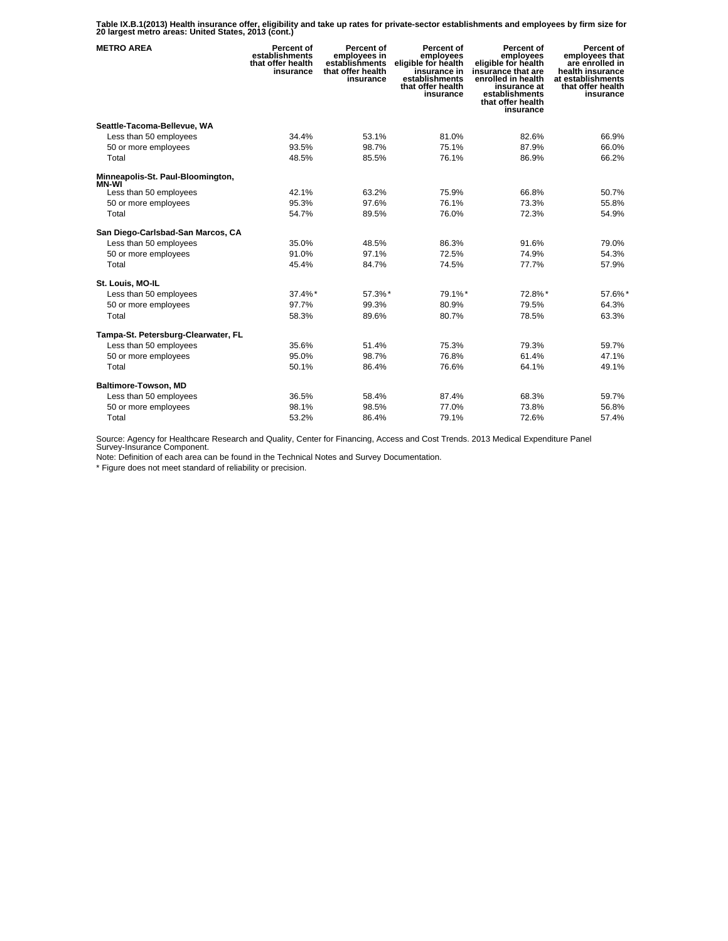**Table IX.B.1(2013) Health insurance offer, eligibility and take up rates for private-sector establishments and employees by firm size for 20 largest metro areas: United States, 2013 (cont.)** 

| <b>METRO AREA</b>                   | Percent of<br>establishments<br>that offer health<br>insurance | <b>Percent of</b><br>employees in<br>establishments<br>that offer health<br>insurance | Percent of<br>employees<br>eligible for health<br>insurance in<br>establishments<br>that offer health<br>insurance | Percent of<br>employees<br>eligible for health<br>insurance that are<br>enrolled in health<br>insurance at<br>establishments<br>that offer health<br>insurance | Percent of<br>employees that<br>are enrolled in<br>health insurance<br>at establishments<br>that offer health<br>insurance |
|-------------------------------------|----------------------------------------------------------------|---------------------------------------------------------------------------------------|--------------------------------------------------------------------------------------------------------------------|----------------------------------------------------------------------------------------------------------------------------------------------------------------|----------------------------------------------------------------------------------------------------------------------------|
| Seattle-Tacoma-Bellevue, WA         |                                                                |                                                                                       |                                                                                                                    |                                                                                                                                                                |                                                                                                                            |
| Less than 50 employees              | 34.4%                                                          | 53.1%                                                                                 | 81.0%                                                                                                              | 82.6%                                                                                                                                                          | 66.9%                                                                                                                      |
| 50 or more employees                | 93.5%                                                          | 98.7%                                                                                 | 75.1%                                                                                                              | 87.9%                                                                                                                                                          | 66.0%                                                                                                                      |
| Total                               | 48.5%                                                          | 85.5%                                                                                 | 76.1%                                                                                                              | 86.9%                                                                                                                                                          | 66.2%                                                                                                                      |
| Minneapolis-St. Paul-Bloomington,   |                                                                |                                                                                       |                                                                                                                    |                                                                                                                                                                |                                                                                                                            |
| MN-WI<br>Less than 50 employees     | 42.1%                                                          | 63.2%                                                                                 | 75.9%                                                                                                              | 66.8%                                                                                                                                                          | 50.7%                                                                                                                      |
| 50 or more employees                | 95.3%                                                          | 97.6%                                                                                 | 76.1%                                                                                                              | 73.3%                                                                                                                                                          | 55.8%                                                                                                                      |
| Total                               | 54.7%                                                          | 89.5%                                                                                 | 76.0%                                                                                                              | 72.3%                                                                                                                                                          | 54.9%                                                                                                                      |
| San Diego-Carlsbad-San Marcos, CA   |                                                                |                                                                                       |                                                                                                                    |                                                                                                                                                                |                                                                                                                            |
| Less than 50 employees              | 35.0%                                                          | 48.5%                                                                                 | 86.3%                                                                                                              | 91.6%                                                                                                                                                          | 79.0%                                                                                                                      |
| 50 or more employees                | 91.0%                                                          | 97.1%                                                                                 | 72.5%                                                                                                              | 74.9%                                                                                                                                                          | 54.3%                                                                                                                      |
| Total                               | 45.4%                                                          | 84.7%                                                                                 | 74.5%                                                                                                              | 77.7%                                                                                                                                                          | 57.9%                                                                                                                      |
| St. Louis, MO-IL                    |                                                                |                                                                                       |                                                                                                                    |                                                                                                                                                                |                                                                                                                            |
| Less than 50 employees              | 37.4%*                                                         | 57.3%*                                                                                | 79.1%*                                                                                                             | 72.8%*                                                                                                                                                         | 57.6%*                                                                                                                     |
| 50 or more employees                | 97.7%                                                          | 99.3%                                                                                 | 80.9%                                                                                                              | 79.5%                                                                                                                                                          | 64.3%                                                                                                                      |
| Total                               | 58.3%                                                          | 89.6%                                                                                 | 80.7%                                                                                                              | 78.5%                                                                                                                                                          | 63.3%                                                                                                                      |
| Tampa-St. Petersburg-Clearwater, FL |                                                                |                                                                                       |                                                                                                                    |                                                                                                                                                                |                                                                                                                            |
| Less than 50 employees              | 35.6%                                                          | 51.4%                                                                                 | 75.3%                                                                                                              | 79.3%                                                                                                                                                          | 59.7%                                                                                                                      |
| 50 or more employees                | 95.0%                                                          | 98.7%                                                                                 | 76.8%                                                                                                              | 61.4%                                                                                                                                                          | 47.1%                                                                                                                      |
| Total                               | 50.1%                                                          | 86.4%                                                                                 | 76.6%                                                                                                              | 64.1%                                                                                                                                                          | 49.1%                                                                                                                      |
| Baltimore-Towson, MD                |                                                                |                                                                                       |                                                                                                                    |                                                                                                                                                                |                                                                                                                            |
| Less than 50 employees              | 36.5%                                                          | 58.4%                                                                                 | 87.4%                                                                                                              | 68.3%                                                                                                                                                          | 59.7%                                                                                                                      |
| 50 or more employees                | 98.1%                                                          | 98.5%                                                                                 | 77.0%                                                                                                              | 73.8%                                                                                                                                                          | 56.8%                                                                                                                      |
| Total                               | 53.2%                                                          | 86.4%                                                                                 | 79.1%                                                                                                              | 72.6%                                                                                                                                                          | 57.4%                                                                                                                      |

Source: Agency for Healthcare Research and Quality, Center for Financing, Access and Cost Trends. 2013 Medical Expenditure Panel Survey-Insurance Component.

Note: Definition of each area can be found in the Technical Notes and Survey Documentation.

\* Figure does not meet standard of reliability or precision.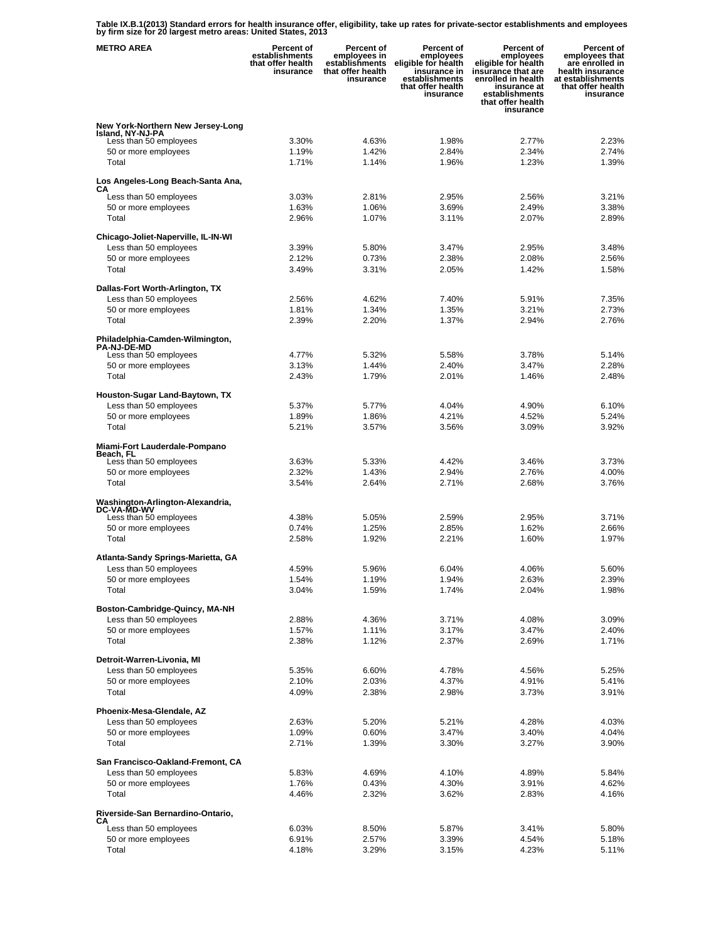**Table IX.B.1(2013) Standard errors for health insurance offer, eligibility, take up rates for private-sector establishments and employees by firm size for 20 largest metro areas: United States, 2013** 

| <b>METRO AREA</b>                                           | Percent of<br>establishments<br>that offer health<br>insurance | Percent of<br>employees in<br>establishments<br>that offer health<br>insurance | Percent of<br>employees<br>eligible for health<br>insurance in<br>establishments<br>that offer health<br>insurance | <b>Percent of</b><br>employees<br>eligible for health<br>insurance that are<br>enrolled in health<br>insurance at<br>establishments<br>that offer health<br>insurance | Percent of<br>employees that<br>are enrolled in<br>health insurance<br>at establishments<br>that offer health<br>insurance |
|-------------------------------------------------------------|----------------------------------------------------------------|--------------------------------------------------------------------------------|--------------------------------------------------------------------------------------------------------------------|-----------------------------------------------------------------------------------------------------------------------------------------------------------------------|----------------------------------------------------------------------------------------------------------------------------|
| New York-Northern New Jersey-Long                           |                                                                |                                                                                |                                                                                                                    |                                                                                                                                                                       |                                                                                                                            |
| Island, NY-NJ-PA<br>Less than 50 employees                  | 3.30%                                                          | 4.63%                                                                          | 1.98%                                                                                                              | 2.77%                                                                                                                                                                 | 2.23%                                                                                                                      |
| 50 or more employees                                        | 1.19%                                                          | 1.42%                                                                          | 2.84%                                                                                                              | 2.34%                                                                                                                                                                 | 2.74%                                                                                                                      |
| Total                                                       | 1.71%                                                          | 1.14%                                                                          | 1.96%                                                                                                              | 1.23%                                                                                                                                                                 | 1.39%                                                                                                                      |
| Los Angeles-Long Beach-Santa Ana,<br>CА                     |                                                                |                                                                                |                                                                                                                    |                                                                                                                                                                       |                                                                                                                            |
| Less than 50 employees                                      | 3.03%                                                          | 2.81%                                                                          | 2.95%                                                                                                              | 2.56%                                                                                                                                                                 | 3.21%                                                                                                                      |
| 50 or more employees                                        | 1.63%                                                          | 1.06%                                                                          | 3.69%                                                                                                              | 2.49%                                                                                                                                                                 | 3.38%                                                                                                                      |
| Total                                                       | 2.96%                                                          | 1.07%                                                                          | 3.11%                                                                                                              | 2.07%                                                                                                                                                                 | 2.89%                                                                                                                      |
| Chicago-Joliet-Naperville, IL-IN-WI                         |                                                                |                                                                                |                                                                                                                    |                                                                                                                                                                       |                                                                                                                            |
| Less than 50 employees                                      | 3.39%                                                          | 5.80%                                                                          | 3.47%                                                                                                              | 2.95%                                                                                                                                                                 | 3.48%                                                                                                                      |
| 50 or more employees                                        | 2.12%                                                          | 0.73%                                                                          | 2.38%                                                                                                              | 2.08%                                                                                                                                                                 | 2.56%                                                                                                                      |
| Total                                                       | 3.49%                                                          | 3.31%                                                                          | 2.05%                                                                                                              | 1.42%                                                                                                                                                                 | 1.58%                                                                                                                      |
| Dallas-Fort Worth-Arlington, TX                             |                                                                |                                                                                |                                                                                                                    |                                                                                                                                                                       |                                                                                                                            |
| Less than 50 employees                                      | 2.56%                                                          | 4.62%                                                                          | 7.40%                                                                                                              | 5.91%                                                                                                                                                                 | 7.35%                                                                                                                      |
| 50 or more employees                                        | 1.81%                                                          | 1.34%                                                                          | 1.35%                                                                                                              | 3.21%                                                                                                                                                                 | 2.73%                                                                                                                      |
| Total                                                       | 2.39%                                                          | 2.20%                                                                          | 1.37%                                                                                                              | 2.94%                                                                                                                                                                 | 2.76%                                                                                                                      |
| Philadelphia-Camden-Wilmington,<br><b>PA-NJ-DE-MD</b>       |                                                                |                                                                                |                                                                                                                    |                                                                                                                                                                       |                                                                                                                            |
| Less than 50 employees                                      | 4.77%                                                          | 5.32%                                                                          | 5.58%                                                                                                              | 3.78%                                                                                                                                                                 | 5.14%                                                                                                                      |
| 50 or more employees                                        | 3.13%                                                          | 1.44%                                                                          | 2.40%                                                                                                              | 3.47%                                                                                                                                                                 | 2.28%                                                                                                                      |
| Total                                                       | 2.43%                                                          | 1.79%                                                                          | 2.01%                                                                                                              | 1.46%                                                                                                                                                                 | 2.48%                                                                                                                      |
| Houston-Sugar Land-Baytown, TX                              |                                                                |                                                                                |                                                                                                                    |                                                                                                                                                                       |                                                                                                                            |
| Less than 50 employees                                      | 5.37%                                                          | 5.77%                                                                          | 4.04%                                                                                                              | 4.90%                                                                                                                                                                 | 6.10%                                                                                                                      |
| 50 or more employees                                        | 1.89%                                                          | 1.86%                                                                          | 4.21%                                                                                                              | 4.52%                                                                                                                                                                 | 5.24%                                                                                                                      |
| Total                                                       | 5.21%                                                          | 3.57%                                                                          | 3.56%                                                                                                              | 3.09%                                                                                                                                                                 | 3.92%                                                                                                                      |
| Miami-Fort Lauderdale-Pompano<br>Beach, FL                  |                                                                |                                                                                |                                                                                                                    |                                                                                                                                                                       |                                                                                                                            |
| Less than 50 employees                                      | 3.63%                                                          | 5.33%                                                                          | 4.42%                                                                                                              | 3.46%                                                                                                                                                                 | 3.73%                                                                                                                      |
| 50 or more employees<br>Total                               | 2.32%<br>3.54%                                                 | 1.43%<br>2.64%                                                                 | 2.94%<br>2.71%                                                                                                     | 2.76%<br>2.68%                                                                                                                                                        | 4.00%<br>3.76%                                                                                                             |
|                                                             |                                                                |                                                                                |                                                                                                                    |                                                                                                                                                                       |                                                                                                                            |
| Washington-Arlington-Alexandria,<br><b>DC-VA-MD-WV</b>      |                                                                |                                                                                |                                                                                                                    |                                                                                                                                                                       |                                                                                                                            |
| Less than 50 employees                                      | 4.38%                                                          | 5.05%<br>1.25%                                                                 | 2.59%<br>2.85%                                                                                                     | 2.95%                                                                                                                                                                 | 3.71%                                                                                                                      |
| 50 or more employees<br>Total                               | 0.74%<br>2.58%                                                 | 1.92%                                                                          | 2.21%                                                                                                              | 1.62%<br>1.60%                                                                                                                                                        | 2.66%<br>1.97%                                                                                                             |
|                                                             |                                                                |                                                                                |                                                                                                                    |                                                                                                                                                                       |                                                                                                                            |
| Atlanta-Sandy Springs-Marietta, GA                          |                                                                |                                                                                |                                                                                                                    |                                                                                                                                                                       |                                                                                                                            |
| Less than 50 employees                                      | 4.59%                                                          | 5.96%                                                                          | 6.04%                                                                                                              | 4.06%                                                                                                                                                                 | 5.60%                                                                                                                      |
| 50 or more employees<br>Total                               | 1.54%<br>3.04%                                                 | 1.19%<br>1.59%                                                                 | 1.94%<br>1.74%                                                                                                     | 2.63%<br>2.04%                                                                                                                                                        | 2.39%<br>1.98%                                                                                                             |
|                                                             |                                                                |                                                                                |                                                                                                                    |                                                                                                                                                                       |                                                                                                                            |
| Boston-Cambridge-Quincy, MA-NH                              |                                                                |                                                                                |                                                                                                                    |                                                                                                                                                                       |                                                                                                                            |
| Less than 50 employees                                      | 2.88%                                                          | 4.36%                                                                          | 3.71%                                                                                                              | 4.08%                                                                                                                                                                 | 3.09%                                                                                                                      |
| 50 or more employees<br>Total                               | 1.57%<br>2.38%                                                 | 1.11%<br>1.12%                                                                 | 3.17%<br>2.37%                                                                                                     | 3.47%<br>2.69%                                                                                                                                                        | 2.40%<br>1.71%                                                                                                             |
|                                                             |                                                                |                                                                                |                                                                                                                    |                                                                                                                                                                       |                                                                                                                            |
| Detroit-Warren-Livonia, MI                                  |                                                                |                                                                                |                                                                                                                    |                                                                                                                                                                       |                                                                                                                            |
| Less than 50 employees                                      | 5.35%                                                          | 6.60%                                                                          | 4.78%                                                                                                              | 4.56%                                                                                                                                                                 | 5.25%                                                                                                                      |
| 50 or more employees<br>Total                               | 2.10%<br>4.09%                                                 | 2.03%<br>2.38%                                                                 | 4.37%<br>2.98%                                                                                                     | 4.91%<br>3.73%                                                                                                                                                        | 5.41%<br>3.91%                                                                                                             |
|                                                             |                                                                |                                                                                |                                                                                                                    |                                                                                                                                                                       |                                                                                                                            |
| Phoenix-Mesa-Glendale, AZ                                   |                                                                |                                                                                |                                                                                                                    |                                                                                                                                                                       |                                                                                                                            |
| Less than 50 employees                                      | 2.63%                                                          | 5.20%                                                                          | 5.21%                                                                                                              | 4.28%                                                                                                                                                                 | 4.03%                                                                                                                      |
| 50 or more employees<br>Total                               | 1.09%<br>2.71%                                                 | 0.60%<br>1.39%                                                                 | 3.47%<br>3.30%                                                                                                     | 3.40%<br>3.27%                                                                                                                                                        | 4.04%<br>3.90%                                                                                                             |
|                                                             |                                                                |                                                                                |                                                                                                                    |                                                                                                                                                                       |                                                                                                                            |
| San Francisco-Oakland-Fremont, CA<br>Less than 50 employees | 5.83%                                                          | 4.69%                                                                          | 4.10%                                                                                                              | 4.89%                                                                                                                                                                 | 5.84%                                                                                                                      |
| 50 or more employees                                        | 1.76%                                                          | 0.43%                                                                          | 4.30%                                                                                                              | 3.91%                                                                                                                                                                 | 4.62%                                                                                                                      |
| Total                                                       | 4.46%                                                          | 2.32%                                                                          | 3.62%                                                                                                              | 2.83%                                                                                                                                                                 | 4.16%                                                                                                                      |
| Riverside-San Bernardino-Ontario,                           |                                                                |                                                                                |                                                                                                                    |                                                                                                                                                                       |                                                                                                                            |
| СA<br>Less than 50 employees                                | 6.03%                                                          | 8.50%                                                                          | 5.87%                                                                                                              | 3.41%                                                                                                                                                                 | 5.80%                                                                                                                      |
| 50 or more employees                                        | 6.91%                                                          | 2.57%                                                                          | 3.39%                                                                                                              | 4.54%                                                                                                                                                                 | 5.18%                                                                                                                      |
| Total                                                       | 4.18%                                                          | 3.29%                                                                          | 3.15%                                                                                                              | 4.23%                                                                                                                                                                 | 5.11%                                                                                                                      |
|                                                             |                                                                |                                                                                |                                                                                                                    |                                                                                                                                                                       |                                                                                                                            |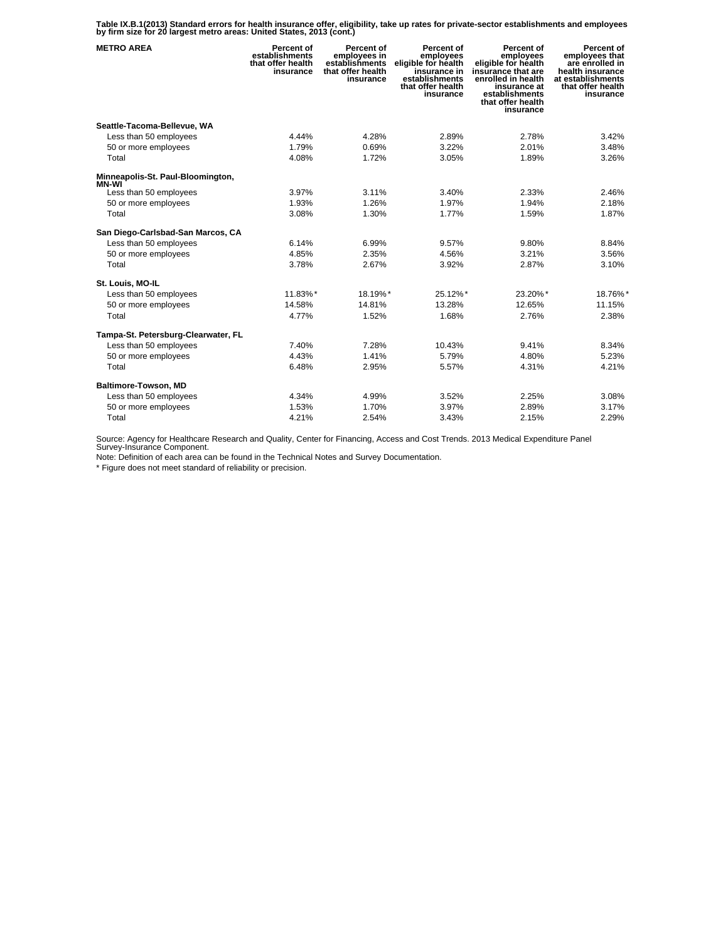**Table IX.B.1(2013) Standard errors for health insurance offer, eligibility, take up rates for private-sector establishments and employees by firm size for 20 largest metro areas: United States, 2013 (cont.)** 

| <b>METRO AREA</b>                   | Percent of<br>establishments<br>that offer health<br>insurance | Percent of<br>employees in<br>establishments<br>that offer health<br>insurance | Percent of<br>employees<br>eligible for health<br>insurance in<br>establishments<br>that offer health<br>insurance | Percent of<br>employees<br>eligible for health<br>insurance that are<br>enrolled in health<br>insurance at<br>establishments<br>that offer health<br>insurance | Percent of<br>employees that<br>are enrolled in<br>health insurance<br>at establishments<br>that offer health<br>insurance |
|-------------------------------------|----------------------------------------------------------------|--------------------------------------------------------------------------------|--------------------------------------------------------------------------------------------------------------------|----------------------------------------------------------------------------------------------------------------------------------------------------------------|----------------------------------------------------------------------------------------------------------------------------|
| Seattle-Tacoma-Bellevue, WA         |                                                                |                                                                                |                                                                                                                    |                                                                                                                                                                |                                                                                                                            |
| Less than 50 employees              | 4.44%                                                          | 4.28%                                                                          | 2.89%                                                                                                              | 2.78%                                                                                                                                                          | 3.42%                                                                                                                      |
| 50 or more employees                | 1.79%                                                          | 0.69%                                                                          | 3.22%                                                                                                              | 2.01%                                                                                                                                                          | 3.48%                                                                                                                      |
| Total                               | 4.08%                                                          | 1.72%                                                                          | 3.05%                                                                                                              | 1.89%                                                                                                                                                          | 3.26%                                                                                                                      |
| Minneapolis-St. Paul-Bloomington,   |                                                                |                                                                                |                                                                                                                    |                                                                                                                                                                |                                                                                                                            |
| MN-WI<br>Less than 50 employees     | 3.97%                                                          | 3.11%                                                                          | 3.40%                                                                                                              | 2.33%                                                                                                                                                          | 2.46%                                                                                                                      |
| 50 or more employees                | 1.93%                                                          | 1.26%                                                                          | 1.97%                                                                                                              | 1.94%                                                                                                                                                          | 2.18%                                                                                                                      |
| Total                               | 3.08%                                                          | 1.30%                                                                          | 1.77%                                                                                                              | 1.59%                                                                                                                                                          | 1.87%                                                                                                                      |
| San Diego-Carlsbad-San Marcos, CA   |                                                                |                                                                                |                                                                                                                    |                                                                                                                                                                |                                                                                                                            |
| Less than 50 employees              | 6.14%                                                          | 6.99%                                                                          | 9.57%                                                                                                              | 9.80%                                                                                                                                                          | 8.84%                                                                                                                      |
| 50 or more employees                | 4.85%                                                          | 2.35%                                                                          | 4.56%                                                                                                              | 3.21%                                                                                                                                                          | 3.56%                                                                                                                      |
| Total                               | 3.78%                                                          | 2.67%                                                                          | 3.92%                                                                                                              | 2.87%                                                                                                                                                          | 3.10%                                                                                                                      |
| St. Louis, MO-IL                    |                                                                |                                                                                |                                                                                                                    |                                                                                                                                                                |                                                                                                                            |
| Less than 50 employees              | 11.83%*                                                        | 18.19%*                                                                        | 25.12%*                                                                                                            | 23.20%*                                                                                                                                                        | 18.76%*                                                                                                                    |
| 50 or more employees                | 14.58%                                                         | 14.81%                                                                         | 13.28%                                                                                                             | 12.65%                                                                                                                                                         | 11.15%                                                                                                                     |
| Total                               | 4.77%                                                          | 1.52%                                                                          | 1.68%                                                                                                              | 2.76%                                                                                                                                                          | 2.38%                                                                                                                      |
| Tampa-St. Petersburg-Clearwater, FL |                                                                |                                                                                |                                                                                                                    |                                                                                                                                                                |                                                                                                                            |
| Less than 50 employees              | 7.40%                                                          | 7.28%                                                                          | 10.43%                                                                                                             | 9.41%                                                                                                                                                          | 8.34%                                                                                                                      |
| 50 or more employees                | 4.43%                                                          | 1.41%                                                                          | 5.79%                                                                                                              | 4.80%                                                                                                                                                          | 5.23%                                                                                                                      |
| Total                               | 6.48%                                                          | 2.95%                                                                          | 5.57%                                                                                                              | 4.31%                                                                                                                                                          | 4.21%                                                                                                                      |
| Baltimore-Towson, MD                |                                                                |                                                                                |                                                                                                                    |                                                                                                                                                                |                                                                                                                            |
| Less than 50 employees              | 4.34%                                                          | 4.99%                                                                          | 3.52%                                                                                                              | 2.25%                                                                                                                                                          | 3.08%                                                                                                                      |
| 50 or more employees                | 1.53%                                                          | 1.70%                                                                          | 3.97%                                                                                                              | 2.89%                                                                                                                                                          | 3.17%                                                                                                                      |
| Total                               | 4.21%                                                          | 2.54%                                                                          | 3.43%                                                                                                              | 2.15%                                                                                                                                                          | 2.29%                                                                                                                      |

Source: Agency for Healthcare Research and Quality, Center for Financing, Access and Cost Trends. 2013 Medical Expenditure Panel Survey-Insurance Component.

Note: Definition of each area can be found in the Technical Notes and Survey Documentation.

\* Figure does not meet standard of reliability or precision.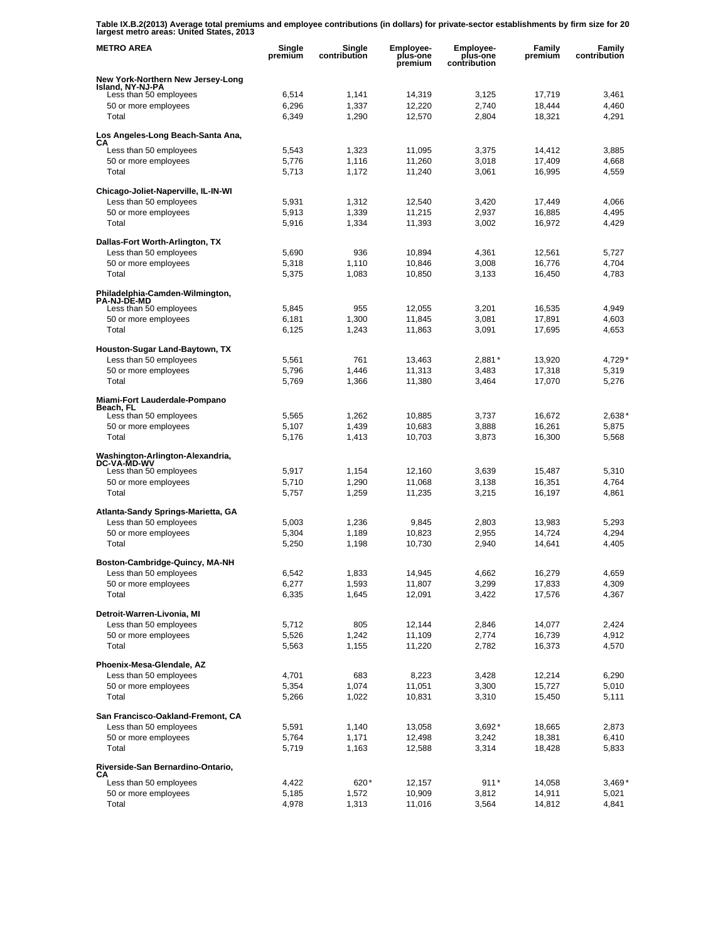**Table IX.B.2(2013) Average total premiums and employee contributions (in dollars) for private-sector establishments by firm size for 20 largest metro areas: United States, 2013** 

| <b>METRO AREA</b>                                     | Single<br>premium | Single<br>contribution | Employee-<br>plus-one<br>premium | Employee-<br>plus-one<br>contribution | Family<br>premium | Family<br>contribution |
|-------------------------------------------------------|-------------------|------------------------|----------------------------------|---------------------------------------|-------------------|------------------------|
| New York-Northern New Jersey-Long                     |                   |                        |                                  |                                       |                   |                        |
| Island, NY-NJ-PA<br>Less than 50 employees            | 6,514             | 1,141                  | 14,319                           | 3,125                                 | 17,719            | 3,461                  |
| 50 or more employees                                  | 6,296             | 1,337                  | 12,220                           | 2,740                                 | 18.444            | 4,460                  |
| Total                                                 | 6,349             | 1,290                  | 12,570                           | 2,804                                 | 18,321            | 4,291                  |
| Los Angeles-Long Beach-Santa Ana,                     |                   |                        |                                  |                                       |                   |                        |
| CА<br>Less than 50 employees                          | 5,543             | 1,323                  | 11,095                           | 3,375                                 | 14,412            | 3,885                  |
| 50 or more employees                                  | 5,776             | 1,116                  | 11,260                           | 3,018                                 | 17,409            | 4,668                  |
| Total                                                 | 5,713             | 1,172                  | 11,240                           | 3,061                                 | 16,995            | 4,559                  |
| Chicago-Joliet-Naperville, IL-IN-WI                   |                   |                        |                                  |                                       |                   |                        |
| Less than 50 employees                                | 5,931             | 1,312                  | 12,540                           | 3,420                                 | 17,449            | 4,066                  |
| 50 or more employees                                  | 5,913             | 1,339                  | 11,215                           | 2,937                                 | 16,885            | 4,495                  |
| Total                                                 | 5,916             | 1,334                  | 11,393                           | 3,002                                 | 16,972            | 4,429                  |
| Dallas-Fort Worth-Arlington, TX                       |                   |                        |                                  |                                       |                   |                        |
| Less than 50 employees                                | 5,690             | 936                    | 10,894                           | 4,361                                 | 12,561            | 5,727                  |
| 50 or more employees                                  | 5,318             | 1,110                  | 10,846                           | 3,008                                 | 16,776            | 4,704                  |
| Total                                                 | 5,375             | 1,083                  | 10,850                           | 3,133                                 | 16,450            | 4,783                  |
| Philadelphia-Camden-Wilmington,<br><b>PA-NJ-DE-MD</b> |                   |                        |                                  |                                       |                   |                        |
| Less than 50 employees                                | 5,845             | 955                    | 12,055                           | 3,201                                 | 16,535            | 4.949                  |
| 50 or more employees                                  | 6,181             | 1,300                  | 11,845                           | 3,081                                 | 17,891            | 4,603                  |
| Total                                                 | 6,125             | 1,243                  | 11,863                           | 3,091                                 | 17,695            | 4,653                  |
| Houston-Sugar Land-Baytown, TX                        |                   |                        |                                  |                                       |                   |                        |
| Less than 50 employees                                | 5,561             | 761                    | 13,463                           | $2,881*$                              | 13,920            | 4,729*                 |
| 50 or more employees                                  | 5,796             | 1,446                  | 11,313                           | 3,483                                 | 17,318            | 5,319                  |
| Total                                                 | 5,769             | 1,366                  | 11,380                           | 3,464                                 | 17,070            | 5,276                  |
| Miami-Fort Lauderdale-Pompano<br>Beach, FL            |                   |                        |                                  |                                       |                   |                        |
| Less than 50 employees                                | 5,565             | 1,262                  | 10,885                           | 3,737                                 | 16,672            | 2,638*                 |
| 50 or more employees                                  | 5,107             | 1,439                  | 10,683                           | 3,888                                 | 16,261            | 5,875                  |
| Total                                                 | 5,176             | 1,413                  | 10,703                           | 3,873                                 | 16,300            | 5,568                  |
| Washington-Arlington-Alexandria,<br>DC-VA-MD-WV       |                   |                        |                                  |                                       |                   |                        |
| Less than 50 employees                                | 5,917             | 1,154                  | 12,160                           | 3,639                                 | 15,487            | 5,310                  |
| 50 or more employees<br>Total                         | 5,710<br>5,757    | 1,290<br>1,259         | 11,068<br>11,235                 | 3,138<br>3,215                        | 16,351<br>16,197  | 4,764<br>4,861         |
|                                                       |                   |                        |                                  |                                       |                   |                        |
| Atlanta-Sandy Springs-Marietta, GA                    |                   |                        |                                  |                                       |                   |                        |
| Less than 50 employees<br>50 or more employees        | 5,003<br>5,304    | 1,236<br>1,189         | 9,845<br>10,823                  | 2,803<br>2,955                        | 13,983<br>14,724  | 5,293<br>4,294         |
| Total                                                 | 5,250             | 1,198                  | 10,730                           | 2,940                                 | 14,641            | 4,405                  |
|                                                       |                   |                        |                                  |                                       |                   |                        |
| Boston-Cambridge-Quincy, MA-NH                        |                   |                        |                                  |                                       |                   |                        |
| Less than 50 employees<br>50 or more employees        | 6,542<br>6,277    | 1,833<br>1,593         | 14,945<br>11,807                 | 4,662<br>3,299                        | 16,279<br>17,833  | 4,659<br>4,309         |
| Total                                                 | 6,335             | 1,645                  | 12,091                           | 3,422                                 | 17,576            | 4,367                  |
|                                                       |                   |                        |                                  |                                       |                   |                        |
| Detroit-Warren-Livonia, MI<br>Less than 50 employees  | 5,712             | 805                    | 12,144                           | 2,846                                 | 14,077            | 2,424                  |
| 50 or more employees                                  | 5,526             | 1,242                  | 11,109                           | 2,774                                 | 16,739            | 4,912                  |
| Total                                                 | 5,563             | 1,155                  | 11,220                           | 2,782                                 | 16,373            | 4,570                  |
| Phoenix-Mesa-Glendale, AZ                             |                   |                        |                                  |                                       |                   |                        |
| Less than 50 employees                                | 4,701             | 683                    | 8,223                            | 3,428                                 | 12,214            | 6,290                  |
| 50 or more employees                                  | 5,354             | 1,074                  | 11,051                           | 3,300                                 | 15,727            | 5,010                  |
| Total                                                 | 5,266             | 1,022                  | 10,831                           | 3,310                                 | 15,450            | 5,111                  |
| San Francisco-Oakland-Fremont, CA                     |                   |                        |                                  |                                       |                   |                        |
| Less than 50 employees                                | 5,591             | 1,140                  | 13,058                           | $3,692*$                              | 18,665            | 2,873                  |
| 50 or more employees                                  | 5,764             | 1,171                  | 12,498                           | 3,242                                 | 18,381            | 6,410                  |
| Total                                                 | 5,719             | 1,163                  | 12,588                           | 3,314                                 | 18,428            | 5,833                  |
| Riverside-San Bernardino-Ontario,<br>CА               |                   |                        |                                  |                                       |                   |                        |
| Less than 50 employees                                | 4,422             | 620*                   | 12,157                           | $911*$                                | 14,058            | $3,469*$               |
| 50 or more employees                                  | 5,185             | 1,572                  | 10,909                           | 3,812                                 | 14,911            | 5,021                  |
| Total                                                 | 4,978             | 1,313                  | 11,016                           | 3,564                                 | 14,812            | 4,841                  |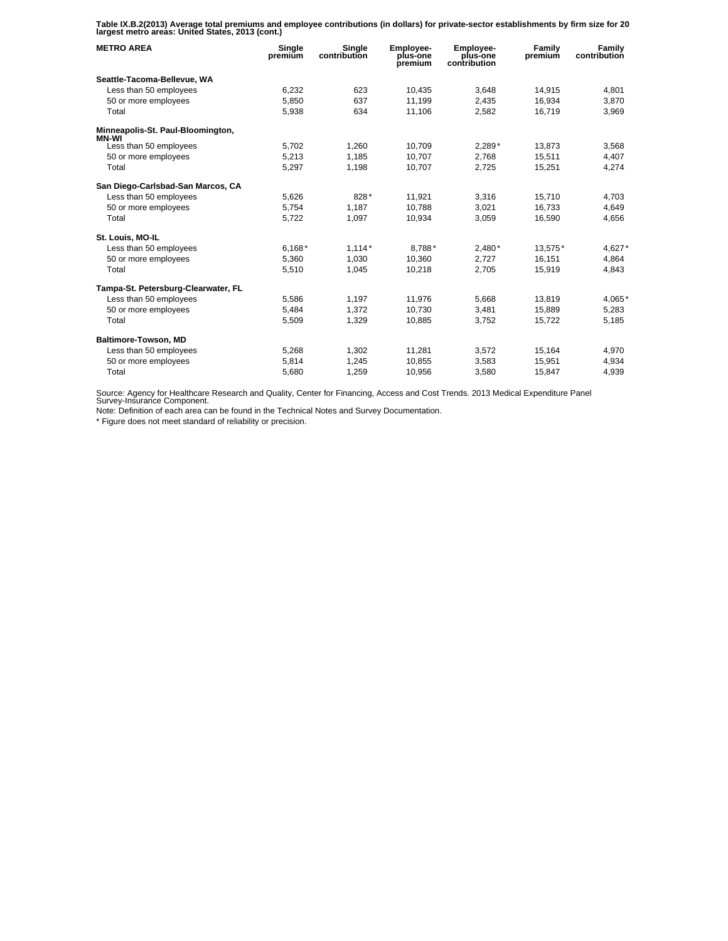**Table IX.B.2(2013) Average total premiums and employee contributions (in dollars) for private-sector establishments by firm size for 20 largest metro areas: United States, 2013 (cont.)** 

| <b>METRO AREA</b>                          | Single<br>premium | Single<br>contribution | Employee-<br>plus-one<br>premium | Employee-<br>plus-one<br>contribution | Family<br>premium | Family<br>contribution |
|--------------------------------------------|-------------------|------------------------|----------------------------------|---------------------------------------|-------------------|------------------------|
| Seattle-Tacoma-Bellevue, WA                |                   |                        |                                  |                                       |                   |                        |
| Less than 50 employees                     | 6,232             | 623                    | 10,435                           | 3,648                                 | 14,915            | 4,801                  |
| 50 or more employees                       | 5.850             | 637                    | 11.199                           | 2.435                                 | 16.934            | 3.870                  |
| Total                                      | 5,938             | 634                    | 11,106                           | 2,582                                 | 16,719            | 3,969                  |
| Minneapolis-St. Paul-Bloomington,<br>MN-WI |                   |                        |                                  |                                       |                   |                        |
| Less than 50 employees                     | 5,702             | 1,260                  | 10.709                           | 2,289*                                | 13,873            | 3,568                  |
| 50 or more employees                       | 5,213             | 1,185                  | 10,707                           | 2,768                                 | 15,511            | 4,407                  |
| Total                                      | 5,297             | 1,198                  | 10,707                           | 2,725                                 | 15,251            | 4,274                  |
| San Diego-Carlsbad-San Marcos, CA          |                   |                        |                                  |                                       |                   |                        |
| Less than 50 employees                     | 5,626             | 828*                   | 11,921                           | 3,316                                 | 15,710            | 4,703                  |
| 50 or more employees                       | 5.754             | 1,187                  | 10.788                           | 3.021                                 | 16.733            | 4,649                  |
| Total                                      | 5,722             | 1,097                  | 10,934                           | 3,059                                 | 16,590            | 4,656                  |
| St. Louis, MO-IL                           |                   |                        |                                  |                                       |                   |                        |
| Less than 50 employees                     | $6,168*$          | $1,114*$               | 8,788*                           | $2,480*$                              | 13,575*           | 4,627*                 |
| 50 or more employees                       | 5,360             | 1.030                  | 10.360                           | 2.727                                 | 16.151            | 4,864                  |
| Total                                      | 5,510             | 1,045                  | 10,218                           | 2,705                                 | 15,919            | 4,843                  |
| Tampa-St. Petersburg-Clearwater, FL        |                   |                        |                                  |                                       |                   |                        |
| Less than 50 employees                     | 5.586             | 1,197                  | 11,976                           | 5,668                                 | 13.819            | 4,065*                 |
| 50 or more employees                       | 5,484             | 1,372                  | 10,730                           | 3,481                                 | 15,889            | 5,283                  |
| Total                                      | 5,509             | 1,329                  | 10,885                           | 3,752                                 | 15,722            | 5,185                  |
| Baltimore-Towson, MD                       |                   |                        |                                  |                                       |                   |                        |
| Less than 50 employees                     | 5,268             | 1,302                  | 11,281                           | 3,572                                 | 15,164            | 4,970                  |
| 50 or more employees                       | 5.814             | 1.245                  | 10.855                           | 3.583                                 | 15.951            | 4,934                  |
| Total                                      | 5,680             | 1,259                  | 10,956                           | 3,580                                 | 15,847            | 4,939                  |

Source: Agency for Healthcare Research and Quality, Center for Financing, Access and Cost Trends. 2013 Medical Expenditure Panel Survey-Insurance Component.

Note: Definition of each area can be found in the Technical Notes and Survey Documentation.

\* Figure does not meet standard of reliability or precision.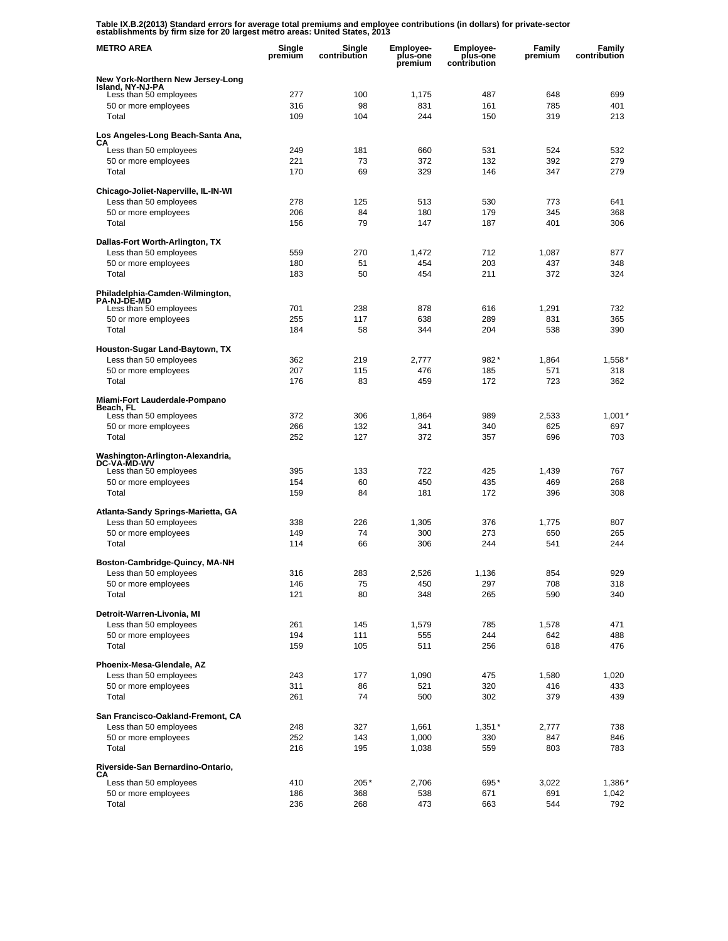**Table IX.B.2(2013) Standard errors for average total premiums and employee contributions (in dollars) for private-sector establishments by firm size for 20 largest metro areas: United States, 2013** 

| <b>METRO AREA</b>                                        | Single<br>premium | Single<br>contribution | <b>Employee-</b><br>plus-one<br>premium | <b>Employee-</b><br>plus-one<br>contribution | Family<br>premium | Family<br>contribution |
|----------------------------------------------------------|-------------------|------------------------|-----------------------------------------|----------------------------------------------|-------------------|------------------------|
| New York-Northern New Jersey-Long<br>Island, NY-NJ-PA    |                   |                        |                                         |                                              |                   |                        |
| Less than 50 employees                                   | 277               | 100                    | 1,175                                   | 487                                          | 648               | 699                    |
| 50 or more employees                                     | 316               | 98                     | 831                                     | 161                                          | 785               | 401                    |
| Total                                                    | 109               | 104                    | 244                                     | 150                                          | 319               | 213                    |
| Los Angeles-Long Beach-Santa Ana,                        |                   |                        |                                         |                                              |                   |                        |
| CА<br>Less than 50 employees                             | 249               | 181                    | 660                                     | 531                                          | 524               | 532                    |
| 50 or more employees                                     | 221               | 73                     | 372                                     | 132                                          | 392               | 279                    |
| Total                                                    | 170               | 69                     | 329                                     | 146                                          | 347               | 279                    |
| Chicago-Joliet-Naperville, IL-IN-WI                      |                   |                        |                                         |                                              |                   |                        |
| Less than 50 employees                                   | 278               | 125                    | 513                                     | 530                                          | 773               | 641                    |
| 50 or more employees                                     | 206               | 84                     | 180                                     | 179                                          | 345               | 368                    |
| Total                                                    | 156               | 79                     | 147                                     | 187                                          | 401               | 306                    |
| Dallas-Fort Worth-Arlington, TX                          |                   |                        |                                         |                                              |                   |                        |
| Less than 50 employees                                   | 559               | 270                    | 1,472                                   | 712                                          | 1,087             | 877                    |
| 50 or more employees                                     | 180               | 51                     | 454                                     | 203                                          | 437               | 348                    |
| Total                                                    | 183               | 50                     | 454                                     | 211                                          | 372               | 324                    |
| Philadelphia-Camden-Wilmington,<br><b>PA-NJ-DE-MD</b>    |                   |                        |                                         |                                              |                   |                        |
| Less than 50 employees                                   | 701               | 238                    | 878                                     | 616                                          | 1,291             | 732                    |
| 50 or more employees<br>Total                            | 255               | 117                    | 638                                     | 289                                          | 831<br>538        | 365                    |
|                                                          | 184               | 58                     | 344                                     | 204                                          |                   | 390                    |
| Houston-Sugar Land-Baytown, TX<br>Less than 50 employees | 362               | 219                    | 2.777                                   | 982*                                         |                   |                        |
| 50 or more employees                                     | 207               | 115                    | 476                                     | 185                                          | 1,864<br>571      | $1,558*$<br>318        |
| Total                                                    | 176               | 83                     | 459                                     | 172                                          | 723               | 362                    |
| Miami-Fort Lauderdale-Pompano                            |                   |                        |                                         |                                              |                   |                        |
| Beach, FL                                                |                   |                        |                                         |                                              |                   |                        |
| Less than 50 employees                                   | 372<br>266        | 306<br>132             | 1,864                                   | 989                                          | 2,533<br>625      | 1,001'<br>697          |
| 50 or more employees<br>Total                            | 252               | 127                    | 341<br>372                              | 340<br>357                                   | 696               | 703                    |
|                                                          |                   |                        |                                         |                                              |                   |                        |
| Washington-Arlington-Alexandria,<br><b>DC-VA-MD-WV</b>   |                   |                        |                                         |                                              |                   |                        |
| Less than 50 employees                                   | 395               | 133                    | 722<br>450                              | 425                                          | 1,439             | 767<br>268             |
| 50 or more employees<br>Total                            | 154<br>159        | 60<br>84               | 181                                     | 435<br>172                                   | 469<br>396        | 308                    |
|                                                          |                   |                        |                                         |                                              |                   |                        |
| Atlanta-Sandy Springs-Marietta, GA                       | 338               | 226                    | 1,305                                   | 376                                          | 1,775             | 807                    |
| Less than 50 employees<br>50 or more employees           | 149               | 74                     | 300                                     | 273                                          | 650               | 265                    |
| Total                                                    | 114               | 66                     | 306                                     | 244                                          | 541               | 244                    |
|                                                          |                   |                        |                                         |                                              |                   |                        |
| Boston-Cambridge-Quincy, MA-NH<br>Less than 50 employees | 316               | 283                    | 2,526                                   | 1,136                                        | 854               | 929                    |
| 50 or more employees                                     | 146               | 75                     | 450                                     | 297                                          | 708               | 318                    |
| Total                                                    | 121               | 80                     | 348                                     | 265                                          | 590               | 340                    |
| Detroit-Warren-Livonia, MI                               |                   |                        |                                         |                                              |                   |                        |
| Less than 50 employees                                   | 261               | 145                    | 1,579                                   | 785                                          | 1,578             | 471                    |
| 50 or more employees                                     | 194               | 111                    | 555                                     | 244                                          | 642               | 488                    |
| Total                                                    | 159               | 105                    | 511                                     | 256                                          | 618               | 476                    |
| Phoenix-Mesa-Glendale, AZ                                |                   |                        |                                         |                                              |                   |                        |
| Less than 50 employees                                   | 243               | 177                    | 1,090                                   | 475                                          | 1,580             | 1,020                  |
| 50 or more employees                                     | 311               | 86                     | 521                                     | 320                                          | 416               | 433                    |
| Total                                                    | 261               | 74                     | 500                                     | 302                                          | 379               | 439                    |
| San Francisco-Oakland-Fremont, CA                        |                   |                        |                                         |                                              |                   |                        |
| Less than 50 employees                                   | 248               | 327                    | 1,661                                   | $1,351*$                                     | 2,777             | 738                    |
| 50 or more employees                                     | 252               | 143                    | 1,000                                   | 330                                          | 847               | 846                    |
| Total                                                    | 216               | 195                    | 1,038                                   | 559                                          | 803               | 783                    |
| Riverside-San Bernardino-Ontario,<br>CА                  |                   |                        |                                         |                                              |                   |                        |
| Less than 50 employees                                   | 410               | 205*                   | 2,706                                   | 695*                                         | 3,022             | 1,386*                 |
| 50 or more employees                                     | 186               | 368                    | 538                                     | 671                                          | 691               | 1,042                  |
| Total                                                    | 236               | 268                    | 473                                     | 663                                          | 544               | 792                    |